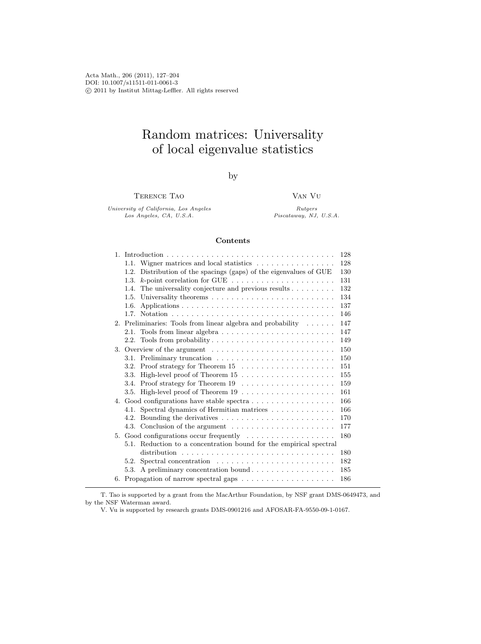Acta Math., 206 (2011), 127–204 DOI: 10.1007/s11511-011-0061-3 c 2011 by Institut Mittag-Leffler. All rights reserved

# Random matrices: Universality of local eigenvalue statistics

by

Terence Tao

Van Vu

University of California, Los Angeles Los Angeles, CA, U.S.A.

Rutgers  ${\sl Piscataway,} ~ {\sl N}{\sl J}, ~ U.S.A.$ 

#### Contents

|                |                                                                                     | 128 |
|----------------|-------------------------------------------------------------------------------------|-----|
|                | Wigner matrices and local statistics<br>1.1.                                        | 128 |
|                | Distribution of the spacings (gaps) of the eigenvalues of GUE<br>1.2.               | 130 |
|                | $k$ -point correlation for GUE $\ldots \ldots \ldots \ldots \ldots \ldots$<br>1.3.  | 131 |
|                | The universality conjecture and previous results $\dots \dots$<br>1.4.              | 132 |
|                | 1.5.                                                                                | 134 |
|                | 1.6.                                                                                | 137 |
|                |                                                                                     | 146 |
|                | 2. Preliminaries: Tools from linear algebra and probability $\ldots \ldots$         | 147 |
|                | Tools from linear algebra $\dots \dots \dots \dots \dots \dots \dots \dots$<br>2.1. | 147 |
|                |                                                                                     | 149 |
| 3.             |                                                                                     | 150 |
|                |                                                                                     | 150 |
|                | 3.2.                                                                                | 151 |
|                | 3.3.                                                                                | 155 |
|                | 3.4.                                                                                | 159 |
|                |                                                                                     | 161 |
|                |                                                                                     | 166 |
|                | Spectral dynamics of Hermitian matrices<br>4.1.                                     | 166 |
|                | 4.2.                                                                                | 170 |
|                |                                                                                     | 177 |
| 5 <sub>1</sub> | Good configurations occur frequently $\dots \dots \dots \dots \dots$                | 180 |
|                | 5.1. Reduction to a concentration bound for the empirical spectral                  |     |
|                |                                                                                     | 180 |
|                | 5.2.                                                                                | 182 |
|                | A preliminary concentration bound<br>5.3.                                           | 185 |
|                |                                                                                     | 186 |

T. Tao is supported by a grant from the MacArthur Foundation, by NSF grant DMS-0649473, and by the NSF Waterman award.

V. Vu is supported by research grants DMS-0901216 and AFOSAR-FA-9550-09-1-0167.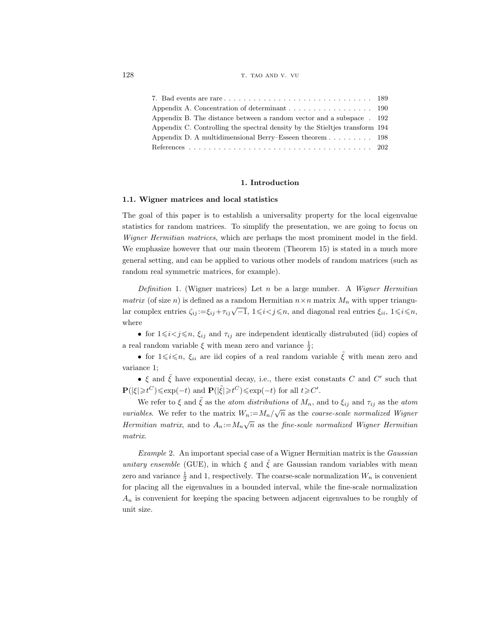128 the state of the state of the state of the state of the state of the state of the state of the state of the state of the state of the state of the state of the state of the state of the state of the state of the state

| Appendix A. Concentration of determinant $\dots \dots \dots \dots \dots \dots \dots$ 190 |  |
|------------------------------------------------------------------------------------------|--|
| Appendix B. The distance between a random vector and a subspace . 192                    |  |
| Appendix C. Controlling the spectral density by the Stieltjes transform 194              |  |
| Appendix D. A multidimensional Berry–Esseen theorem $\dots \dots \dots$ 198              |  |
|                                                                                          |  |

#### 1. Introduction

#### 1.1. Wigner matrices and local statistics

The goal of this paper is to establish a universality property for the local eigenvalue statistics for random matrices. To simplify the presentation, we are going to focus on Wigner Hermitian matrices, which are perhaps the most prominent model in the field. We emphasize however that our main theorem (Theorem 15) is stated in a much more general setting, and can be applied to various other models of random matrices (such as random real symmetric matrices, for example).

Definition 1. (Wigner matrices) Let n be a large number. A Wigner Hermitian matrix (of size n) is defined as a random Hermitian  $n \times n$  matrix  $M_n$  with upper triangular complex entries  $\zeta_{ij} := \xi_{ij} + \tau_{ij}\sqrt{-1}$ ,  $1 \le i < j \le n$ , and diagonal real entries  $\xi_{ii}$ ,  $1 \le i \le n$ , where

• for  $1 \leq i < j \leq n$ ,  $\xi_{ij}$  and  $\tau_{ij}$  are independent identically distrubuted (iid) copies of a real random variable  $\xi$  with mean zero and variance  $\frac{1}{2}$ ;

• for  $1 \leq i \leq n$ ,  $\xi_{ii}$  are iid copies of a real random variable  $\hat{\xi}$  with mean zero and variance 1;

• ξ and ξ have exponential decay, i.e., there exist constants C and C' such that  $\mathbf{P}(|\xi| \geq t^C) \leq \exp(-t)$  and  $\mathbf{P}(|\tilde{\xi}| \geq t^C) \leq \exp(-t)$  for all  $t \geq C'$ .

We refer to  $\xi$  and  $\tilde{\xi}$  as the *atom distributions* of  $M_n$ , and to  $\xi_{ij}$  and  $\tau_{ij}$  as the *atom* variables. We refer to the matrix  $W_n := M_n / \sqrt{n}$  as the *coarse-scale normalized Wigner* Hermitian matrix, and to  $A_n := M_n \sqrt{n}$  as the fine-scale normalized Wigner Hermitian matrix.

Example 2. An important special case of a Wigner Hermitian matrix is the Gaussian unitary ensemble (GUE), in which  $\xi$  and  $\xi$  are Gaussian random variables with mean zero and variance  $\frac{1}{2}$  and 1, respectively. The coarse-scale normalization  $W_n$  is convenient for placing all the eigenvalues in a bounded interval, while the fine-scale normalization  $A_n$  is convenient for keeping the spacing between adjacent eigenvalues to be roughly of unit size.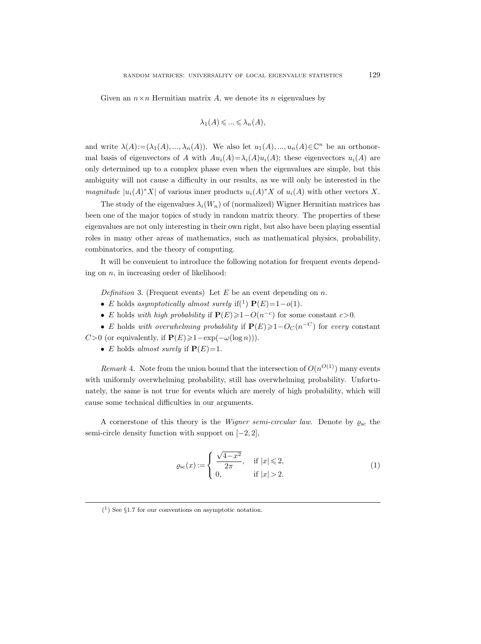Given an  $n \times n$  Hermitian matrix A, we denote its n eigenvalues by

$$
\lambda_1(A) \leqslant \ldots \leqslant \lambda_n(A),
$$

and write  $\lambda(A) := (\lambda_1(A), ..., \lambda_n(A))$ . We also let  $u_1(A), ..., u_n(A) \in \mathbb{C}^n$  be an orthonormal basis of eigenvectors of A with  $Au_i(A) = \lambda_i(A)u_i(A)$ ; these eigenvectors  $u_i(A)$  are only determined up to a complex phase even when the eigenvalues are simple, but this ambiguity will not cause a difficulty in our results, as we will only be interested in the *magnitude*  $|u_i(A)^*X|$  of various inner products  $u_i(A)^*X$  of  $u_i(A)$  with other vectors X.

The study of the eigenvalues  $\lambda_i(W_n)$  of (normalized) Wigner Hermitian matrices has been one of the major topics of study in random matrix theory. The properties of these eigenvalues are not only interesting in their own right, but also have been playing essential roles in many other areas of mathematics, such as mathematical physics, probability, combinatorics, and the theory of computing.

It will be convenient to introduce the following notation for frequent events depending on  $n$ , in increasing order of likelihood:

Definition 3. (Frequent events) Let  $E$  be an event depending on  $n$ .

- E holds asymptotically almost surely if(<sup>1</sup>)  $P(E)=1-o(1)$ .
- E holds with high probability if  $P(E) \geq 1-O(n^{-c})$  for some constant  $c > 0$ .
- E holds with overwhelming probability if  $P(E) \geq 1-O<sub>C</sub>(n^{-C})$  for every constant C>0 (or equivalently, if  $P(E) \ge 1-\exp(-\omega(\log n))).$ 
	- E holds almost surely if  $P(E)=1$ .

Remark 4. Note from the union bound that the intersection of  $O(n^{O(1)})$  many events with uniformly overwhelming probability, still has overwhelming probability. Unfortunately, the same is not true for events which are merely of high probability, which will cause some technical difficulties in our arguments.

A cornerstone of this theory is the *Wigner semi-circular law*. Denote by  $\rho_{\rm sc}$  the semi-circle density function with support on  $[-2, 2]$ ,

$$
\varrho_{\rm sc}(x) := \begin{cases} \frac{\sqrt{4-x^2}}{2\pi}, & \text{if } |x| \le 2, \\ 0, & \text{if } |x| > 2. \end{cases}
$$
 (1)

 $(1)$  See §1.7 for our conventions on asymptotic notation.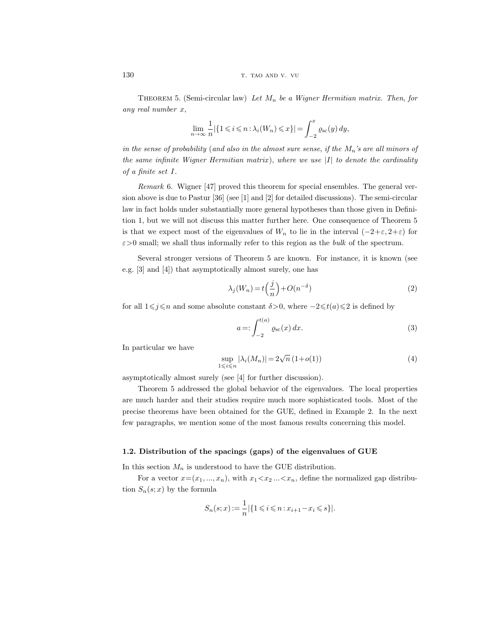THEOREM 5. (Semi-circular law) Let  $M_n$  be a Wigner Hermitian matrix. Then, for any real number x,

$$
\lim_{n\to\infty}\frac{1}{n}|\{1\leqslant i\leqslant n: \lambda_i(W_n)\leqslant x\}|=\int_{-2}^x \varrho_{\rm sc}(y)\,dy,
$$

in the sense of probability (and also in the almost sure sense, if the  $M_n$ 's are all minors of the same infinite Wigner Hermitian matrix), where we use  $|I|$  to denote the cardinality of a finite set I.

Remark 6. Wigner [47] proved this theorem for special ensembles. The general version above is due to Pastur [36] (see [1] and [2] for detailed discussions). The semi-circular law in fact holds under substantially more general hypotheses than those given in Definition 1, but we will not discuss this matter further here. One consequence of Theorem 5 is that we expect most of the eigenvalues of  $W_n$  to lie in the interval  $(-2+\varepsilon, 2+\varepsilon)$  for  $\varepsilon$ >0 small; we shall thus informally refer to this region as the *bulk* of the spectrum.

Several stronger versions of Theorem 5 are known. For instance, it is known (see e.g. [3] and [4]) that asymptotically almost surely, one has

$$
\lambda_j(W_n) = t\left(\frac{j}{n}\right) + O(n^{-\delta})\tag{2}
$$

for all  $1\leq j\leq n$  and some absolute constant  $\delta>0$ , where  $-2\leq t(a)\leq 2$  is defined by

$$
a =: \int_{-2}^{t(a)} \varrho_{\rm sc}(x) \, dx. \tag{3}
$$

In particular we have

$$
\sup_{1 \leq i \leq n} |\lambda_i(M_n)| = 2\sqrt{n} (1 + o(1))
$$
\n(4)

asymptotically almost surely (see [4] for further discussion).

Theorem 5 addressed the global behavior of the eigenvalues. The local properties are much harder and their studies require much more sophisticated tools. Most of the precise theorems have been obtained for the GUE, defined in Example 2. In the next few paragraphs, we mention some of the most famous results concerning this model.

# 1.2. Distribution of the spacings (gaps) of the eigenvalues of GUE

In this section  $M_n$  is understood to have the GUE distribution.

For a vector  $x=(x_1, ..., x_n)$ , with  $x_1 < x_2 ... < x_n$ , define the normalized gap distribution  $S_n(s; x)$  by the formula

$$
S_n(s;x):=\frac{1}{n}|\{1\leqslant i\leqslant n: x_{i+1}-x_i\leqslant s\}|.
$$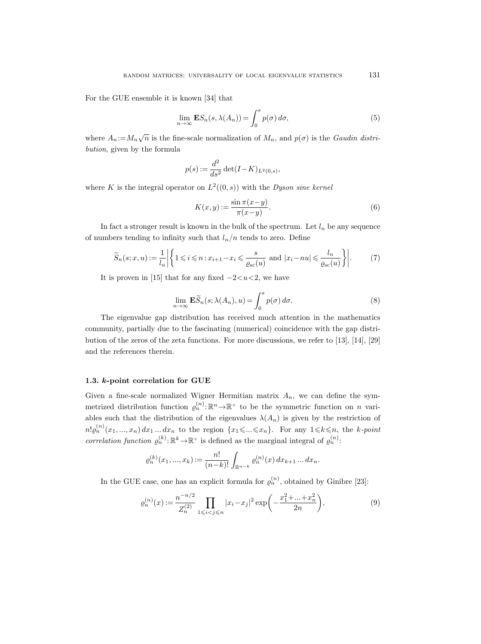For the GUE ensemble it is known [34] that

$$
\lim_{n \to \infty} \mathbf{E} S_n(s, \lambda(A_n)) = \int_0^s p(\sigma) \, d\sigma,\tag{5}
$$

where  $A_n := M_n \sqrt{n}$  is the fine-scale normalization of  $M_n$ , and  $p(\sigma)$  is the *Gaudin distri*bution, given by the formula

$$
p(s) := \frac{d^2}{ds^2} \det(I - K)_{L^2(0,s)},
$$

where K is the integral operator on  $L^2((0, s))$  with the Dyson sine kernel

$$
K(x,y) := \frac{\sin \pi (x-y)}{\pi (x-y)}.
$$
\n<sup>(6)</sup>

In fact a stronger result is known in the bulk of the spectrum. Let  $l_n$  be any sequence of numbers tending to infinity such that  $l_n/n$  tends to zero. Define

$$
\widetilde{S}_n(s;x,u) := \frac{1}{l_n} \left| \left\{ 1 \leqslant i \leqslant n : x_{i+1} - x_i \leqslant \frac{s}{\varrho_{\rm sc}(u)} \text{ and } |x_i - nu| \leqslant \frac{l_n}{\varrho_{\rm sc}(u)} \right\} \right|.
$$
 (7)

It is proven in [15] that for any fixed  $-2 < u < 2$ , we have

$$
\lim_{n \to \infty} \mathbf{E}\widetilde{S}_n(s; \lambda(A_n), u) = \int_0^s p(\sigma) d\sigma.
$$
 (8)

The eigenvalue gap distribution has received much attention in the mathematics community, partially due to the fascinating (numerical) coincidence with the gap distribution of the zeros of the zeta functions. For more discussions, we refer to [13], [14], [29] and the references therein.

# 1.3. k-point correlation for GUE

Given a fine-scale normalized Wigner Hermitian matrix  $A_n$ , we can define the symmetrized distribution function  $\varrho_n^{(n)} : \mathbb{R}^n \to \mathbb{R}^+$  to be the symmetric function on n variables such that the distribution of the eigenvalues  $\lambda(A_n)$  is given by the restriction of  $n! \varrho_n^{(n)}(x_1, ..., x_n) dx_1 ... dx_n$  to the region  $\{x_1 \leqslant ... \leqslant x_n\}$ . For any  $1 \leqslant k \leqslant n$ , the k-point correlation function  $\varrho_n^{(k)} : \mathbb{R}^k \to \mathbb{R}^+$  is defined as the marginal integral of  $\varrho_n^{(n)}$ .

$$
\varrho_n^{(k)}(x_1, ..., x_k) := \frac{n!}{(n-k)!} \int_{\mathbb{R}^{n-k}} \varrho_n^{(n)}(x) \, dx_{k+1} \dots dx_n.
$$

In the GUE case, one has an explicit formula for  $\varrho_n^{(n)}$ , obtained by Ginibre [23]:

$$
\varrho_n^{(n)}(x) := \frac{n^{-n/2}}{Z_n^{(2)}} \prod_{1 \leqslant i < j \leqslant n} |x_i - x_j|^2 \exp\left(-\frac{x_1^2 + \dots + x_n^2}{2n}\right),\tag{9}
$$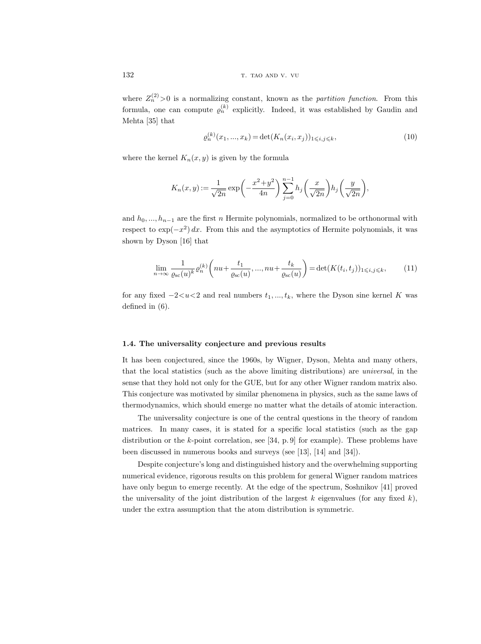where  $Z_n^{(2)} > 0$  is a normalizing constant, known as the *partition function*. From this formula, one can compute  $\varrho_n^{(k)}$  explicitly. Indeed, it was established by Gaudin and Mehta [35] that

$$
\varrho_n^{(k)}(x_1, ..., x_k) = \det(K_n(x_i, x_j))_{1 \le i, j \le k},\tag{10}
$$

where the kernel  $K_n(x, y)$  is given by the formula

$$
K_n(x,y) := \frac{1}{\sqrt{2n}} \exp\left(-\frac{x^2 + y^2}{4n}\right) \sum_{j=0}^{n-1} h_j\left(\frac{x}{\sqrt{2n}}\right) h_j\left(\frac{y}{\sqrt{2n}}\right),
$$

and  $h_0, ..., h_{n-1}$  are the first n Hermite polynomials, normalized to be orthonormal with respect to  $\exp(-x^2) dx$ . From this and the asymptotics of Hermite polynomials, it was shown by Dyson [16] that

$$
\lim_{n \to \infty} \frac{1}{\varrho_{\rm sc}(u)^k} \varrho_n^{(k)} \left( nu + \frac{t_1}{\varrho_{\rm sc}(u)}, ..., nu + \frac{t_k}{\varrho_{\rm sc}(u)} \right) = \det(K(t_i, t_j))_{1 \le i, j \le k},\tag{11}
$$

for any fixed  $-2 < u < 2$  and real numbers  $t_1, ..., t_k$ , where the Dyson sine kernel K was defined in (6).

### 1.4. The universality conjecture and previous results

It has been conjectured, since the 1960s, by Wigner, Dyson, Mehta and many others, that the local statistics (such as the above limiting distributions) are universal, in the sense that they hold not only for the GUE, but for any other Wigner random matrix also. This conjecture was motivated by similar phenomena in physics, such as the same laws of thermodynamics, which should emerge no matter what the details of atomic interaction.

The universality conjecture is one of the central questions in the theory of random matrices. In many cases, it is stated for a specific local statistics (such as the gap distribution or the  $k$ -point correlation, see [34, p. 9] for example). These problems have been discussed in numerous books and surveys (see [13], [14] and [34]).

Despite conjecture's long and distinguished history and the overwhelming supporting numerical evidence, rigorous results on this problem for general Wigner random matrices have only begun to emerge recently. At the edge of the spectrum, Soshnikov [41] proved the universality of the joint distribution of the largest  $k$  eigenvalues (for any fixed  $k$ ), under the extra assumption that the atom distribution is symmetric.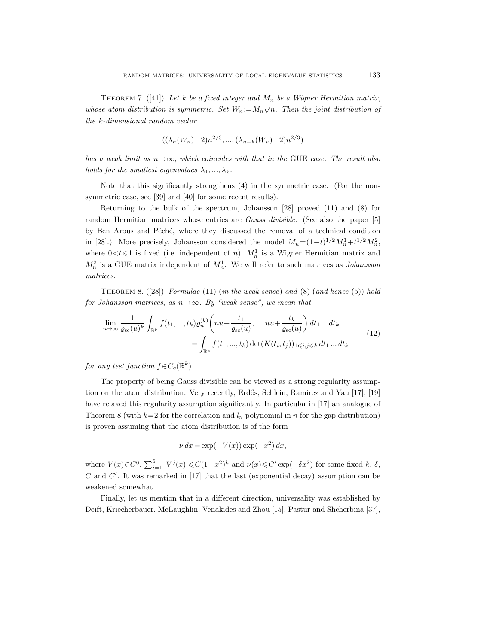THEOREM 7. ([41]) Let k be a fixed integer and  $M_n$  be a Wigner Hermitian matrix, whose atom distribution is symmetric. Set  $W_n := M_n \sqrt{n}$ . Then the joint distribution of the k-dimensional random vector

$$
((\lambda_n(W_n)-2)n^{2/3}, ..., (\lambda_{n-k}(W_n)-2)n^{2/3})
$$

has a weak limit as  $n \rightarrow \infty$ , which coincides with that in the GUE case. The result also holds for the smallest eigenvalues  $\lambda_1, ..., \lambda_k$ .

Note that this significantly strengthens (4) in the symmetric case. (For the nonsymmetric case, see [39] and [40] for some recent results).

Returning to the bulk of the spectrum, Johansson [28] proved (11) and (8) for random Hermitian matrices whose entries are *Gauss divisible*. (See also the paper [5] by Ben Arous and Péché, where they discussed the removal of a technical condition in [28].) More precisely, Johansson considered the model  $M_n = (1-t)^{1/2} M_n^1 + t^{1/2} M_n^2$ , where  $0 < t \leq 1$  is fixed (i.e. independent of n),  $M_n^1$  is a Wigner Hermitian matrix and  $M_n^2$  is a GUE matrix independent of  $M_n^1$ . We will refer to such matrices as *Johansson* matrices.

THEOREM 8.  $(28)$  Formulae  $(11)$  (in the weak sense) and  $(8)$  (and hence  $(5)$ ) hold for Johansson matrices, as  $n \rightarrow \infty$ . By "weak sense", we mean that

$$
\lim_{n \to \infty} \frac{1}{\varrho_{\rm sc}(u)^k} \int_{\mathbb{R}^k} f(t_1, ..., t_k) \varrho_n^{(k)} \left( nu + \frac{t_1}{\varrho_{\rm sc}(u)}, ..., nu + \frac{t_k}{\varrho_{\rm sc}(u)} \right) dt_1 ... dt_k
$$
\n
$$
= \int_{\mathbb{R}^k} f(t_1, ..., t_k) \det(K(t_i, t_j))_{1 \leqslant i, j \leqslant k} dt_1 ... dt_k
$$
\n(12)

for any test function  $f \in C_c(\mathbb{R}^k)$ .

The property of being Gauss divisible can be viewed as a strong regularity assumption on the atom distribution. Very recently, Erdős, Schlein, Ramirez and Yau [17], [19] have relaxed this regularity assumption significantly. In particular in [17] an analogue of Theorem 8 (with  $k=2$  for the correlation and  $l_n$  polynomial in n for the gap distribution) is proven assuming that the atom distribution is of the form

$$
\nu dx = \exp(-V(x)) \exp(-x^2) dx,
$$

where  $V(x) \in C^6$ ,  $\sum_{i=1}^6 |V^j(x)| \leqslant C(1+x^2)^k$  and  $\nu(x) \leqslant C' \exp(-\delta x^2)$  for some fixed k,  $\delta$ ,  $C$  and  $C'$ . It was remarked in [17] that the last (exponential decay) assumption can be weakened somewhat.

Finally, let us mention that in a different direction, universality was established by Deift, Kriecherbauer, McLaughlin, Venakides and Zhou [15], Pastur and Shcherbina [37],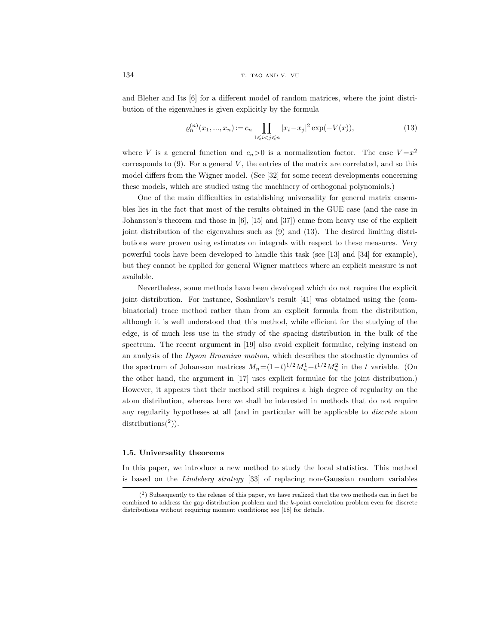and Bleher and Its [6] for a different model of random matrices, where the joint distribution of the eigenvalues is given explicitly by the formula

$$
\varrho_n^{(n)}(x_1, ..., x_n) := c_n \prod_{1 \leqslant i < j \leqslant n} |x_i - x_j|^2 \exp(-V(x)),\tag{13}
$$

where V is a general function and  $c_n>0$  is a normalization factor. The case  $V=x^2$ corresponds to  $(9)$ . For a general V, the entries of the matrix are correlated, and so this model differs from the Wigner model. (See [32] for some recent developments concerning these models, which are studied using the machinery of orthogonal polynomials.)

One of the main difficulties in establishing universality for general matrix ensembles lies in the fact that most of the results obtained in the GUE case (and the case in Johansson's theorem and those in [6], [15] and [37]) came from heavy use of the explicit joint distribution of the eigenvalues such as (9) and (13). The desired limiting distributions were proven using estimates on integrals with respect to these measures. Very powerful tools have been developed to handle this task (see [13] and [34] for example), but they cannot be applied for general Wigner matrices where an explicit measure is not available.

Nevertheless, some methods have been developed which do not require the explicit joint distribution. For instance, Soshnikov's result [41] was obtained using the (combinatorial) trace method rather than from an explicit formula from the distribution, although it is well understood that this method, while efficient for the studying of the edge, is of much less use in the study of the spacing distribution in the bulk of the spectrum. The recent argument in [19] also avoid explicit formulae, relying instead on an analysis of the Dyson Brownian motion, which describes the stochastic dynamics of the spectrum of Johansson matrices  $M_n = (1-t)^{1/2} M_n^1 + t^{1/2} M_n^2$  in the t variable. (On the other hand, the argument in [17] uses explicit formulae for the joint distribution.) However, it appears that their method still requires a high degree of regularity on the atom distribution, whereas here we shall be interested in methods that do not require any regularity hypotheses at all (and in particular will be applicable to discrete atom  $distributions<sup>(2)</sup>).$ 

#### 1.5. Universality theorems

In this paper, we introduce a new method to study the local statistics. This method is based on the Lindeberg strategy [33] of replacing non-Gaussian random variables

 $(2)$  Subsequently to the release of this paper, we have realized that the two methods can in fact be combined to address the gap distribution problem and the k-point correlation problem even for discrete distributions without requiring moment conditions; see [18] for details.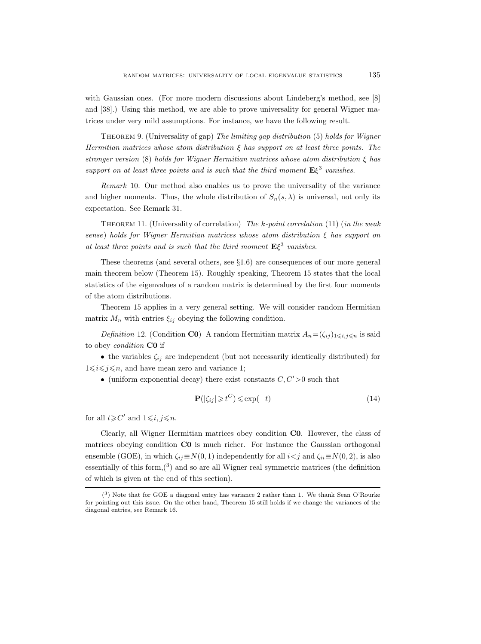with Gaussian ones. (For more modern discussions about Lindeberg's method, see [8] and [38].) Using this method, we are able to prove universality for general Wigner matrices under very mild assumptions. For instance, we have the following result.

THEOREM 9. (Universality of gap) The limiting gap distribution (5) holds for Wigner Hermitian matrices whose atom distribution  $\xi$  has support on at least three points. The stronger version (8) holds for Wigner Hermitian matrices whose atom distribution  $\xi$  has support on at least three points and is such that the third moment  $E\xi^3$  vanishes.

Remark 10. Our method also enables us to prove the universality of the variance and higher moments. Thus, the whole distribution of  $S_n(s, \lambda)$  is universal, not only its expectation. See Remark 31.

THEOREM 11. (Universality of correlation) The  $k$ -point correlation (11) (in the weak sense) holds for Wigner Hermitian matrices whose atom distribution ξ has support on at least three points and is such that the third moment  $E\xi^3$  vanishes.

These theorems (and several others, see §1.6) are consequences of our more general main theorem below (Theorem 15). Roughly speaking, Theorem 15 states that the local statistics of the eigenvalues of a random matrix is determined by the first four moments of the atom distributions.

Theorem 15 applies in a very general setting. We will consider random Hermitian matrix  $M_n$  with entries  $\xi_{ij}$  obeying the following condition.

Definition 12. (Condition C0) A random Hermitian matrix  $A_n = (\zeta_{ij})_{1 \leq i,j \leq n}$  is said to obey *condition* CO if

• the variables  $\zeta_{ij}$  are independent (but not necessarily identically distributed) for  $1 \leq i \leq j \leq n$ , and have mean zero and variance 1;

• (uniform exponential decay) there exist constants  $C, C' > 0$  such that

$$
\mathbf{P}(|\zeta_{ij}| \geq t^C) \leq \exp(-t) \tag{14}
$$

for all  $t \geqslant C'$  and  $1 \leqslant i, j \leqslant n$ .

Clearly, all Wigner Hermitian matrices obey condition C0. However, the class of matrices obeying condition **CO** is much richer. For instance the Gaussian orthogonal ensemble (GOE), in which  $\zeta_{ij} \equiv N(0, 1)$  independently for all  $i < j$  and  $\zeta_{ii} \equiv N(0, 2)$ , is also essentially of this form, $(3)$  and so are all Wigner real symmetric matrices (the definition of which is given at the end of this section).

<sup>(</sup> 3 ) Note that for GOE a diagonal entry has variance 2 rather than 1. We thank Sean O'Rourke for pointing out this issue. On the other hand, Theorem 15 still holds if we change the variances of the diagonal entries, see Remark 16.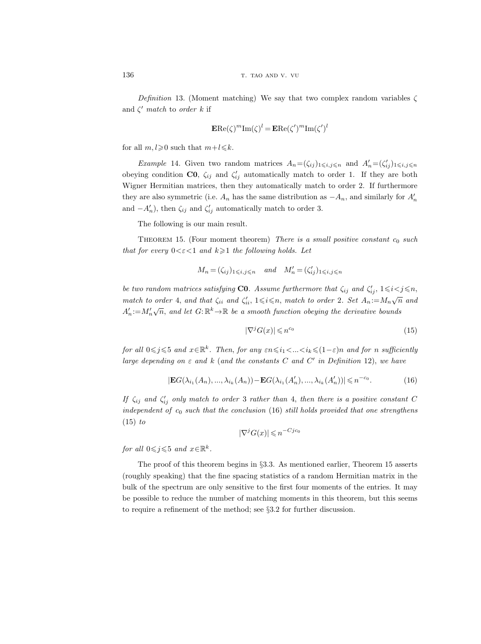Definition 13. (Moment matching) We say that two complex random variables  $\zeta$ and  $\zeta'$  match to order k if

$$
\mathbf{ERe}(\zeta)^m \mathbf{Im}(\zeta)^l = \mathbf{ERe}(\zeta')^m \mathbf{Im}(\zeta')^l
$$

for all  $m, l \geq 0$  such that  $m+l \leq k$ .

*Example* 14. Given two random matrices  $A_n = (\zeta_{ij})_{1 \leq i,j \leq n}$  and  $A'_n = (\zeta'_{ij})_{1 \leq i,j \leq n}$ obeying condition **CO**,  $\zeta_{ij}$  and  $\zeta'_{ij}$  automatically match to order 1. If they are both Wigner Hermitian matrices, then they automatically match to order 2. If furthermore they are also symmetric (i.e.  $A_n$  has the same distribution as  $-A_n$ , and similarly for  $A'_n$ and  $-A'_n$ ), then  $\zeta_{ij}$  and  $\zeta'_{ij}$  automatically match to order 3.

The following is our main result.

THEOREM 15. (Four moment theorem) There is a small positive constant  $c_0$  such that for every  $0 < \varepsilon < 1$  and  $k \geq 1$  the following holds. Let

$$
M_n = (\zeta_{ij})_{1 \leq i,j \leq n} \quad \text{and} \quad M'_n = (\zeta'_{ij})_{1 \leq i,j \leq n}
$$

be two random matrices satisfying **CO**. Assume furthermore that  $\zeta_{ij}$  and  $\zeta'_{ij}$ ,  $1 \leq i < j \leq n$ , match to order 4, and that  $\zeta_{ii}$  and  $\zeta'_{ii}$ ,  $1 \le i \le n$ , match to order 2. Set  $A_n := M_n \sqrt{n}$  and  $A'_n := M'_n$  $\sqrt{n}$ , and let  $G: \mathbb{R}^k \to \mathbb{R}$  be a smooth function obeying the derivative bounds

$$
|\nabla^j G(x)| \leqslant n^{c_0} \tag{15}
$$

for all  $0 \leq j \leq 5$  and  $x \in \mathbb{R}^k$ . Then, for any  $\varepsilon n \leq i_1 < ... < i_k \leq (1 - \varepsilon)n$  and for n sufficiently large depending on  $\varepsilon$  and  $k$  (and the constants C and C' in Definition 12), we have

$$
|\mathbf{E}G(\lambda_{i_1}(A_n),...,\lambda_{i_k}(A_n)) - \mathbf{E}G(\lambda_{i_1}(A'_n),...,\lambda_{i_k}(A'_n))| \leq n^{-c_0}.
$$
 (16)

If  $\zeta_{ij}$  and  $\zeta'_{ij}$  only match to order 3 rather than 4, then there is a positive constant C independent of  $c_0$  such that the conclusion (16) still holds provided that one strengthens  $(15)$  to

$$
|\nabla^j G(x)| \leqslant n^{-Cjc_0}
$$

for all  $0 \leqslant j \leqslant 5$  and  $x \in \mathbb{R}^k$ .

The proof of this theorem begins in §3.3. As mentioned earlier, Theorem 15 asserts (roughly speaking) that the fine spacing statistics of a random Hermitian matrix in the bulk of the spectrum are only sensitive to the first four moments of the entries. It may be possible to reduce the number of matching moments in this theorem, but this seems to require a refinement of the method; see §3.2 for further discussion.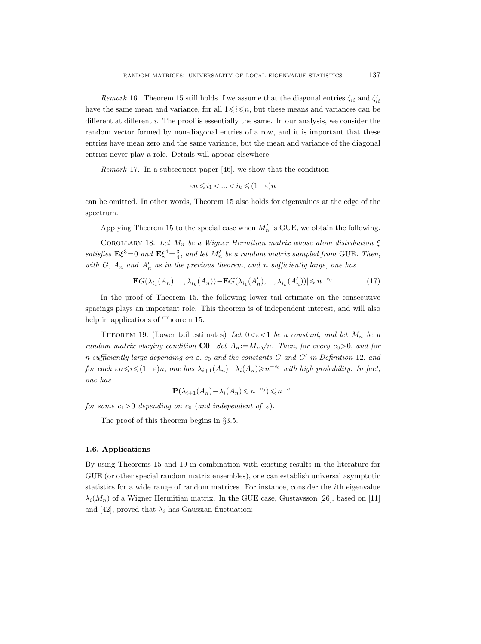Remark 16. Theorem 15 still holds if we assume that the diagonal entries  $\zeta_{ii}$  and  $\zeta'_{ii}$ have the same mean and variance, for all  $1 \leq i \leq n$ , but these means and variances can be different at different  $i$ . The proof is essentially the same. In our analysis, we consider the random vector formed by non-diagonal entries of a row, and it is important that these entries have mean zero and the same variance, but the mean and variance of the diagonal entries never play a role. Details will appear elsewhere.

Remark 17. In a subsequent paper [46], we show that the condition

$$
\varepsilon n \leqslant i_1 < \ldots < i_k \leqslant (1-\varepsilon) n
$$

can be omitted. In other words, Theorem 15 also holds for eigenvalues at the edge of the spectrum.

Applying Theorem 15 to the special case when  $M'_n$  is GUE, we obtain the following.

COROLLARY 18. Let  $M_n$  be a Wigner Hermitian matrix whose atom distribution  $\xi$ satisfies  $E\xi^3=0$  and  $E\xi^4=\frac{3}{4}$ , and let  $M'_n$  be a random matrix sampled from GUE. Then, with  $G$ ,  $A_n$  and  $A'_n$  as in the previous theorem, and n sufficiently large, one has

$$
|\mathbf{E}G(\lambda_{i_1}(A_n),...,\lambda_{i_k}(A_n)) - \mathbf{E}G(\lambda_{i_1}(A'_n),...,\lambda_{i_k}(A'_n))| \leq n^{-c_0}.
$$
 (17)

In the proof of Theorem 15, the following lower tail estimate on the consecutive spacings plays an important role. This theorem is of independent interest, and will also help in applications of Theorem 15.

THEOREM 19. (Lower tail estimates) Let  $0 < \varepsilon < 1$  be a constant, and let  $M_n$  be a random matrix obeying condition C0. Set  $A_n := M_n \sqrt{n}$ . Then, for every  $c_0 > 0$ , and for n sufficiently large depending on  $\varepsilon$ ,  $c_0$  and the constants C and C' in Definition 12, and for each  $\epsilon n \leq i \leq (1-\epsilon)n$ , one has  $\lambda_{i+1}(A_n) - \lambda_i(A_n) \geq n^{-c_0}$  with high probability. In fact, one has

$$
\mathbf{P}(\lambda_{i+1}(A_n) - \lambda_i(A_n) \leqslant n^{-c_0}) \leqslant n^{-c_1}
$$

for some  $c_1>0$  depending on  $c_0$  (and independent of  $\varepsilon$ ).

The proof of this theorem begins in §3.5.

#### 1.6. Applications

By using Theorems 15 and 19 in combination with existing results in the literature for GUE (or other special random matrix ensembles), one can establish universal asymptotic statistics for a wide range of random matrices. For instance, consider the ith eigenvalue  $\lambda_i(M_n)$  of a Wigner Hermitian matrix. In the GUE case, Gustavsson [26], based on [11] and [42], proved that  $\lambda_i$  has Gaussian fluctuation: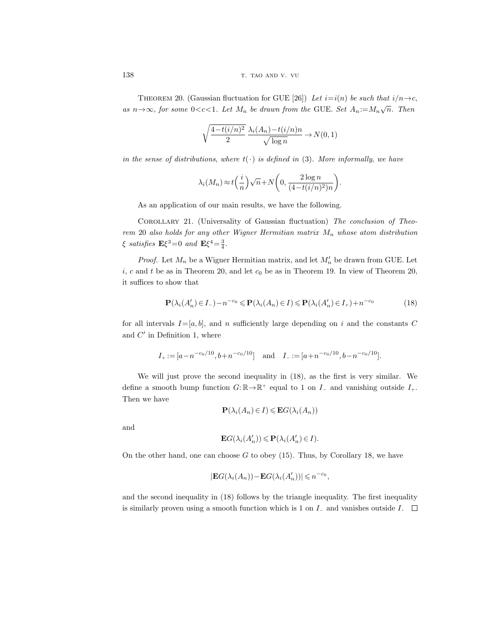THEOREM 20. (Gaussian fluctuation for GUE [26]) Let  $i=i(n)$  be such that  $i/n \rightarrow c$ , as  $n \rightarrow \infty$ , for some 0<c<1. Let  $M_n$  be drawn from the GUE. Set  $A_n := M_n \sqrt{n}$ . Then

$$
\sqrt{\frac{4 - t(i/n)^2}{2}} \frac{\lambda_i(A_n) - t(i/n)n}{\sqrt{\log n}} \to N(0, 1)
$$

in the sense of distributions, where  $t(\cdot)$  is defined in (3). More informally, we have

$$
\lambda_i(M_n) \approx t\left(\frac{i}{n}\right)\sqrt{n} + N\left(0, \frac{2\log n}{(4 - t(i/n)^2)n}\right).
$$

As an application of our main results, we have the following.

Corollary 21. (Universality of Gaussian fluctuation) The conclusion of Theorem 20 also holds for any other Wigner Hermitian matrix  $M_n$  whose atom distribution  $\xi$  satisfies  $E\xi^3=0$  and  $E\xi^4=\frac{3}{4}$ .

*Proof.* Let  $M_n$  be a Wigner Hermitian matrix, and let  $M'_n$  be drawn from GUE. Let  $i, c$  and t be as in Theorem 20, and let  $c_0$  be as in Theorem 19. In view of Theorem 20, it suffices to show that

$$
\mathbf{P}(\lambda_i(A'_n) \in I_-) - n^{-c_0} \leq \mathbf{P}(\lambda_i(A_n) \in I) \leq \mathbf{P}(\lambda_i(A'_n) \in I_+) + n^{-c_0}
$$
\n(18)

for all intervals  $I=[a, b]$ , and n sufficiently large depending on i and the constants C and  $C'$  in Definition 1, where

$$
I_{+} := [a - n^{-c_0/10}, b + n^{-c_0/10}] \text{ and } I_{-} := [a + n^{-c_0/10}, b - n^{-c_0/10}].
$$

We will just prove the second inequality in (18), as the first is very similar. We define a smooth bump function  $G: \mathbb{R} \to \mathbb{R}^+$  equal to 1 on  $I_-\$  and vanishing outside  $I_+$ . Then we have

$$
\mathbf{P}(\lambda_i(A_n) \in I) \leqslant \mathbf{E}G(\lambda_i(A_n))
$$

and

$$
\mathbf{E}G(\lambda_i(A'_n)) \leqslant \mathbf{P}(\lambda_i(A'_n) \in I).
$$

On the other hand, one can choose  $G$  to obey (15). Thus, by Corollary 18, we have

$$
|\mathbf{E}G(\lambda_i(A_n)) - \mathbf{E}G(\lambda_i(A'_n))| \leq n^{-c_0},
$$

and the second inequality in (18) follows by the triangle inequality. The first inequality is similarly proven using a smooth function which is 1 on  $I_-\,$  and vanishes outside  $I_-\,$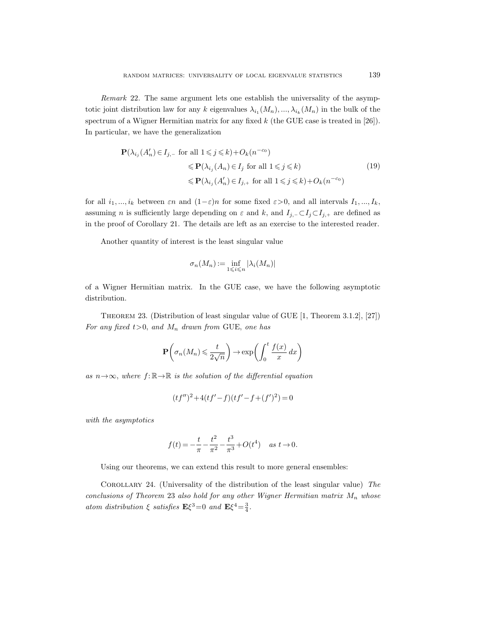Remark 22. The same argument lets one establish the universality of the asymptotic joint distribution law for any k eigenvalues  $\lambda_{i_1}(M_n),...,\lambda_{i_k}(M_n)$  in the bulk of the spectrum of a Wigner Hermitian matrix for any fixed  $k$  (the GUE case is treated in [26]). In particular, we have the generalization

$$
\mathbf{P}(\lambda_{i_j}(A'_n) \in I_{j,-} \text{ for all } 1 \leq j \leq k) + O_k(n^{-c_0})
$$
  
\n
$$
\leq \mathbf{P}(\lambda_{i_j}(A_n) \in I_j \text{ for all } 1 \leq j \leq k)
$$
  
\n
$$
\leq \mathbf{P}(\lambda_{i_j}(A'_n) \in I_{j,+} \text{ for all } 1 \leq j \leq k) + O_k(n^{-c_0})
$$
\n(19)

for all  $i_1, ..., i_k$  between  $\varepsilon n$  and  $(1-\varepsilon)n$  for some fixed  $\varepsilon > 0$ , and all intervals  $I_1, ..., I_k$ , assuming *n* is sufficiently large depending on  $\varepsilon$  and  $k$ , and  $I_{j,-} \subset I_j \subset I_{j,+}$  are defined as in the proof of Corollary 21. The details are left as an exercise to the interested reader.

Another quantity of interest is the least singular value

$$
\sigma_n(M_n):=\inf_{1\leqslant i\leqslant n}|\lambda_i(M_n)|
$$

of a Wigner Hermitian matrix. In the GUE case, we have the following asymptotic distribution.

Theorem 23. (Distribution of least singular value of GUE [1, Theorem 3.1.2], [27]) For any fixed  $t>0$ , and  $M_n$  drawn from GUE, one has

$$
\mathbf{P}\left(\sigma_n(M_n) \leqslant \frac{t}{2\sqrt{n}}\right) \to \exp\left(\int_0^t \frac{f(x)}{x} dx\right)
$$

as  $n \rightarrow \infty$ , where  $f: \mathbb{R} \rightarrow \mathbb{R}$  is the solution of the differential equation

$$
(tf'')^{2} + 4(tf'-f)(tf'-f+(f')^{2}) = 0
$$

with the asymptotics

$$
f(t) = -\frac{t}{\pi} - \frac{t^2}{\pi^2} - \frac{t^3}{\pi^3} + O(t^4) \quad \text{as } t \to 0.
$$

Using our theorems, we can extend this result to more general ensembles:

COROLLARY 24. (Universality of the distribution of the least singular value) The conclusions of Theorem 23 also hold for any other Wigner Hermitian matrix  $M_n$  whose atom distribution  $\xi$  satisfies  $\mathbf{E}\xi^3=0$  and  $\mathbf{E}\xi^4=\frac{3}{4}$ .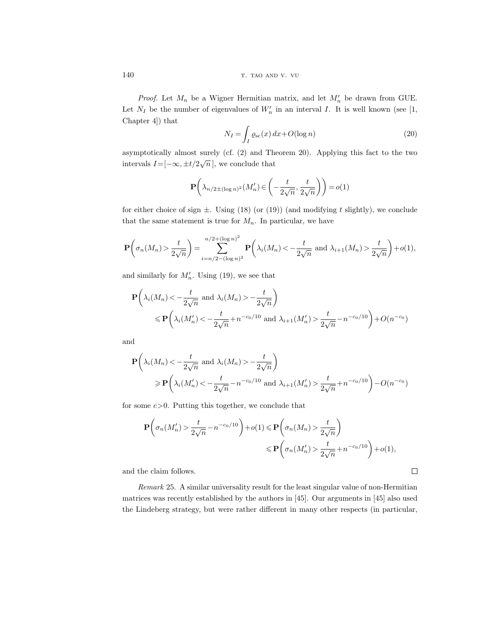140 T. TAO AND V. VU

*Proof.* Let  $M_n$  be a Wigner Hermitian matrix, and let  $M'_n$  be drawn from GUE. Let  $N_I$  be the number of eigenvalues of  $W_n'$  in an interval I. It is well known (see [1, Chapter 4]) that

$$
N_I = \int_I \varrho_{\rm sc}(x) \, dx + O(\log n) \tag{20}
$$

asymptotically almost surely (cf. (2) and Theorem 20). Applying this fact to the two intervals  $I = [-\infty, \pm t/2\sqrt{n}]$ , we conclude that

$$
\mathbf{P}\left(\lambda_{n/2\pm(\log n)^2}(M'_n)\in\left(-\frac{t}{2\sqrt{n}},\frac{t}{2\sqrt{n}}\right)\right)=o(1)
$$

for either choice of sign  $\pm$ . Using (18) (or (19)) (and modifying t slightly), we conclude that the same statement is true for  $M_n$ . In particular, we have

$$
\mathbf{P}\left(\sigma_n(M_n) > \frac{t}{2\sqrt{n}}\right) = \sum_{i=n/2 - (\log n)^2}^{n/2 + (\log n)^2} \mathbf{P}\left(\lambda_i(M_n) < -\frac{t}{2\sqrt{n}} \text{ and } \lambda_{i+1}(M_n) > \frac{t}{2\sqrt{n}}\right) + o(1),
$$

and similarly for  $M'_n$ . Using (19), we see that

$$
\mathbf{P}\left(\lambda_i(M_n) < -\frac{t}{2\sqrt{n}} \text{ and } \lambda_i(M_n) > -\frac{t}{2\sqrt{n}}\right) \le \mathbf{P}\left(\lambda_i(M'_n) < -\frac{t}{2\sqrt{n}} + n^{-c_0/10} \text{ and } \lambda_{i+1}(M'_n) > \frac{t}{2\sqrt{n}} - n^{-c_0/10}\right) + O(n^{-c_0})
$$

and

$$
\mathbf{P}\left(\lambda_i(M_n) < -\frac{t}{2\sqrt{n}} \text{ and } \lambda_i(M_n) > -\frac{t}{2\sqrt{n}}\right)
$$
\n
$$
\geq \mathbf{P}\left(\lambda_i(M_n') < -\frac{t}{2\sqrt{n}} - n^{-c_0/10} \text{ and } \lambda_{i+1}(M_n') > \frac{t}{2\sqrt{n}} + n^{-c_0/10}\right) - O(n^{-c_0})
$$

for some  $c > 0$ . Putting this together, we conclude that

$$
\mathbf{P}\left(\sigma_n(M'_n) > \frac{t}{2\sqrt{n}} - n^{-c_0/10}\right) + o(1) \le \mathbf{P}\left(\sigma_n(M_n) > \frac{t}{2\sqrt{n}}\right)
$$
  
\$\le \mathbf{P}\left(\sigma\_n(M'\_n) > \frac{t}{2\sqrt{n}} + n^{-c\_0/10}\right) + o(1)\$,

and the claim follows.

Remark 25. A similar universality result for the least singular value of non-Hermitian matrices was recently established by the authors in [45]. Our arguments in [45] also used the Lindeberg strategy, but were rather different in many other respects (in particular,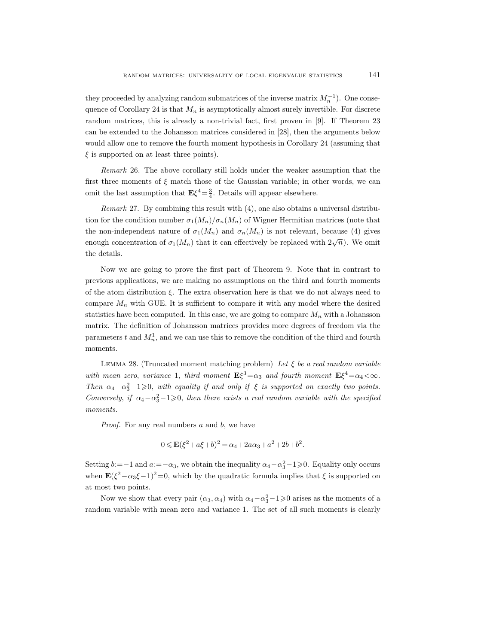they proceeded by analyzing random submatrices of the inverse matrix  $M_n^{-1}$ ). One consequence of Corollary 24 is that  $M_n$  is asymptotically almost surely invertible. For discrete random matrices, this is already a non-trivial fact, first proven in [9]. If Theorem 23 can be extended to the Johansson matrices considered in [28], then the arguments below would allow one to remove the fourth moment hypothesis in Corollary 24 (assuming that  $\xi$  is supported on at least three points).

Remark 26. The above corollary still holds under the weaker assumption that the first three moments of  $\xi$  match those of the Gaussian variable; in other words, we can omit the last assumption that  $E\xi^4 = \frac{3}{4}$ . Details will appear elsewhere.

Remark 27. By combining this result with (4), one also obtains a universal distribution for the condition number  $\sigma_1(M_n)/\sigma_n(M_n)$  of Wigner Hermitian matrices (note that the non-independent nature of  $\sigma_1(M_n)$  and  $\sigma_n(M_n)$  is not relevant, because (4) gives enough concentration of  $\sigma_1(M_n)$  that it can effectively be replaced with  $2\sqrt{n}$ ). We omit the details.

Now we are going to prove the first part of Theorem 9. Note that in contrast to previous applications, we are making no assumptions on the third and fourth moments of the atom distribution ξ. The extra observation here is that we do not always need to compare  $M_n$  with GUE. It is sufficient to compare it with any model where the desired statistics have been computed. In this case, we are going to compare  $M_n$  with a Johansson matrix. The definition of Johansson matrices provides more degrees of freedom via the parameters t and  $M_n^1$ , and we can use this to remove the condition of the third and fourth moments.

LEMMA 28. (Truncated moment matching problem) Let  $\xi$  be a real random variable with mean zero, variance 1, third moment  $\mathbf{E}\xi^3 = \alpha_3$  and fourth moment  $\mathbf{E}\xi^4 = \alpha_4 < \infty$ . Then  $\alpha_4-\alpha_3^2-1\geqslant 0$ , with equality if and only if  $\xi$  is supported on exactly two points. Conversely, if  $\alpha_4-\alpha_3^2-1\geqslant 0$ , then there exists a real random variable with the specified moments.

Proof. For any real numbers a and b, we have

$$
0 \leqslant \mathbf{E}(\xi^2 + a\xi + b)^2 = \alpha_4 + 2a\alpha_3 + a^2 + 2b + b^2.
$$

Setting  $b:=-1$  and  $a:=-\alpha_3$ , we obtain the inequality  $\alpha_4-\alpha_3^2-1\geq 0$ . Equality only occurs when  $\mathbf{E}(\xi^2-\alpha_3\xi-1)^2=0$ , which by the quadratic formula implies that  $\xi$  is supported on at most two points.

Now we show that every pair  $(\alpha_3, \alpha_4)$  with  $\alpha_4 - \alpha_3^2 - 1 \geq 0$  arises as the moments of a random variable with mean zero and variance 1. The set of all such moments is clearly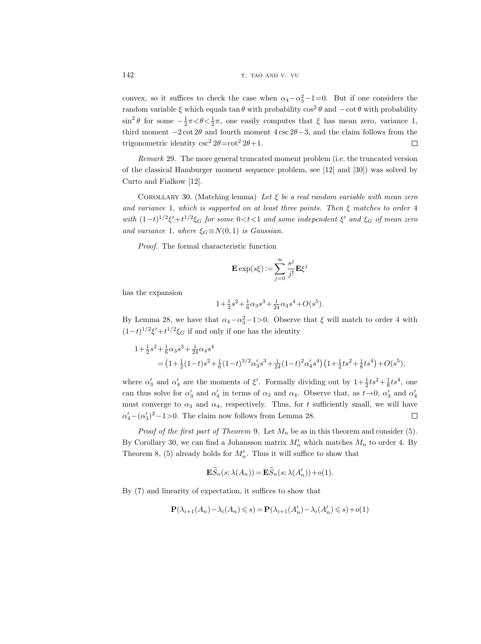convex, so it suffices to check the case when  $\alpha_4 - \alpha_3^2 - 1 = 0$ . But if one considers the random variable  $\xi$  which equals tan  $\theta$  with probability  $\cos^2 \theta$  and  $-\cot \theta$  with probability  $\sin^2 \theta$  for some  $-\frac{1}{2}\pi < \theta < \frac{1}{2}\pi$ , one easily computes that  $\xi$  has mean zero, variance 1, third moment  $-2 \cot 2\theta$  and fourth moment  $4 \csc 2\theta - 3$ , and the claim follows from the trigonometric identity  $\csc^2 2\theta = \cot^2 2\theta + 1$ .  $\Box$ 

Remark 29. The more general truncated moment problem (i.e. the truncated version of the classical Hamburger moment sequence problem, see [12] and [30]) was solved by Curto and Fialkow [12].

COROLLARY 30. (Matching lemma) Let  $\xi$  be a real random variable with mean zero and variance 1, which is supported on at least three points. Then  $\xi$  matches to order 4 with  $(1-t)^{1/2}\xi' + t^{1/2}\xi_G$  for some  $0 < t < 1$  and some independent  $\xi'$  and  $\xi_G$  of mean zero and variance 1, where  $\xi_G \equiv N(0, 1)$  is Gaussian.

Proof. The formal characteristic function

$$
\mathbf{E}\exp(s\xi):=\sum_{j=0}^\infty \frac{s^j}{j!}\mathbf{E}\xi^j
$$

has the expansion

$$
1\!+\!\tfrac{1}{2}s^2\!+\!\tfrac{1}{6}\alpha_3s^3\!+\!\tfrac{1}{24}\alpha_4s^4\!+\!O(s^5).
$$

By Lemma 28, we have that  $\alpha_4-\alpha_3^2-1>0$ . Observe that  $\xi$  will match to order 4 with  $(1-t)^{1/2}\xi' + t^{1/2}\xi_G$  if and only if one has the identity

$$
\begin{aligned}1+\tfrac{1}{2}s^2+\tfrac{1}{6}\alpha_3 s^3+\tfrac{1}{24}\alpha_4 s^4\\&=\big(1+\tfrac{1}{2}(1-t)s^2+\tfrac{1}{6}(1-t)^{3/2}\alpha_3's^3+\tfrac{1}{24}(1-t)^2\alpha_4's^4\big)\big(1+\tfrac{1}{2}ts^2+\tfrac{1}{8}ts^4\big)+O(s^5),\end{aligned}
$$

where  $\alpha'_3$  and  $\alpha'_4$  are the moments of  $\xi'$ . Formally dividing out by  $1+\frac{1}{2}ts^2+\frac{1}{8}ts^4$ , one can thus solve for  $\alpha'_3$  and  $\alpha'_4$  in terms of  $\alpha_3$  and  $\alpha_4$ . Observe that, as  $t\rightarrow 0$ ,  $\alpha'_3$  and  $\alpha'_4$ must converge to  $\alpha_3$  and  $\alpha_4$ , respectively. Thus, for t sufficiently small, we will have  $\alpha'_4 - (\alpha'_3)^2 - 1 > 0$ . The claim now follows from Lemma 28.  $\Box$ 

*Proof of the first part of Theorem 9.* Let  $M_n$  be as in this theorem and consider (5). By Corollary 30, we can find a Johansson matrix  $M'_n$  which matches  $M_n$  to order 4. By Theorem 8, (5) already holds for  $M'_n$ . Thus it will suffice to show that

$$
\mathbf{E}\widetilde{S}_n(s;\lambda(A_n)) = \mathbf{E}\widetilde{S}_n(s;\lambda(A'_n)) + o(1).
$$

By (7) and linearity of expectation, it suffices to show that

$$
\mathbf{P}(\lambda_{i+1}(A_n) - \lambda_i(A_n) \leqslant s) = \mathbf{P}(\lambda_{i+1}(A'_n) - \lambda_i(A'_n) \leqslant s) + o(1)
$$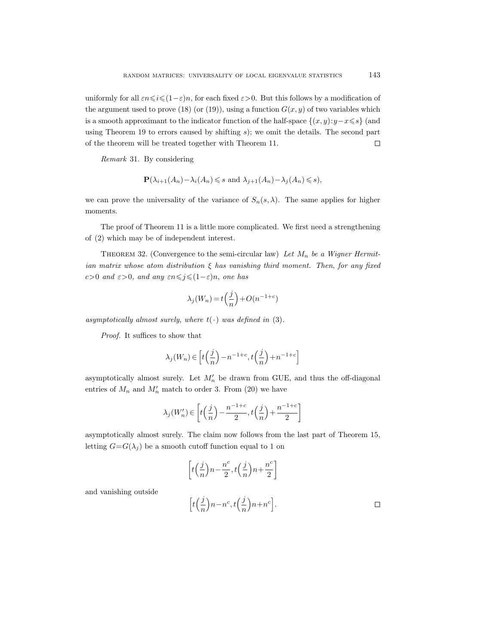uniformly for all  $\varepsilon n \leq i \leq (1-\varepsilon)n$ , for each fixed  $\varepsilon > 0$ . But this follows by a modification of the argument used to prove (18) (or (19)), using a function  $G(x, y)$  of two variables which is a smooth approximant to the indicator function of the half-space  $\{(x, y): y - x \leq s\}$  (and using Theorem 19 to errors caused by shifting s); we omit the details. The second part of the theorem will be treated together with Theorem 11.  $\Box$ 

Remark 31. By considering

$$
\mathbf{P}(\lambda_{i+1}(A_n) - \lambda_i(A_n) \leq s \text{ and } \lambda_{j+1}(A_n) - \lambda_j(A_n) \leq s),
$$

we can prove the universality of the variance of  $S_n(s, \lambda)$ . The same applies for higher moments.

The proof of Theorem 11 is a little more complicated. We first need a strengthening of (2) which may be of independent interest.

THEOREM 32. (Convergence to the semi-circular law) Let  $M_n$  be a Wigner Hermitian matrix whose atom distribution  $\xi$  has vanishing third moment. Then, for any fixed c>0 and  $\varepsilon$ >0, and any  $\varepsilon n \leq j \leq (1-\varepsilon)n$ , one has

$$
\lambda_j(W_n) = t\left(\frac{j}{n}\right) + O(n^{-1+c})
$$

asymptotically almost surely, where  $t(\cdot)$  was defined in (3).

Proof. It suffices to show that

$$
\lambda_j(W_n) \in \left[ t\left(\frac{j}{n}\right) - n^{-1+c}, t\left(\frac{j}{n}\right) + n^{-1+c} \right]
$$

asymptotically almost surely. Let  $M'_n$  be drawn from GUE, and thus the off-diagonal entries of  $M_n$  and  $M'_n$  match to order 3. From (20) we have

$$
\lambda_j(W'_n) \in \left[t\Big(\frac{j}{n}\Big)-\frac{n^{-1+c}}{2}, t\Big(\frac{j}{n}\Big)+\frac{n^{-1+c}}{2}\right]
$$

asymptotically almost surely. The claim now follows from the last part of Theorem 15, letting  $G = G(\lambda_i)$  be a smooth cutoff function equal to 1 on

$$
\left[t\left(\frac{j}{n}\right)n - \frac{n^c}{2}, t\left(\frac{j}{n}\right)n + \frac{n^c}{2}\right]
$$

and vanishing outside

$$
\Big[t\Big(\frac{j}{n}\Big)n - n^c, t\Big(\frac{j}{n}\Big)n + n^c\Big].\qquad \qquad \Box
$$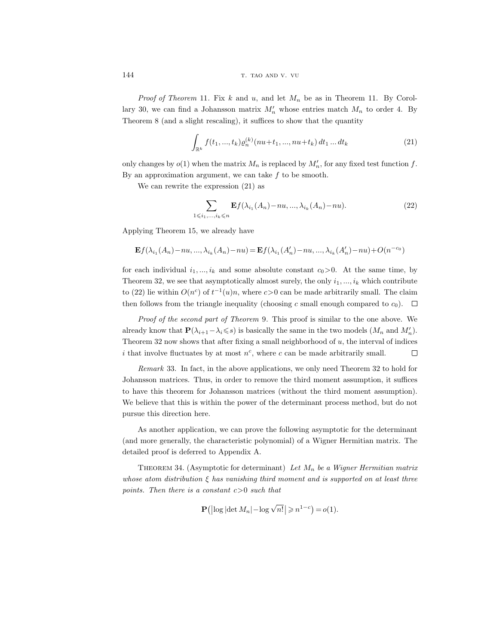144 T. TAO AND V. VU

*Proof of Theorem* 11. Fix k and u, and let  $M_n$  be as in Theorem 11. By Corollary 30, we can find a Johansson matrix  $M'_n$  whose entries match  $M_n$  to order 4. By Theorem 8 (and a slight rescaling), it suffices to show that the quantity

$$
\int_{\mathbb{R}^k} f(t_1, ..., t_k) \varrho_n^{(k)}(nu + t_1, ..., nu + t_k) dt_1 ... dt_k
$$
\n(21)

only changes by  $o(1)$  when the matrix  $M_n$  is replaced by  $M'_n$ , for any fixed test function f. By an approximation argument, we can take  $f$  to be smooth.

We can rewrite the expression (21) as

$$
\sum_{1 \leq i_1, \dots, i_k \leq n} \mathbf{E} f(\lambda_{i_1}(A_n) - nu, \dots, \lambda_{i_k}(A_n) - nu). \tag{22}
$$

Applying Theorem 15, we already have

$$
\mathbf{E} f (\lambda_{i_1}(A_n) - n u, ..., \lambda_{i_k}(A_n) - n u) = \mathbf{E} f (\lambda_{i_1}(A_n') - n u, ..., \lambda_{i_k}(A_n') - n u) + O(n^{-c_0})
$$

for each individual  $i_1, ..., i_k$  and some absolute constant  $c_0 > 0$ . At the same time, by Theorem 32, we see that asymptotically almost surely, the only  $i_1, ..., i_k$  which contribute to (22) lie within  $O(n^c)$  of  $t^{-1}(u)n$ , where  $c>0$  can be made arbitrarily small. The claim then follows from the triangle inequality (choosing c small enough compared to  $c_0$ ).  $\Box$ 

Proof of the second part of Theorem 9. This proof is similar to the one above. We already know that  $\mathbf{P}(\lambda_{i+1} - \lambda_i \leq s)$  is basically the same in the two models  $(M_n \text{ and } M'_n)$ . Theorem 32 now shows that after fixing a small neighborhood of  $u$ , the interval of indices i that involve fluctuates by at most  $n^c$ , where c can be made arbitrarily small.  $\Box$ 

Remark 33. In fact, in the above applications, we only need Theorem 32 to hold for Johansson matrices. Thus, in order to remove the third moment assumption, it suffices to have this theorem for Johansson matrices (without the third moment assumption). We believe that this is within the power of the determinant process method, but do not pursue this direction here.

As another application, we can prove the following asymptotic for the determinant (and more generally, the characteristic polynomial) of a Wigner Hermitian matrix. The detailed proof is deferred to Appendix A.

THEOREM 34. (Asymptotic for determinant) Let  $M_n$  be a Wigner Hermitian matrix whose atom distribution  $\xi$  has vanishing third moment and is supported on at least three points. Then there is a constant  $c>0$  such that

$$
\mathbf{P}\big(\big|\log|\det M_n| - \log\sqrt{n!}\big| \geqslant n^{1-c}\big) = o(1).
$$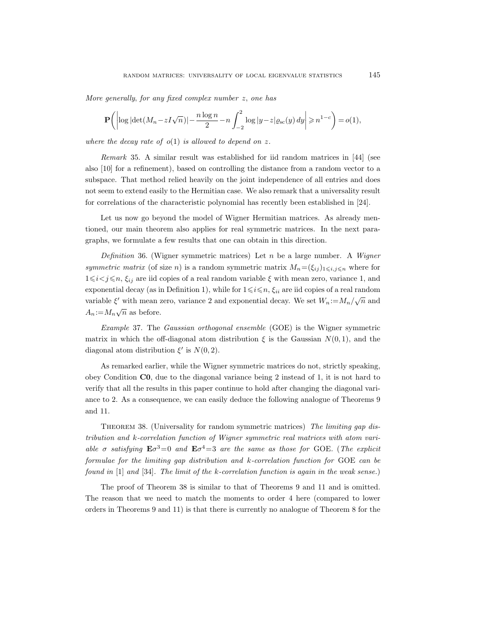More generally, for any fixed complex number z, one has

$$
\mathbf{P}\bigg(\bigg|\log|\det(M_n - zI\sqrt{n})| - \frac{n\log n}{2} - n\int_{-2}^2 \log|y - z|\varrho_{\rm sc}(y) dy\bigg| \ge n^{1-c}\bigg) = o(1),
$$

where the decay rate of  $o(1)$  is allowed to depend on z.

Remark 35. A similar result was established for iid random matrices in [44] (see also [10] for a refinement), based on controlling the distance from a random vector to a subspace. That method relied heavily on the joint independence of all entries and does not seem to extend easily to the Hermitian case. We also remark that a universality result for correlations of the characteristic polynomial has recently been established in [24].

Let us now go beyond the model of Wigner Hermitian matrices. As already mentioned, our main theorem also applies for real symmetric matrices. In the next paragraphs, we formulate a few results that one can obtain in this direction.

Definition 36. (Wigner symmetric matrices) Let n be a large number. A Wigner symmetric matrix (of size n) is a random symmetric matrix  $M_n = (\xi_{ij})_{1 \leq i,j \leq n}$  where for  $1\leq i< j\leq n$ ,  $\xi_{ij}$  are iid copies of a real random variable  $\xi$  with mean zero, variance 1, and exponential decay (as in Definition 1), while for  $1 \leq i \leq n$ ,  $\xi_{ii}$  are iid copies of a real random variable  $\xi'$  with mean zero, variance 2 and exponential decay. We set  $W_n := M_n / \sqrt{n}$  and  $A_n := M_n \sqrt{n}$  as before.

Example 37. The Gaussian orthogonal ensemble (GOE) is the Wigner symmetric matrix in which the off-diagonal atom distribution  $\xi$  is the Gaussian  $N(0, 1)$ , and the diagonal atom distribution  $\xi'$  is  $N(0, 2)$ .

As remarked earlier, while the Wigner symmetric matrices do not, strictly speaking, obey Condition C0, due to the diagonal variance being 2 instead of 1, it is not hard to verify that all the results in this paper continue to hold after changing the diagonal variance to 2. As a consequence, we can easily deduce the following analogue of Theorems 9 and 11.

THEOREM 38. (Universality for random symmetric matrices) The limiting gap distribution and k-correlation function of Wigner symmetric real matrices with atom variable  $\sigma$  satisfying  $E \sigma^3 = 0$  and  $E \sigma^4 = 3$  are the same as those for GOE. (The explicit formulae for the limiting gap distribution and  $k$ -correlation function for GOE can be found in  $[1]$  and  $[34]$ . The limit of the k-correlation function is again in the weak sense.)

The proof of Theorem 38 is similar to that of Theorems 9 and 11 and is omitted. The reason that we need to match the moments to order 4 here (compared to lower orders in Theorems 9 and 11) is that there is currently no analogue of Theorem 8 for the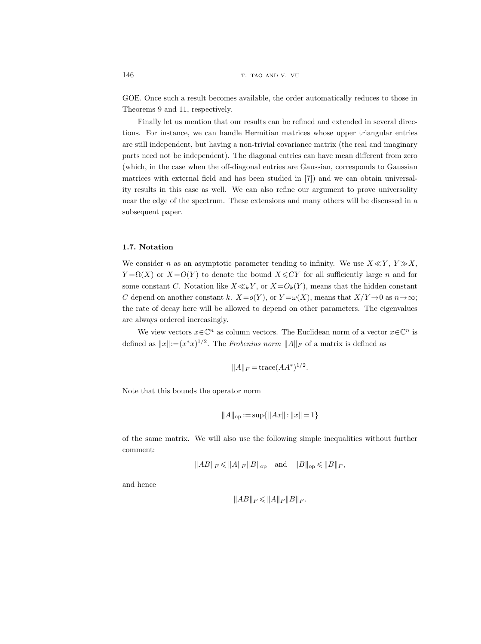GOE. Once such a result becomes available, the order automatically reduces to those in Theorems 9 and 11, respectively.

Finally let us mention that our results can be refined and extended in several directions. For instance, we can handle Hermitian matrices whose upper triangular entries are still independent, but having a non-trivial covariance matrix (the real and imaginary parts need not be independent). The diagonal entries can have mean different from zero (which, in the case when the off-diagonal entries are Gaussian, corresponds to Gaussian matrices with external field and has been studied in [7]) and we can obtain universality results in this case as well. We can also refine our argument to prove universality near the edge of the spectrum. These extensions and many others will be discussed in a subsequent paper.

# 1.7. Notation

We consider n as an asymptotic parameter tending to infinity. We use  $X \ll Y$ ,  $Y \gg X$ ,  $Y = \Omega(X)$  or  $X = O(Y)$  to denote the bound  $X \leq CY$  for all sufficiently large n and for some constant C. Notation like  $X \ll_k Y$ , or  $X = O_k(Y)$ , means that the hidden constant C depend on another constant k.  $X=o(Y)$ , or  $Y=\omega(X)$ , means that  $X/Y\to 0$  as  $n\to\infty$ ; the rate of decay here will be allowed to depend on other parameters. The eigenvalues are always ordered increasingly.

We view vectors  $x \in \mathbb{C}^n$  as column vectors. The Euclidean norm of a vector  $x \in \mathbb{C}^n$  is defined as  $||x|| := (x^*x)^{1/2}$ . The Frobenius norm  $||A||_F$  of a matrix is defined as

$$
||A||_F = \operatorname{trace}(AA^*)^{1/2}.
$$

Note that this bounds the operator norm

$$
||A||_{op} := \sup\{||Ax|| : ||x|| = 1\}
$$

of the same matrix. We will also use the following simple inequalities without further comment:

$$
||AB||_F \le ||A||_F ||B||_{\text{op}} \quad \text{and} \quad ||B||_{\text{op}} \le ||B||_F,
$$

and hence

$$
||AB||_F\leqslant ||A||_F||B||_F.
$$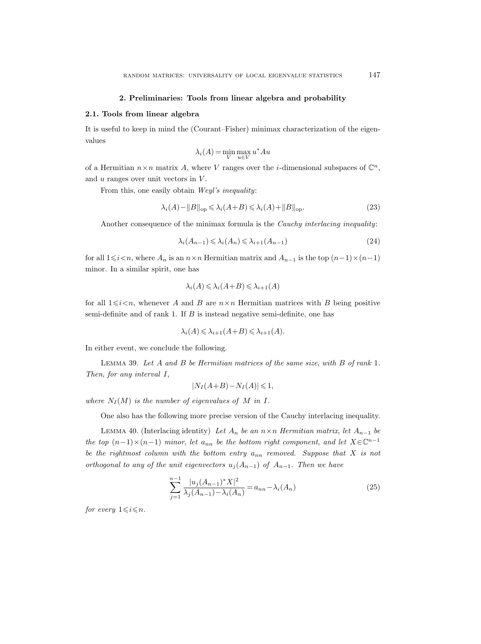### 2. Preliminaries: Tools from linear algebra and probability

#### 2.1. Tools from linear algebra

It is useful to keep in mind the (Courant–Fisher) minimax characterization of the eigenvalues

$$
\lambda_i(A) = \min_{V} \max_{u \in V} u^* A u
$$

of a Hermitian  $n \times n$  matrix A, where V ranges over the *i*-dimensional subspaces of  $\mathbb{C}^n$ , and  $u$  ranges over unit vectors in  $V$ .

From this, one easily obtain Weyl's inequality:

$$
\lambda_i(A) - ||B||_{\text{op}} \leq \lambda_i(A+B) \leq \lambda_i(A) + ||B||_{\text{op}}.\tag{23}
$$

Another consequence of the minimax formula is the Cauchy interlacing inequality:

$$
\lambda_i(A_{n-1}) \leq \lambda_i(A_n) \leq \lambda_{i+1}(A_{n-1})\tag{24}
$$

for all  $1\leq i\leq n$ , where  $A_n$  is an  $n\times n$  Hermitian matrix and  $A_{n-1}$  is the top  $(n-1)\times(n-1)$ minor. In a similar spirit, one has

$$
\lambda_i(A) \leqslant \lambda_i(A+B) \leqslant \lambda_{i+1}(A)
$$

for all  $1\leq i\leq n$ , whenever A and B are  $n\times n$  Hermitian matrices with B being positive semi-definite and of rank 1. If  $B$  is instead negative semi-definite, one has

$$
\lambda_i(A) \leq \lambda_{i+1}(A+B) \leq \lambda_{i+1}(A).
$$

In either event, we conclude the following.

Lemma 39. Let A and B be Hermitian matrices of the same size, with B of rank 1. Then, for any interval I,

$$
|N_I(A+B) - N_I(A)| \leq 1,
$$

where  $N_I(M)$  is the number of eigenvalues of M in I.

One also has the following more precise version of the Cauchy interlacing inequality.

LEMMA 40. (Interlacing identity) Let  $A_n$  be an  $n \times n$  Hermitian matrix, let  $A_{n-1}$  be the top  $(n-1) \times (n-1)$  minor, let  $a_{nn}$  be the bottom right component, and let  $X \in \mathbb{C}^{n-1}$ be the rightmost column with the bottom entry  $a_{nn}$  removed. Suppose that X is not orthogonal to any of the unit eigenvectors  $u_j(A_{n-1})$  of  $A_{n-1}$ . Then we have

$$
\sum_{j=1}^{n-1} \frac{|u_j(A_{n-1})^* X|^2}{\lambda_j(A_{n-1}) - \lambda_i(A_n)} = a_{nn} - \lambda_i(A_n)
$$
\n(25)

for every  $1 \leq i \leq n$ .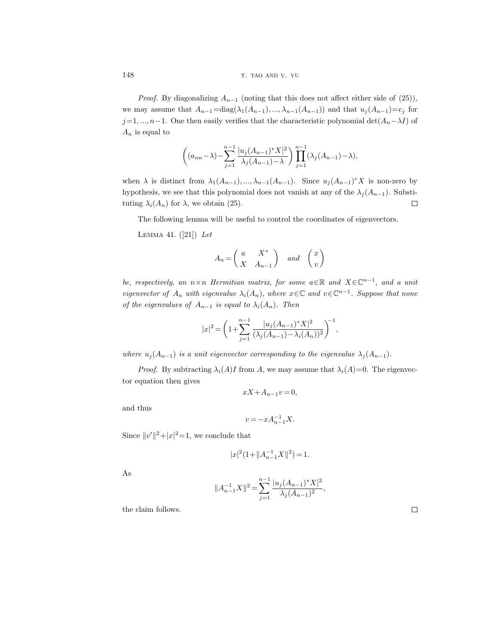*Proof.* By diagonalizing  $A_{n-1}$  (noting that this does not affect either side of (25)), we may assume that  $A_{n-1} = \text{diag}(\lambda_1(A_{n-1}), ..., \lambda_{n-1}(A_{n-1}))$  and that  $u_j(A_{n-1})=e_j$  for j=1, ..., n−1. One then easily verifies that the characteristic polynomial det( $A_n-\lambda I$ ) of  $A_n$  is equal to

$$
\left( (a_{nn} - \lambda) - \sum_{j=1}^{n-1} \frac{|u_j(A_{n-1})^* X|^2}{\lambda_j(A_{n-1}) - \lambda} \right) \prod_{j=1}^{n-1} (\lambda_j(A_{n-1}) - \lambda),
$$

when  $\lambda$  is distinct from  $\lambda_1(A_{n-1}),...,\lambda_{n-1}(A_{n-1})$ . Since  $u_j(A_{n-1})^*X$  is non-zero by hypothesis, we see that this polynomial does not vanish at any of the  $\lambda_j(A_{n-1})$ . Substi- $\Box$ tuting  $\lambda_i(A_n)$  for  $\lambda$ , we obtain (25).

The following lemma will be useful to control the coordinates of eigenvectors.

LEMMA 41.  $([21])$  Let

$$
A_n = \begin{pmatrix} a & X^* \\ X & A_{n-1} \end{pmatrix} \quad and \quad \begin{pmatrix} x \\ v \end{pmatrix}
$$

be, respectively, an  $n \times n$  Hermitian matrix, for some  $a \in \mathbb{R}$  and  $X \in \mathbb{C}^{n-1}$ , and a unit eigenvector of  $A_n$  with eigenvalue  $\lambda_i(A_n)$ , where  $x \in \mathbb{C}$  and  $v \in \mathbb{C}^{n-1}$ . Suppose that none of the eigenvalues of  $A_{n-1}$  is equal to  $\lambda_i(A_n)$ . Then

$$
|x|^2 = \left(1 + \sum_{j=1}^{n-1} \frac{|u_j(A_{n-1})^* X|^2}{(\lambda_j(A_{n-1}) - \lambda_i(A_n))^2}\right)^{-1},
$$

where  $u_j(A_{n-1})$  is a unit eigenvector corresponding to the eigenvalue  $\lambda_j(A_{n-1})$ .

*Proof.* By subtracting  $\lambda_i(A)I$  from A, we may assume that  $\lambda_i(A)=0$ . The eigenvector equation then gives

$$
xX + A_{n-1}v = 0,
$$

and thus

$$
v = -x A_{n-1}^{-1} X.
$$

Since  $||v'||^2 + |x|^2 = 1$ , we conclude that

$$
|x|^2(1+\|A_{n-1}^{-1}X\|^2) = 1.
$$

As

$$
||A_{n-1}^{-1}X||^2 = \sum_{j=1}^{n-1} \frac{|u_j(A_{n-1})^*X|^2}{\lambda_j(A_{n-1})^2},
$$

the claim follows.

 $\hfill\square$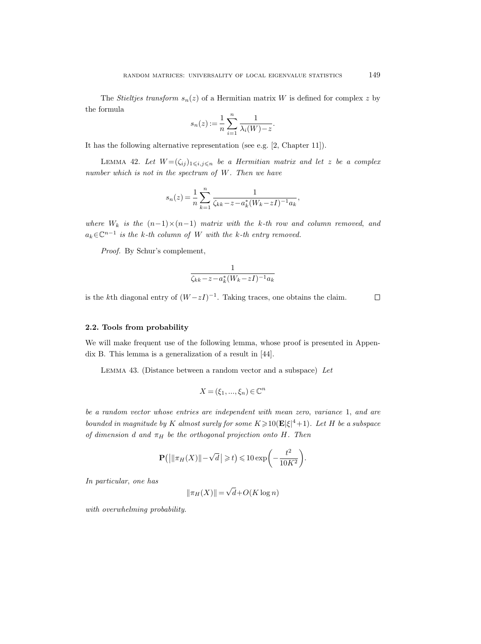The Stieltjes transform  $s_n(z)$  of a Hermitian matrix W is defined for complex z by the formula

$$
s_n(z) := \frac{1}{n} \sum_{i=1}^n \frac{1}{\lambda_i(W) - z}.
$$

It has the following alternative representation (see e.g. [2, Chapter 11]).

LEMMA 42. Let  $W = (\zeta_{ij})_{1 \leqslant i,j \leqslant n}$  be a Hermitian matrix and let z be a complex number which is not in the spectrum of W. Then we have

$$
s_n(z) = \frac{1}{n} \sum_{k=1}^n \frac{1}{\zeta_{kk} - z - a_k^*(W_k - zI)^{-1} a_k},
$$

where  $W_k$  is the  $(n-1)\times(n-1)$  matrix with the k-th row and column removed, and  $a_k \in \mathbb{C}^{n-1}$  is the k-th column of W with the k-th entry removed.

Proof. By Schur's complement,

$$
\frac{1}{\zeta_{kk} - z - a_k^*(W_k - zI)^{-1}a_k}
$$

is the kth diagonal entry of  $(W-zI)^{-1}$ . Taking traces, one obtains the claim.

#### $\Box$

# 2.2. Tools from probability

We will make frequent use of the following lemma, whose proof is presented in Appendix B. This lemma is a generalization of a result in [44].

Lemma 43. (Distance between a random vector and a subspace) Let

$$
X = (\xi_1, ..., \xi_n) \in \mathbb{C}^n
$$

be a random vector whose entries are independent with mean zero, variance 1, and are bounded in magnitude by K almost surely for some  $K \geq 10(\mathbf{E}|\xi|^4 + 1)$ . Let H be a subspace of dimension d and  $\pi_H$  be the orthogonal projection onto H. Then

$$
\mathbf{P}\left(\left|\left|\left|\pi_H(X)\right|\right|-\sqrt{d}\,\right|\geqslant t\right)\leqslant 10\exp\biggl(-\frac{t^2}{10K^2}\biggr).
$$

In particular, one has

$$
\|\pi_H(X)\| = \sqrt{d} + O(K \log n)
$$

with overwhelming probability.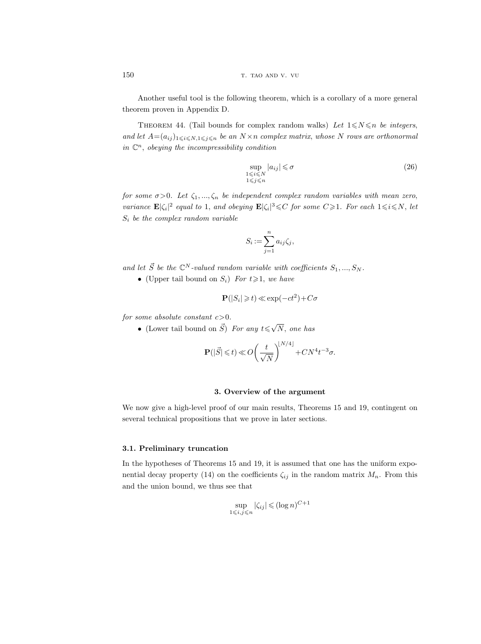Another useful tool is the following theorem, which is a corollary of a more general theorem proven in Appendix D.

THEOREM 44. (Tail bounds for complex random walks) Let  $1 \le N \le n$  be integers, and let  $A=(a_{ij})_{1\leqslant i\leqslant N,1\leqslant j\leqslant n}$  be an  $N\times n$  complex matrix, whose N rows are orthonormal in  $\mathbb{C}^n$ , obeying the incompressibility condition

$$
\sup_{\substack{1 \le i \le N \\ 1 \le j \le n}} |a_{ij}| \le \sigma \tag{26}
$$

for some  $\sigma > 0$ . Let  $\zeta_1, ..., \zeta_n$  be independent complex random variables with mean zero, variance  $\mathbf{E}|\zeta_i|^2$  equal to 1, and obeying  $\mathbf{E}|\zeta_i|^3 \leqslant C$  for some  $C \geqslant 1$ . For each  $1 \leqslant i \leqslant N$ , let  $S_i$  be the complex random variable

$$
S_i := \sum_{j=1}^n a_{ij} \zeta_j,
$$

and let  $\vec{S}$  be the  $\mathbb{C}^N$ -valued random variable with coefficients  $S_1, ..., S_N$ .

• (Upper tail bound on  $S_i$ ) For  $t \geq 1$ , we have

$$
\mathbf{P}(|S_i| \geq t) \ll \exp(-ct^2) + C\sigma
$$

for some absolute constant  $c > 0$ .

• (Lower tail bound on  $\vec{S}$ ) For any  $t \leq \sqrt{s}$ N, one has

$$
\mathbf{P}(|\vec{S}| \leqslant t) \ll O\bigg(\frac{t}{\sqrt{N}}\bigg)^{\!\!\lfloor N/4 \rfloor} + CN^4t^{-3}\sigma.
$$

# 3. Overview of the argument

We now give a high-level proof of our main results, Theorems 15 and 19, contingent on several technical propositions that we prove in later sections.

# 3.1. Preliminary truncation

In the hypotheses of Theorems 15 and 19, it is assumed that one has the uniform exponential decay property (14) on the coefficients  $\zeta_{ij}$  in the random matrix  $M_n$ . From this and the union bound, we thus see that

$$
\sup_{1 \le i,j \le n} |\zeta_{ij}| \le (\log n)^{C+1}
$$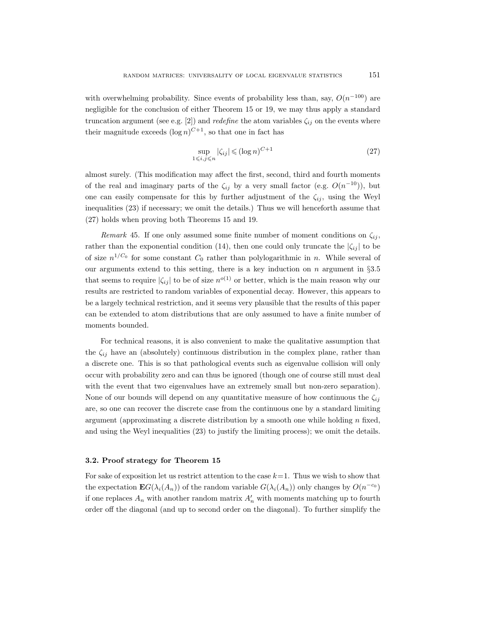with overwhelming probability. Since events of probability less than, say,  $O(n^{-100})$  are negligible for the conclusion of either Theorem 15 or 19, we may thus apply a standard truncation argument (see e.g. [2]) and *redefine* the atom variables  $\zeta_{ij}$  on the events where their magnitude exceeds  $(\log n)^{C+1}$ , so that one in fact has

$$
\sup_{1 \le i,j \le n} |\zeta_{ij}| \le (\log n)^{C+1} \tag{27}
$$

almost surely. (This modification may affect the first, second, third and fourth moments of the real and imaginary parts of the  $\zeta_{ij}$  by a very small factor (e.g.  $O(n^{-10})$ ), but one can easily compensate for this by further adjustment of the  $\zeta_{ij}$ , using the Weyl inequalities (23) if necessary; we omit the details.) Thus we will henceforth assume that (27) holds when proving both Theorems 15 and 19.

Remark 45. If one only assumed some finite number of moment conditions on  $\zeta_{ij}$ , rather than the exponential condition (14), then one could only truncate the  $|\zeta_{ij}|$  to be of size  $n^{1/C_0}$  for some constant  $C_0$  rather than polylogarithmic in n. While several of our arguments extend to this setting, there is a key induction on n argument in  $\S 3.5$ that seems to require  $|\zeta_{ij}|$  to be of size  $n^{o(1)}$  or better, which is the main reason why our results are restricted to random variables of exponential decay. However, this appears to be a largely technical restriction, and it seems very plausible that the results of this paper can be extended to atom distributions that are only assumed to have a finite number of moments bounded.

For technical reasons, it is also convenient to make the qualitative assumption that the  $\zeta_{ij}$  have an (absolutely) continuous distribution in the complex plane, rather than a discrete one. This is so that pathological events such as eigenvalue collision will only occur with probability zero and can thus be ignored (though one of course still must deal with the event that two eigenvalues have an extremely small but non-zero separation). None of our bounds will depend on any quantitative measure of how continuous the  $\zeta_{ij}$ are, so one can recover the discrete case from the continuous one by a standard limiting argument (approximating a discrete distribution by a smooth one while holding  $n$  fixed, and using the Weyl inequalities (23) to justify the limiting process); we omit the details.

### 3.2. Proof strategy for Theorem 15

For sake of exposition let us restrict attention to the case  $k=1$ . Thus we wish to show that the expectation  $\mathbf{E}G(\lambda_i(A_n))$  of the random variable  $G(\lambda_i(A_n))$  only changes by  $O(n^{-c_0})$ if one replaces  $A_n$  with another random matrix  $A'_n$  with moments matching up to fourth order off the diagonal (and up to second order on the diagonal). To further simplify the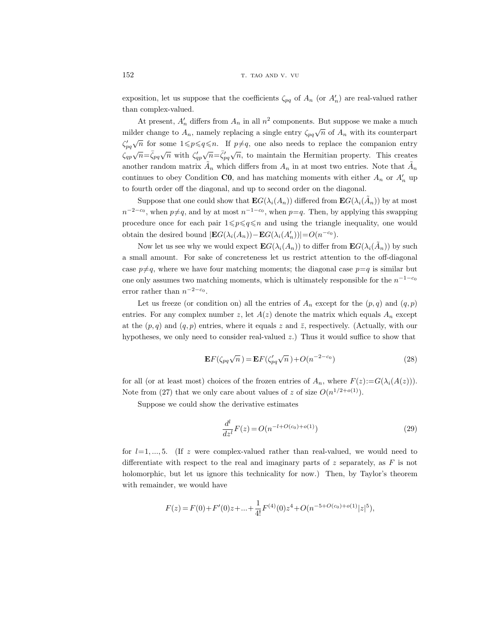exposition, let us suppose that the coefficients  $\zeta_{pq}$  of  $A_n$  (or  $A'_n$ ) are real-valued rather than complex-valued.

At present,  $A'_n$  differs from  $A_n$  in all  $n^2$  components. But suppose we make a much milder change to  $A_n$ , namely replacing a single entry  $\zeta_{pq}\sqrt{n}$  of  $A_n$  with its counterpart  $\zeta_{pq}^\prime$  $\sqrt{n}$  for some  $1 \leq p \leq q \leq n$ . If  $p \neq q$ , one also needs to replace the companion entry  $\zeta_{qp}\sqrt{n} = \bar{\zeta}_{pq}\sqrt{n}$  with  $\zeta_{qp}'$  $\sqrt{n} = \bar{\zeta}'_{pq}$  $\sqrt{n}$ , to maintain the Hermitian property. This creates another random matrix  $\tilde{A}_n$  which differs from  $A_n$  in at most two entries. Note that  $\tilde{A}_n$ continues to obey Condition  $\mathbf{C0}$ , and has matching moments with either  $A_n$  or  $A'_n$  up to fourth order off the diagonal, and up to second order on the diagonal.

Suppose that one could show that  $\mathbf{E}G(\lambda_i(A_n))$  differed from  $\mathbf{E}G(\lambda_i(\tilde{A}_n))$  by at most  $n^{-2-c_0}$ , when  $p \neq q$ , and by at most  $n^{-1-c_0}$ , when  $p=q$ . Then, by applying this swapping procedure once for each pair  $1 \leqslant p \leqslant q \leqslant n$  and using the triangle inequality, one would obtain the desired bound  $|\mathbf{E}G(\lambda_i(A_n)) - \mathbf{E}G(\lambda_i(A'_n))| = O(n^{-c_0}).$ 

Now let us see why we would expect  $\mathbf{E}G(\lambda_i(A_n))$  to differ from  $\mathbf{E}G(\lambda_i(\tilde{A}_n))$  by such a small amount. For sake of concreteness let us restrict attention to the off-diagonal case  $p\neq q$ , where we have four matching moments; the diagonal case  $p=q$  is similar but one only assumes two matching moments, which is ultimately responsible for the  $n^{-1-c_0}$ error rather than  $n^{-2-c_0}$ .

Let us freeze (or condition on) all the entries of  $A_n$  except for the  $(p, q)$  and  $(q, p)$ entries. For any complex number z, let  $A(z)$  denote the matrix which equals  $A_n$  except at the  $(p, q)$  and  $(q, p)$  entries, where it equals z and  $\overline{z}$ , respectively. (Actually, with our hypotheses, we only need to consider real-valued z.) Thus it would suffice to show that

$$
\mathbf{E}F(\zeta_{pq}\sqrt{n}) = \mathbf{E}F(\zeta_{pq}'\sqrt{n}) + O(n^{-2-c_0})
$$
\n(28)

for all (or at least most) choices of the frozen entries of  $A_n$ , where  $F(z) := G(\lambda_i(A(z)))$ . Note from (27) that we only care about values of z of size  $O(n^{1/2+o(1)})$ .

Suppose we could show the derivative estimates

$$
\frac{d^l}{dz^l}F(z) = O(n^{-l + O(c_0) + o(1)})\tag{29}
$$

for  $l=1, ..., 5$ . (If z were complex-valued rather than real-valued, we would need to differentiate with respect to the real and imaginary parts of  $z$  separately, as  $F$  is not holomorphic, but let us ignore this technicality for now.) Then, by Taylor's theorem with remainder, we would have

$$
F(z) = F(0) + F'(0)z + \ldots + \frac{1}{4!}F^{(4)}(0)z^4 + O(n^{-5+O(c_0)+o(1)}|z|^5),
$$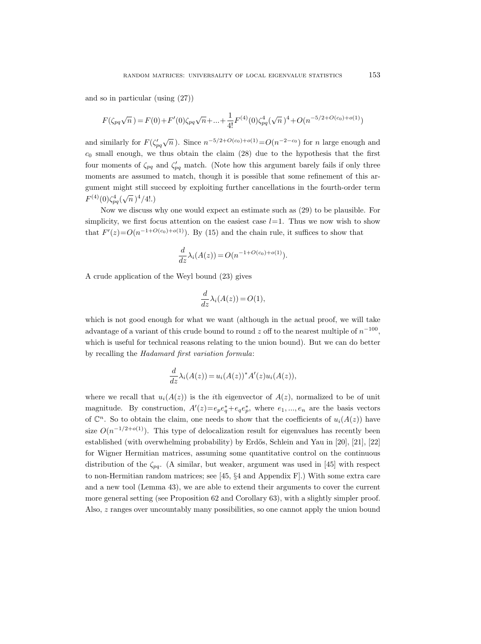and so in particular (using (27))

$$
F(\zeta_{pq}\sqrt{n}) = F(0) + F'(0)\zeta_{pq}\sqrt{n} + \dots + \frac{1}{4!}F^{(4)}(0)\zeta_{pq}^4(\sqrt{n})^4 + O(n^{-5/2 + O(c_0) + o(1)})
$$

and similarly for  $F(\zeta_{pq}')$  $\sqrt{n}$ ). Since  $n^{-5/2+O(c_0)+o(1)} = O(n^{-2-c_0})$  for n large enough and  $c_0$  small enough, we thus obtain the claim  $(28)$  due to the hypothesis that the first four moments of  $\zeta_{pq}$  and  $\zeta'_{pq}$  match. (Note how this argument barely fails if only three moments are assumed to match, though it is possible that some refinement of this argument might still succeed by exploiting further cancellations in the fourth-order term  $F^{(4)}(0)\zeta_{pq}^{4}(\sqrt{n})^{4}/4!.$ 

Now we discuss why one would expect an estimate such as (29) to be plausible. For simplicity, we first focus attention on the easiest case  $l=1$ . Thus we now wish to show that  $F'(z) = O(n^{-1+O(c_0)+o(1)})$ . By (15) and the chain rule, it suffices to show that

$$
\frac{d}{dz}\lambda_i(A(z)) = O(n^{-1+O(c_0)+o(1)}).
$$

A crude application of the Weyl bound (23) gives

$$
\frac{d}{dz}\lambda_i(A(z)) = O(1),
$$

which is not good enough for what we want (although in the actual proof, we will take advantage of a variant of this crude bound to round z off to the nearest multiple of  $n^{-100}$ , which is useful for technical reasons relating to the union bound). But we can do better by recalling the Hadamard first variation formula:

$$
\frac{d}{dz}\lambda_i(A(z)) = u_i(A(z))^*A'(z)u_i(A(z)),
$$

where we recall that  $u_i(A(z))$  is the *i*th eigenvector of  $A(z)$ , normalized to be of unit magnitude. By construction,  $A'(z) = e_p e_q^* + e_q e_p^*$ , where  $e_1, ..., e_n$  are the basis vectors of  $\mathbb{C}^n$ . So to obtain the claim, one needs to show that the coefficients of  $u_i(A(z))$  have size  $O(n^{-1/2+o(1)})$ . This type of delocalization result for eigenvalues has recently been established (with overwhelming probability) by Erdős, Schlein and Yau in [20], [21], [22] for Wigner Hermitian matrices, assuming some quantitative control on the continuous distribution of the  $\zeta_{pq}$ . (A similar, but weaker, argument was used in [45] with respect to non-Hermitian random matrices; see [45, §4 and Appendix F].) With some extra care and a new tool (Lemma 43), we are able to extend their arguments to cover the current more general setting (see Proposition 62 and Corollary 63), with a slightly simpler proof. Also, z ranges over uncountably many possibilities, so one cannot apply the union bound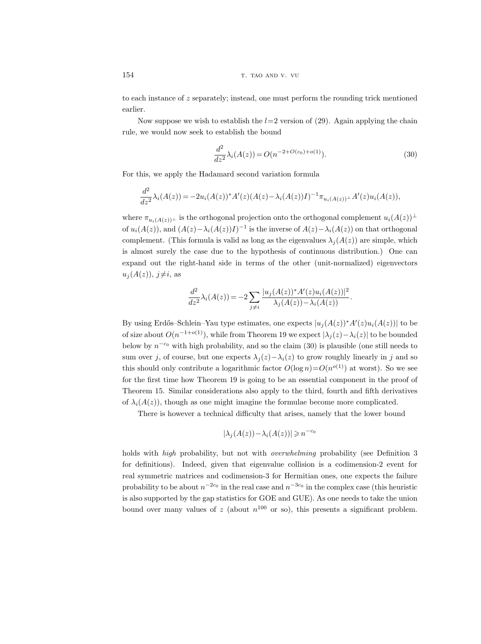to each instance of z separately; instead, one must perform the rounding trick mentioned earlier.

Now suppose we wish to establish the  $l=2$  version of (29). Again applying the chain rule, we would now seek to establish the bound

$$
\frac{d^2}{dz^2}\lambda_i(A(z)) = O(n^{-2+O(c_0)+o(1)}).
$$
\n(30)

For this, we apply the Hadamard second variation formula

$$
\frac{d^2}{dz^2}\lambda_i(A(z)) = -2u_i(A(z))^*A'(z)(A(z)-\lambda_i(A(z))I)^{-1}\pi_{u_i(A(z))^{\perp}}A'(z)u_i(A(z)),
$$

where  $\pi_{u_i(A(z))^\perp}$  is the orthogonal projection onto the orthogonal complement  $u_i(A(z))^\perp$ of  $u_i(A(z))$ , and  $(A(z) - \lambda_i(A(z))I)^{-1}$  is the inverse of  $A(z) - \lambda_i(A(z))$  on that orthogonal complement. (This formula is valid as long as the eigenvalues  $\lambda_i(A(z))$  are simple, which is almost surely the case due to the hypothesis of continuous distribution.) One can expand out the right-hand side in terms of the other (unit-normalized) eigenvectors  $u_j(A(z)), j\neq i$ , as

$$
\frac{d^2}{dz^2}\lambda_i(A(z)) = -2\sum_{j\neq i} \frac{|u_j(A(z))^*A'(z)u_i(A(z))|^2}{\lambda_j(A(z)) - \lambda_i(A(z))}.
$$

By using Erdős–Schlein–Yau type estimates, one expects  $|u_j(A(z))^*A'(z)u_i(A(z))|$  to be of size about  $O(n^{-1+o(1)})$ , while from Theorem 19 we expect  $|\lambda_j(z)-\lambda_i(z)|$  to be bounded below by  $n^{-c_0}$  with high probability, and so the claim (30) is plausible (one still needs to sum over j, of course, but one expects  $\lambda_i(z)-\lambda_i(z)$  to grow roughly linearly in j and so this should only contribute a logarithmic factor  $O(\log n) = O(n^{o(1)})$  at worst). So we see for the first time how Theorem 19 is going to be an essential component in the proof of Theorem 15. Similar considerations also apply to the third, fourth and fifth derivatives of  $\lambda_i(A(z))$ , though as one might imagine the formulae become more complicated.

There is however a technical difficulty that arises, namely that the lower bound

$$
|\lambda_j(A(z)) - \lambda_i(A(z))| \ge n^{-c_0}
$$

holds with *high* probability, but not with *overwhelming* probability (see Definition 3) for definitions). Indeed, given that eigenvalue collision is a codimension-2 event for real symmetric matrices and codimension-3 for Hermitian ones, one expects the failure probability to be about  $n^{-2c_0}$  in the real case and  $n^{-3c_0}$  in the complex case (this heuristic is also supported by the gap statistics for GOE and GUE). As one needs to take the union bound over many values of z (about  $n^{100}$  or so), this presents a significant problem.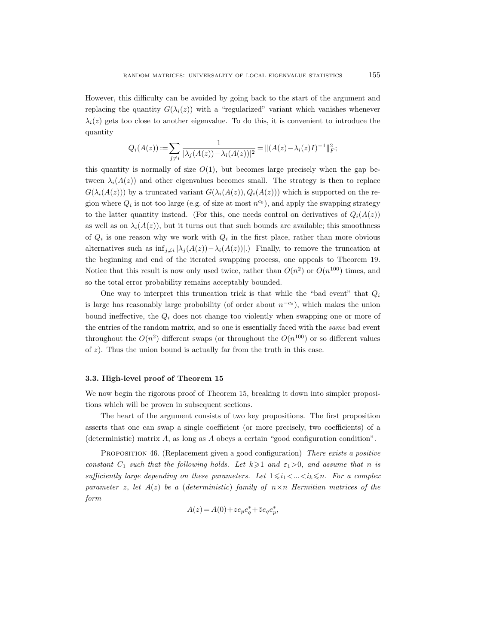However, this difficulty can be avoided by going back to the start of the argument and replacing the quantity  $G(\lambda_i(z))$  with a "regularized" variant which vanishes whenever  $\lambda_i(z)$  gets too close to another eigenvalue. To do this, it is convenient to introduce the quantity

$$
Q_i(A(z)) := \sum_{j \neq i} \frac{1}{|\lambda_j(A(z)) - \lambda_i(A(z))|^2} = ||(A(z) - \lambda_i(z)I)^{-1}||_F^2;
$$

this quantity is normally of size  $O(1)$ , but becomes large precisely when the gap between  $\lambda_i(A(z))$  and other eigenvalues becomes small. The strategy is then to replace  $G(\lambda_i(A(z)))$  by a truncated variant  $G(\lambda_i(A(z)), Q_i(A(z)))$  which is supported on the region where  $Q_i$  is not too large (e.g. of size at most  $n^{c_0}$ ), and apply the swapping strategy to the latter quantity instead. (For this, one needs control on derivatives of  $Q_i(A(z))$ as well as on  $\lambda_i(A(z))$ , but it turns out that such bounds are available; this smoothness of  $Q_i$  is one reason why we work with  $Q_i$  in the first place, rather than more obvious alternatives such as  $\inf_{j\neq i} |\lambda_j(A(z)) - \lambda_i(A(z))|$ . Finally, to remove the truncation at the beginning and end of the iterated swapping process, one appeals to Theorem 19. Notice that this result is now only used twice, rather than  $O(n^2)$  or  $O(n^{100})$  times, and so the total error probability remains acceptably bounded.

One way to interpret this truncation trick is that while the "bad event" that  $Q_i$ is large has reasonably large probability (of order about  $n^{-c_0}$ ), which makes the union bound ineffective, the  $Q_i$  does not change too violently when swapping one or more of the entries of the random matrix, and so one is essentially faced with the same bad event throughout the  $O(n^2)$  different swaps (or throughout the  $O(n^{100})$  or so different values of  $z$ ). Thus the union bound is actually far from the truth in this case.

# 3.3. High-level proof of Theorem 15

We now begin the rigorous proof of Theorem 15, breaking it down into simpler propositions which will be proven in subsequent sections.

The heart of the argument consists of two key propositions. The first proposition asserts that one can swap a single coefficient (or more precisely, two coefficients) of a (deterministic) matrix A, as long as A obeys a certain "good configuration condition".

PROPOSITION 46. (Replacement given a good configuration) There exists a positive constant  $C_1$  such that the following holds. Let  $k \geq 1$  and  $\varepsilon_1 > 0$ , and assume that n is sufficiently large depending on these parameters. Let  $1 \leq i_1 < ... < i_k \leq n$ . For a complex parameter z, let  $A(z)$  be a (deterministic) family of  $n \times n$  Hermitian matrices of the form

$$
A(z) = A(0) + z e_p e_q^* + \overline{z} e_q e_p^*,
$$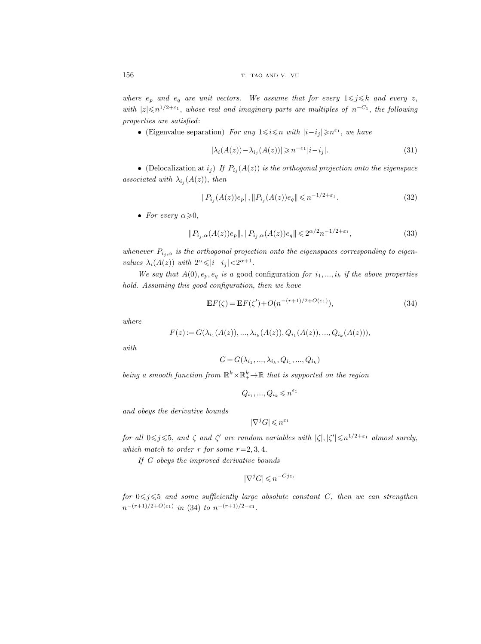where  $e_p$  and  $e_q$  are unit vectors. We assume that for every  $1 \leq j \leq k$  and every z, with  $|z| \leqslant n^{1/2+\epsilon_1}$ , whose real and imaginary parts are multiples of  $n^{-C_1}$ , the following properties are satisfied:

• (Eigenvalue separation) For any  $1 \leq i \leq n$  with  $|i - i_j| \geq n^{\varepsilon_1}$ , we have

$$
|\lambda_i(A(z)) - \lambda_{i_j}(A(z))| \geqslant n^{-\varepsilon_1}|i - i_j|.
$$
\n
$$
(31)
$$

• (Delocalization at  $i_j$ ) If  $P_{i_j}(A(z))$  is the orthogonal projection onto the eigenspace associated with  $\lambda_{i_j}(A(z))$ , then

$$
||P_{i_j}(A(z))e_p||, ||P_{i_j}(A(z))e_q|| \leq n^{-1/2+\varepsilon_1}.
$$
\n(32)

• For every  $\alpha \geqslant 0$ ,

$$
||P_{i_j,\alpha}(A(z))e_p||, ||P_{i_j,\alpha}(A(z))e_q|| \leq 2^{\alpha/2} n^{-1/2+\varepsilon_1},
$$
\n(33)

whenever  $P_{i_j,\alpha}$  is the orthogonal projection onto the eigenspaces corresponding to eigenvalues  $\lambda_i(A(z))$  with  $2^{\alpha} \leq |i - i_j| < 2^{\alpha+1}$ .

We say that  $A(0), e_p, e_q$  is a good configuration for  $i_1, ..., i_k$  if the above properties hold. Assuming this good configuration, then we have

$$
\mathbf{E}F(\zeta) = \mathbf{E}F(\zeta') + O(n^{-(r+1)/2 + O(\varepsilon_1)}),\tag{34}
$$

where

$$
F(z) := G(\lambda_{i_1}(A(z)), \dots, \lambda_{i_k}(A(z)), Q_{i_1}(A(z)), \dots, Q_{i_k}(A(z))),
$$

with

$$
G = G(\lambda_{i_1}, ..., \lambda_{i_k}, Q_{i_1}, ..., Q_{i_k})
$$

being a smooth function from  $\mathbb{R}^k \times \mathbb{R}^k_+ \to \mathbb{R}$  that is supported on the region

$$
Q_{i_1},...,Q_{i_k}\leqslant n^{\varepsilon_1}
$$

and obeys the derivative bounds

$$
|\nabla^j G| \leqslant n^{\varepsilon_1}
$$

for all  $0 \leq j \leq 5$ , and  $\zeta$  and  $\zeta'$  are random variables with  $|\zeta|, |\zeta'| \leq n^{1/2+\epsilon_1}$  almost surely, which match to order r for some  $r=2, 3, 4$ .

If G obeys the improved derivative bounds

$$
|\nabla^j G| \leqslant n^{-Cj\varepsilon_1}
$$

for  $0 \leq j \leq 5$  and some sufficiently large absolute constant C, then we can strengthen  $n^{-(r+1)/2+O(\varepsilon_1)}$  in (34) to  $n^{-(r+1)/2-\varepsilon_1}$ .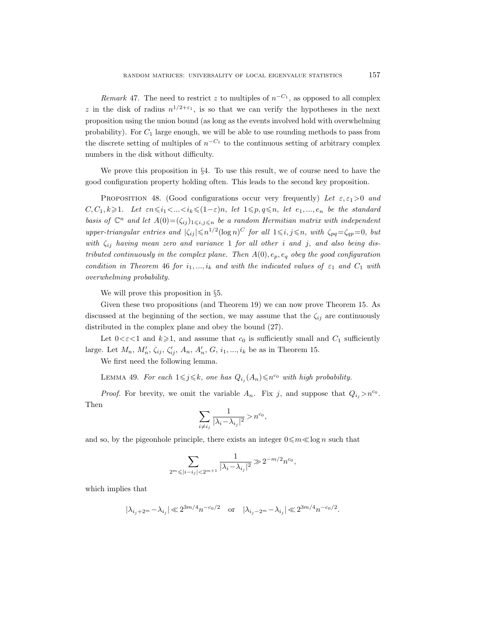*Remark* 47. The need to restrict z to multiples of  $n^{-C_1}$ , as opposed to all complex z in the disk of radius  $n^{1/2+\epsilon_1}$ , is so that we can verify the hypotheses in the next proposition using the union bound (as long as the events involved hold with overwhelming probability). For  $C_1$  large enough, we will be able to use rounding methods to pass from the discrete setting of multiples of  $n^{-C_1}$  to the continuous setting of arbitrary complex numbers in the disk without difficulty.

We prove this proposition in §4. To use this result, we of course need to have the good configuration property holding often. This leads to the second key proposition.

PROPOSITION 48. (Good configurations occur very frequently) Let  $\varepsilon, \varepsilon_1 > 0$  and  $C, C_1, k \geq 1$ . Let  $\varepsilon n \leq i_1 < ... < i_k \leq (1-\varepsilon)n$ , let  $1 \leq p, q \leq n$ , let  $e_1, ..., e_n$  be the standard basis of  $\mathbb{C}^n$  and let  $A(0) = (\zeta_{ij})_{1 \leq i,j \leq n}$  be a random Hermitian matrix with independent upper-triangular entries and  $|\zeta_{ij}| \leq n^{1/2} (\log n)^C$  for all  $1 \leq i, j \leq n$ , with  $\zeta_{pq} = \zeta_{qp} = 0$ , but with  $\zeta_{ij}$  having mean zero and variance 1 for all other i and j, and also being distributed continuously in the complex plane. Then  $A(0), e_p, e_q$  obey the good configuration condition in Theorem 46 for  $i_1, ..., i_k$  and with the indicated values of  $\varepsilon_1$  and  $C_1$  with overwhelming probability.

We will prove this proposition in §5.

Given these two propositions (and Theorem 19) we can now prove Theorem 15. As discussed at the beginning of the section, we may assume that the  $\zeta_{ij}$  are continuously distributed in the complex plane and obey the bound (27).

Let  $0 < \varepsilon < 1$  and  $k \geq 1$ , and assume that  $c_0$  is sufficiently small and  $C_1$  sufficiently large. Let  $M_n$ ,  $M'_n$ ,  $\zeta_{ij}$ ,  $\zeta'_{ij}$ ,  $A_n$ ,  $A'_n$ ,  $G$ ,  $i_1, ..., i_k$  be as in Theorem 15.

We first need the following lemma.

LEMMA 49. For each  $1 \leq j \leq k$ , one has  $Q_{i_j}(A_n) \leq n^{c_0}$  with high probability.

*Proof.* For brevity, we omit the variable  $A_n$ . Fix j, and suppose that  $Q_{i_j} > n^{c_0}$ . Then

$$
\sum_{i\neq i_j}\frac{1}{|\lambda_i-\lambda_{i_j}|^2}>n^{c_0},
$$

and so, by the pigeonhole principle, there exists an integer  $0 \leq m \leq \log n$  such that

$$
\sum_{2^m \leqslant |i - i_j| < 2^{m+1}} \frac{1}{|\lambda_i - \lambda_{i_j}|^2} \gg 2^{-m/2} n^{c_0},
$$

which implies that

$$
|\lambda_{i_j+2^m}-\lambda_{i_j}| \ll 2^{3m/4}n^{-c_0/2} \quad \text{or} \quad |\lambda_{i_j-2^m}-\lambda_{i_j}| \ll 2^{3m/4}n^{-c_0/2}.
$$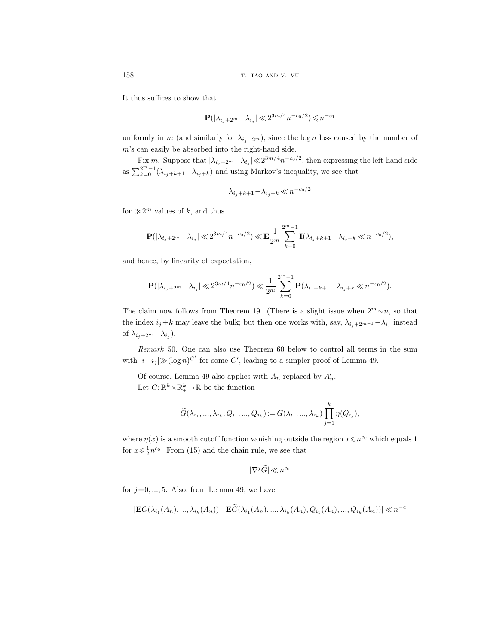It thus suffices to show that

$$
\mathbf{P}(|\lambda_{i_j+2^m}-\lambda_{i_j}|\ll 2^{3m/4}n^{-c_0/2})\leqslant n^{-c_1}
$$

uniformly in m (and similarly for  $\lambda_{i_j-2^m}$ ), since the log n loss caused by the number of m's can easily be absorbed into the right-hand side.

Fix m. Suppose that  $|\lambda_{i_j+2^m}-\lambda_{i_j}| \ll 2^{3m/4}n^{-c_0/2}$ ; then expressing the left-hand side as  $\sum_{k=0}^{2^m-1} (\lambda_{i_j+k+1} - \lambda_{i_j+k})$  and using Markov's inequality, we see that

$$
\lambda_{i_j+k+1} - \lambda_{i_j+k} \ll n^{-c_0/2}
$$

for  $\gg 2^m$  values of k, and thus

$$
\mathbf{P}(|\lambda_{i_j+2^m}-\lambda_{i_j}|\ll 2^{3m/4}n^{-c_0/2})\ll \mathbf{E}\frac{1}{2^m}\sum_{k=0}^{2^m-1}\mathbf{I}(\lambda_{i_j+k+1}-\lambda_{i_j+k}\ll n^{-c_0/2}),
$$

and hence, by linearity of expectation,

$$
\mathbf{P}(|\lambda_{i_j+2^m}-\lambda_{i_j}|\ll 2^{3m/4}n^{-c_0/2})\ll \frac{1}{2^m}\sum_{k=0}^{2^m-1}\mathbf{P}(\lambda_{i_j+k+1}-\lambda_{i_j+k}\ll n^{-c_0/2}).
$$

The claim now follows from Theorem 19. (There is a slight issue when  $2^m \sim n$ , so that the index  $i_j+k$  may leave the bulk; but then one works with, say,  $\lambda_{i_j+2^{m-1}}-\lambda_{i_j}$  instead of  $\lambda_{i_j+2^m} - \lambda_{i_j}$ ).  $\Box$ 

Remark 50. One can also use Theorem 60 below to control all terms in the sum with  $|i-i_j| \gg (\log n)^{C'}$  for some C', leading to a simpler proof of Lemma 49.

Of course, Lemma 49 also applies with  $A_n$  replaced by  $A'_n$ . Let  $\widetilde{G}$ :  $\mathbb{R}^k \times \mathbb{R}^k_+ \rightarrow \mathbb{R}$  be the function

$$
\widetilde{G}(\lambda_{i_1},...,\lambda_{i_k},Q_{i_1},...,Q_{i_k}):=G(\lambda_{i_1},...,\lambda_{i_k})\prod_{j=1}^k\eta(Q_{i_j}),
$$

where  $\eta(x)$  is a smooth cutoff function vanishing outside the region  $x \leq n^{c_0}$  which equals 1 for  $x \leq \frac{1}{2}n^{c_0}$ . From (15) and the chain rule, we see that

$$
|\nabla^j \widetilde{G}| \ll n^{c_0}
$$

for  $j=0, ..., 5$ . Also, from Lemma 49, we have

$$
|\mathbf{E}G(\lambda_{i_1}(A_n),...,\lambda_{i_k}(A_n)) - \mathbf{E}\widetilde{G}(\lambda_{i_1}(A_n),...,\lambda_{i_k}(A_n),Q_{i_1}(A_n),...,Q_{i_k}(A_n))| \ll n^{-c}
$$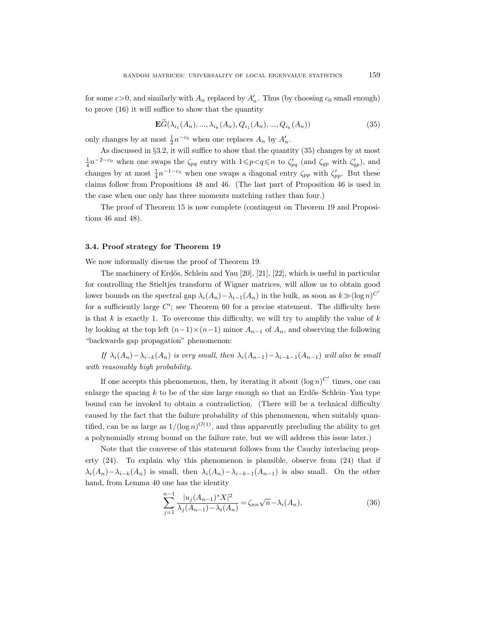for some  $c > 0$ , and similarly with  $A_n$  replaced by  $A'_n$ . Thus (by choosing  $c_0$  small enough) to prove (16) it will suffice to show that the quantity

$$
\mathbf{E}\widetilde{G}(\lambda_{i_1}(A_n),...,\lambda_{i_k}(A_n),Q_{i_1}(A_n),...,Q_{i_k}(A_n))
$$
\n(35)

only changes by at most  $\frac{1}{2}n^{-c_0}$  when one replaces  $A_n$  by  $A'_n$ .

As discussed in §3.2, it will suffice to show that the quantity (35) changes by at most  $\frac{1}{4}n^{-2-c_0}$  when one swaps the  $\zeta_{pq}$  entry with  $1 \leq p < q \leq n$  to  $\zeta'_{pq}$  (and  $\zeta_{qp}$  with  $\zeta'_{qp}$ ), and changes by at most  $\frac{1}{4}n^{-1-c_0}$  when one swaps a diagonal entry  $\zeta_{pp}$  with  $\zeta_{pp}'$ . But these claims follow from Propositions 48 and 46. (The last part of Proposition 46 is used in the case when one only has three moments matching rather than four.)

The proof of Theorem 15 is now complete (contingent on Theorem 19 and Propositions 46 and 48).

## 3.4. Proof strategy for Theorem 19

We now informally discuss the proof of Theorem 19.

The machinery of Erdős, Schlein and Yau  $[20]$ ,  $[21]$ ,  $[22]$ , which is useful in particular for controlling the Stieltjes transform of Wigner matrices, will allow us to obtain good lower bounds on the spectral gap  $\lambda_i(A_n) - \lambda_{i-1}(A_n)$  in the bulk, as soon as  $k \gg (\log n)^{C'}$ for a sufficiently large  $C'$ ; see Theorem 60 for a precise statement. The difficulty here is that  $k$  is exactly 1. To overcome this difficulty, we will try to amplify the value of  $k$ by looking at the top left  $(n-1)\times(n-1)$  minor  $A_{n-1}$  of  $A_n$ , and observing the following "backwards gap propagation" phenomenon:

If  $\lambda_i(A_n) - \lambda_{i-k}(A_n)$  is very small, then  $\lambda_i(A_{n-1}) - \lambda_{i-k-1}(A_{n-1})$  will also be small with reasonably high probability.

If one accepts this phenomenon, then, by iterating it about  $(\log n)^{C'}$  times, one can enlarge the spacing  $k$  to be of the size large enough so that an Erdős–Schlein–Yau type bound can be invoked to obtain a contradiction. (There will be a technical difficulty caused by the fact that the failure probability of this phenomenon, when suitably quantified, can be as large as  $1/(\log n)^{O(1)}$ , and thus apparently precluding the ability to get a polynomially strong bound on the failure rate, but we will address this issue later.)

Note that the converse of this statement follows from the Cauchy interlacing property (24). To explain why this phenomenon is plausible, observe from (24) that if  $\lambda_i(A_n)-\lambda_{i-k}(A_n)$  is small, then  $\lambda_i(A_n)-\lambda_{i-k-1}(A_{n-1})$  is also small. On the other hand, from Lemma 40 one has the identity

$$
\sum_{j=1}^{n-1} \frac{|u_j(A_{n-1})^* X|^2}{\lambda_j(A_{n-1}) - \lambda_i(A_n)} = \zeta_{nn} \sqrt{n} - \lambda_i(A_n),
$$
\n(36)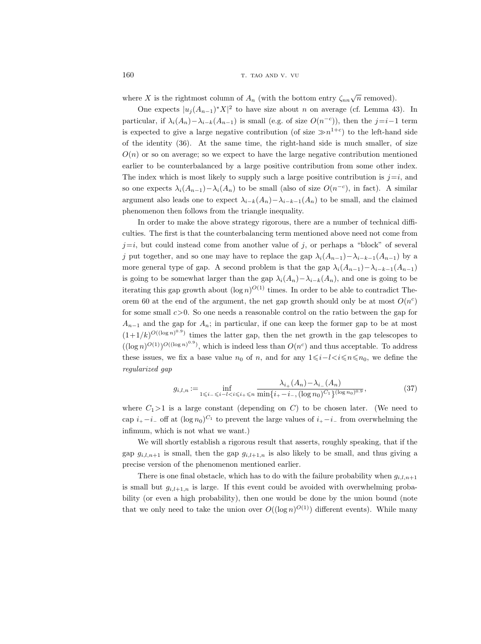where X is the rightmost column of  $A_n$  (with the bottom entry  $\zeta_{nn}\sqrt{n}$  removed).

One expects  $|u_j(A_{n-1})^*X|^2$  to have size about n on average (cf. Lemma 43). In particular, if  $\lambda_i(A_n) - \lambda_{i-k}(A_{n-1})$  is small (e.g. of size  $O(n^{-c})$ ), then the  $j=i-1$  term is expected to give a large negative contribution (of size  $\gg n^{1+c}$ ) to the left-hand side of the identity (36). At the same time, the right-hand side is much smaller, of size  $O(n)$  or so on average; so we expect to have the large negative contribution mentioned earlier to be counterbalanced by a large positive contribution from some other index. The index which is most likely to supply such a large positive contribution is  $j=i$ , and so one expects  $\lambda_i(A_{n-1}) - \lambda_i(A_n)$  to be small (also of size  $O(n^{-c})$ , in fact). A similar argument also leads one to expect  $\lambda_{i-k}(A_n)-\lambda_{i-k-1}(A_n)$  to be small, and the claimed phenomenon then follows from the triangle inequality.

In order to make the above strategy rigorous, there are a number of technical difficulties. The first is that the counterbalancing term mentioned above need not come from  $j=i$ , but could instead come from another value of j, or perhaps a "block" of several j put together, and so one may have to replace the gap  $\lambda_i(A_{n-1})-\lambda_{i-k-1}(A_{n-1})$  by a more general type of gap. A second problem is that the gap  $\lambda_i(A_{n-1})-\lambda_{i-k-1}(A_{n-1})$ is going to be somewhat larger than the gap  $\lambda_i(A_n) - \lambda_{i-k}(A_n)$ , and one is going to be iterating this gap growth about  $(\log n)^{O(1)}$  times. In order to be able to contradict Theorem 60 at the end of the argument, the net gap growth should only be at most  $O(n^c)$ for some small  $c > 0$ . So one needs a reasonable control on the ratio between the gap for  $A_{n-1}$  and the gap for  $A_n$ ; in particular, if one can keep the former gap to be at most  $(1+1/k)^{O((\log n)^{0.9})}$  times the latter gap, then the net growth in the gap telescopes to  $((\log n)^{O(1)})^{O((\log n)^{0.9}})$ , which is indeed less than  $O(n^c)$  and thus acceptable. To address these issues, we fix a base value  $n_0$  of n, and for any  $1\leq i\leq l\leq n\leq n_0$ , we define the regularized gap

$$
g_{i,l,n} := \inf_{1 \le i_- \le i_- l < i \le i_+ \le n} \frac{\lambda_{i_+}(A_n) - \lambda_{i_-}(A_n)}{\min\{i_+ - i_-, (\log n_0)^{C_1}\}^{(\log n_0)^{0.9}}},\tag{37}
$$

where  $C_1>1$  is a large constant (depending on C) to be chosen later. (We need to cap  $i_{+} - i_{-}$  off at  $(\log n_0)^{C_1}$  to prevent the large values of  $i_{+} - i_{-}$  from overwhelming the infimum, which is not what we want.)

We will shortly establish a rigorous result that asserts, roughly speaking, that if the gap  $g_{i,l,n+1}$  is small, then the gap  $g_{i,l+1,n}$  is also likely to be small, and thus giving a precise version of the phenomenon mentioned earlier.

There is one final obstacle, which has to do with the failure probability when  $g_{i,l,n+1}$ is small but  $g_{i,l+1,n}$  is large. If this event could be avoided with overwhelming probability (or even a high probability), then one would be done by the union bound (note that we only need to take the union over  $O((\log n)^{O(1)})$  different events). While many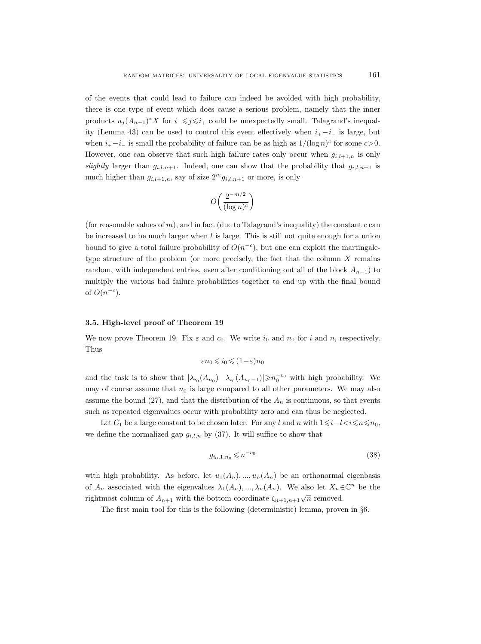of the events that could lead to failure can indeed be avoided with high probability, there is one type of event which does cause a serious problem, namely that the inner products  $u_j(A_{n-1})^*X$  for  $i_-\leq j\leq i_+$  could be unexpectedly small. Talagrand's inequality (Lemma 43) can be used to control this event effectively when  $i_{+} - i_{-}$  is large, but when  $i_{+} - i_{-}$  is small the probability of failure can be as high as  $1/(\log n)^{c}$  for some  $c > 0$ . However, one can observe that such high failure rates only occur when  $g_{i,l+1,n}$  is only slightly larger than  $g_{i,l,n+1}$ . Indeed, one can show that the probability that  $g_{i,l,n+1}$  is much higher than  $g_{i,l+1,n}$ , say of size  $2^m g_{i,l,n+1}$  or more, is only

$$
O\left(\frac{2^{-m/2}}{(\log n)^c}\right)
$$

(for reasonable values of  $m$ ), and in fact (due to Talagrand's inequality) the constant  $c$  can be increased to be much larger when  $l$  is large. This is still not quite enough for a union bound to give a total failure probability of  $O(n^{-c})$ , but one can exploit the martingaletype structure of the problem (or more precisely, the fact that the column  $X$  remains random, with independent entries, even after conditioning out all of the block  $A_{n-1}$ ) to multiply the various bad failure probabilities together to end up with the final bound of  $O(n^{-c})$ .

### 3.5. High-level proof of Theorem 19

We now prove Theorem 19. Fix  $\varepsilon$  and  $c_0$ . We write  $i_0$  and  $n_0$  for i and n, respectively. Thus

$$
\varepsilon n_0 \leqslant i_0 \leqslant (1-\varepsilon) n_0
$$

and the task is to show that  $|\lambda_{i_0}(A_{n_0}) - \lambda_{i_0}(A_{n_0-1})| \geq n_0^{-c_0}$  with high probability. We may of course assume that  $n_0$  is large compared to all other parameters. We may also assume the bound (27), and that the distribution of the  $A_n$  is continuous, so that events such as repeated eigenvalues occur with probability zero and can thus be neglected.

Let  $C_1$  be a large constant to be chosen later. For any l and n with  $1\leq i-l< i\leq n\leq n_0$ , we define the normalized gap  $g_{i,l,n}$  by (37). It will suffice to show that

$$
g_{i_0,1,n_0} \leqslant n^{-c_0} \tag{38}
$$

with high probability. As before, let  $u_1(A_n),..., u_n(A_n)$  be an orthonormal eigenbasis of  $A_n$  associated with the eigenvalues  $\lambda_1(A_n), ..., \lambda_n(A_n)$ . We also let  $X_n \in \mathbb{C}^n$  be the rightmost column of  $A_{n+1}$  with the bottom coordinate  $\zeta_{n+1,n+1}\sqrt{n}$  removed.

The first main tool for this is the following (deterministic) lemma, proven in §6.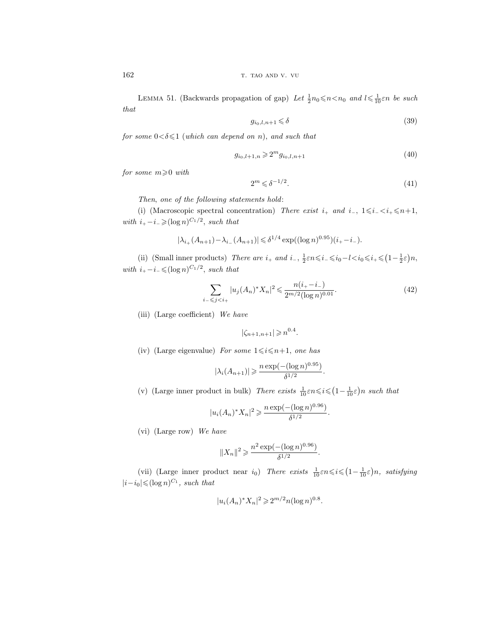162 T. TAO AND V. VU

LEMMA 51. (Backwards propagation of gap) Let  $\frac{1}{2}n_0 \le n \le n_0$  and  $l \le \frac{1}{10} \varepsilon n$  be such that

$$
g_{i_0,l,n+1} \leq \delta \tag{39}
$$

for some  $0 < \delta \leq 1$  (which can depend on n), and such that

$$
g_{i_0,l+1,n} \geqslant 2^m g_{i_0,l,n+1} \tag{40}
$$

for some  $m \geqslant 0$  with

$$
2^m \leqslant \delta^{-1/2}.\tag{41}
$$

Then, one of the following statements hold:

(i) (Macroscopic spectral concentration) There exist  $i_+$  and  $i_-, 1 \le i_- \le i_+ \le n+1$ , with  $i_{+} - i_{-} \geqslant (\log n)^{C_1/2}$ , such that

$$
|\lambda_{i+}(A_{n+1}) - \lambda_{i-}(A_{n+1})| \leq \delta^{1/4} \exp((\log n)^{0.95})(i_{+} - i_{-}).
$$

(ii) (Small inner products) There are  $i_+$  and  $i_-, \frac{1}{2}\varepsilon n \leq i_- \leq i_0 - l \leq i_0 \leq i_+ \leq (1 - \frac{1}{2}\varepsilon)n$ , with  $i_{+} - i_{-} \leqslant (\log n)^{C_1/2}$ , such that

$$
\sum_{i_{-} \leq j < i_{+}} |u_{j}(A_{n})^{*} X_{n}|^{2} \leq \frac{n(i_{+} - i_{-})}{2^{m/2} (\log n)^{0.01}}.\tag{42}
$$

(iii) (Large coefficient) We have

$$
|\zeta_{n+1,n+1}| \geqslant n^{0.4}.
$$

(iv) (Large eigenvalue) For some  $1 \leq i \leq n+1$ , one has

$$
|\lambda_i(A_{n+1})| \ge \frac{n \exp(-(\log n)^{0.95})}{\delta^{1/2}}.
$$

(v) (Large inner product in bulk) There exists  $\frac{1}{10} \varepsilon n \leq i \leq (1 - \frac{1}{10} \varepsilon) n$  such that

$$
|u_i(A_n)^* X_n|^2 \geqslant \frac{n \exp(-(\log n)^{0.96})}{\delta^{1/2}}.
$$

(vi) (Large row) We have

$$
||X_n||^2 \geqslant \frac{n^2 \exp(-(\log n)^{0.96})}{\delta^{1/2}}.
$$

(vii) (Large inner product near  $i_0$ ) There exists  $\frac{1}{10} \varepsilon n \leqslant i \leqslant (1 - \frac{1}{10} \varepsilon) n$ , satisfying  $|i-i_0| \leqslant (\log n)^{C_1}$ , such that

$$
|u_i(A_n)^* X_n|^2 \geq 2^{m/2} n (\log n)^{0.8}.
$$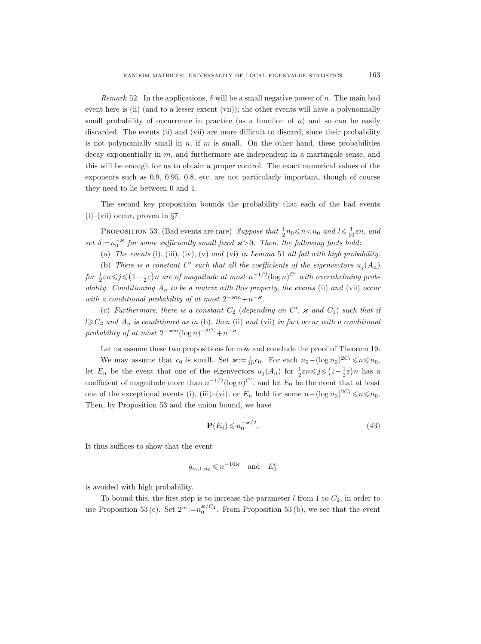Remark 52. In the applications,  $\delta$  will be a small negative power of n. The main bad event here is (ii) (and to a lesser extent (vii)); the other events will have a polynomially small probability of occurrence in practice (as a function of  $n$ ) and so can be easily discarded. The events (ii) and (vii) are more difficult to discard, since their probability is not polynomially small in  $n$ , if  $m$  is small. On the other hand, these probabilities decay exponentially in m, and furthermore are independent in a martingale sense, and this will be enough for us to obtain a proper control. The exact numerical values of the exponents such as 0.9, 0.95, 0.8, etc. are not particularly important, though of course they need to lie between 0 and 1.

The second key proposition bounds the probability that each of the bad events  $(i)$ –(vii) occur, proven in §7.

PROPOSITION 53. (Bad events are rare) Suppose that  $\frac{1}{2}n_0 \le n \le n_0$  and  $l \le \frac{1}{10} \varepsilon n$ , and set  $\delta := n_0^{-\varkappa}$  for some sufficiently small fixed  $\varkappa > 0$ . Then, the following facts hold:

(a) The events (i), (iii), (iv), (v) and (vi) in Lemma 51 all fail with high probability.

(b) There is a constant C' such that all the coefficients of the eigenvectors  $u_j(A_n)$ for  $\frac{1}{2} \varepsilon n \leq j \leq (1 - \frac{1}{2} \varepsilon)n$  are of magnitude at most  $n^{-1/2} (\log n)^{C'}$  with overwhelming probability. Conditioning  $A_n$  to be a matrix with this property, the events (ii) and (vii) occur with a conditional probability of at most  $2^{-\varkappa m}+n^{-\varkappa}$ .

(c) Furthermore, there is a constant  $C_2$  (depending on  $C'$ ,  $\varkappa$  and  $C_1$ ) such that if  $l \geqslant C_2$  and  $A_n$  is conditioned as in (b), then (ii) and (vii) in fact occur with a conditional probability of at most  $2^{-\varkappa m}(\log n)^{-2C_1}+n^{-\varkappa}.$ 

Let us assume these two propositions for now and conclude the proof of Theorem 19.

We may assume that  $c_0$  is small. Set  $\varkappa := \frac{1}{10}c_0$ . For each  $n_0 - (\log n_0)^{2C_1} \leq n \leq n_0$ , let  $E_n$  be the event that one of the eigenvectors  $u_j(A_n)$  for  $\frac{1}{2}\varepsilon n \leqslant j \leqslant (1-\frac{1}{2}\varepsilon)n$  has a coefficient of magnitude more than  $n^{-1/2}(\log n)^{C'}$ , and let  $E_0$  be the event that at least one of the exceptional events (i), (iii)–(vi), or  $E_n$  hold for some  $n-(\log n_0)^{2C_1}\leq n\leq n_0$ . Then, by Proposition 53 and the union bound, we have

$$
\mathbf{P}(E_0) \leqslant n_0^{-\varkappa/2}.\tag{43}
$$

It thus suffices to show that the event

$$
g_{i_0,1,n_0} \leqslant n^{-10\varkappa}
$$
 and  $E_0^c$ 

is avoided with high probability.

To bound this, the first step is to increase the parameter  $l$  from 1 to  $C_2$ , in order to use Proposition 53 (c). Set  $2^m := n_0^{\varkappa/C_2}$ . From Proposition 53 (b), we see that the event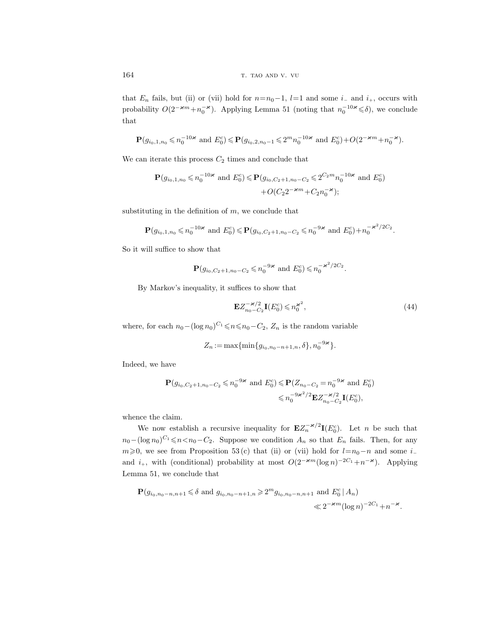that  $E_n$  fails, but (ii) or (vii) hold for  $n=n_0-1$ ,  $l=1$  and some  $i_-\,$  and  $i_+$ , occurs with probability  $O(2^{-\varkappa m} + n_0^{-\varkappa})$ . Applying Lemma 51 (noting that  $n_0^{-10\varkappa} \le \delta$ ), we conclude that

$$
\mathbf{P}(g_{i_0,1,n_0}\leqslant n_0^{-10\varkappa} \text{ and } E_0^c)\leqslant \mathbf{P}(g_{i_0,2,n_0-1}\leqslant 2^m n_0^{-10\varkappa} \text{ and } E_0^c)+O(2^{-\varkappa m}+n_0^{-\varkappa}).
$$

We can iterate this process  $C_2$  times and conclude that

$$
\mathbf{P}(g_{i_0,1,n_0} \leq n_0^{-10\varkappa} \text{ and } E_0^c) \leq \mathbf{P}(g_{i_0,C_2+1,n_0-C_2} \leq 2^{C_2m} n_0^{-10\varkappa} \text{ and } E_0^c) + O(C_2 2^{-\varkappa m} + C_2 n_0^{-\varkappa});
$$

substituting in the definition of  $m$ , we conclude that

$$
\mathbf{P}(g_{i_0,1,n_0} \leq n_0^{-10\varkappa} \text{ and } E_0^c) \leq \mathbf{P}(g_{i_0,C_2+1,n_0-C_2} \leq n_0^{-9\varkappa} \text{ and } E_0^c) + n_0^{-\varkappa^2/2C_2}.
$$

So it will suffice to show that

$$
\mathbf{P}(g_{i_0,C_2+1,n_0-C_2} \leq n_0^{-9\varkappa} \text{ and } E_0^c) \leq n_0^{-\varkappa^2/2C_2}.
$$

By Markov's inequality, it suffices to show that

$$
\mathbf{E}Z_{n_0-C_2}^{-\varkappa/2}\mathbf{I}(E_0^c) \leqslant n_0^{\varkappa^2},\tag{44}
$$

where, for each  $n_0 - (\log n_0)^{C_1} \leq n \leq n_0 - C_2$ ,  $Z_n$  is the random variable

$$
Z_n := \max\{\min\{g_{i_0,n_0-n+1,n},\delta\}, n_0^{-9\varkappa}\}.
$$

Indeed, we have

$$
\mathbf{P}(g_{i_0,C_2+1,n_0-C_2} \leq n_0^{-9\varkappa} \text{ and } E_0^c) \leq \mathbf{P}(Z_{n_0-C_2} = n_0^{-9\varkappa} \text{ and } E_0^c) \leq n_0^{-9\varkappa^2/2} \mathbf{E} Z_{n_0-C_2}^{-\varkappa/2} \mathbf{I}(E_0^c),
$$

whence the claim.

We now establish a recursive inequality for  $\mathbf{E}Z_n^{-\varkappa/2}\mathbf{I}(E_0^c)$ . Let *n* be such that  $n_0-(\log n_0)^{C_1}\leqslant n\lt n_0-C_2$ . Suppose we condition  $A_n$  so that  $E_n$  fails. Then, for any  $m\geq 0$ , we see from Proposition 53(c) that (ii) or (vii) hold for  $l=n_0-n$  and some i– and  $i_+$ , with (conditional) probability at most  $O(2^{-\varkappa m}(\log n)^{-2C_1}+n^{-\varkappa})$ . Applying Lemma 51, we conclude that

$$
\mathbf{P}(g_{i_0,n_0-n,n+1} \leq \delta \text{ and } g_{i_0,n_0-n+1,n} \geq 2^m g_{i_0,n_0-n,n+1} \text{ and } E_0^c | A_n)
$$
  

$$
\ll 2^{-\varkappa m} (\log n)^{-2C_1} + n^{-\varkappa}.
$$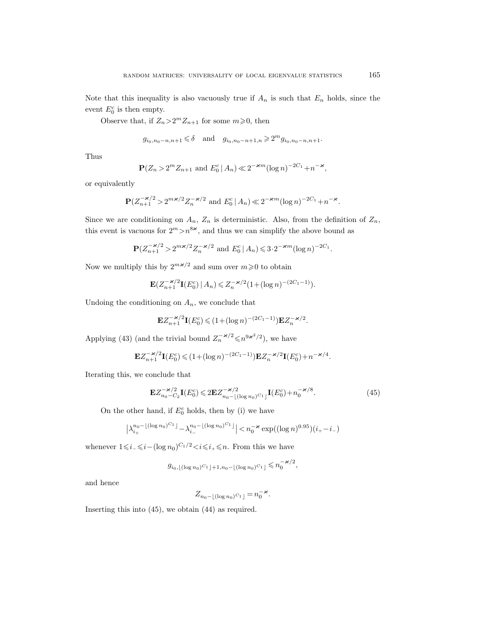Note that this inequality is also vacuously true if  $A_n$  is such that  $E_n$  holds, since the event  $E_0^c$  is then empty.

Observe that, if  $Z_n > 2^m Z_{n+1}$  for some  $m \ge 0$ , then

$$
g_{i_0,n_0-n,n+1} \leq \delta
$$
 and  $g_{i_0,n_0-n+1,n} \geq 2^m g_{i_0,n_0-n,n+1}$ .

Thus

$$
\mathbf{P}(Z_n > 2^m Z_{n+1} \text{ and } E_0^c | A_n) \ll 2^{-\varkappa m} (\log n)^{-2C_1} + n^{-\varkappa},
$$

or equivalently

$$
\mathbf{P}(Z_{n+1}^{-\varkappa/2} > 2^{m\varkappa/2} Z_n^{-\varkappa/2} \text{ and } E_0^c | A_n) \ll 2^{-\varkappa m} (\log n)^{-2C_1} + n^{-\varkappa}.
$$

Since we are conditioning on  $A_n$ ,  $Z_n$  is deterministic. Also, from the definition of  $Z_n$ , this event is vacuous for  $2^m > n^{8\varkappa}$ , and thus we can simplify the above bound as

$$
\mathbf{P}(Z_{n+1}^{-\varkappa/2} > 2^{m\varkappa/2} Z_n^{-\varkappa/2} \text{ and } E_0^c | A_n) \leq 3 \cdot 2^{-\varkappa m} (\log n)^{-2C_1}.
$$

Now we multiply this by  $2^{m \varkappa/2}$  and sum over  $m \geq 0$  to obtain

$$
\mathbf{E}(Z_{n+1}^{-\varkappa/2}\mathbf{I}(E_0^c) \mid A_n) \leq Z_n^{-\varkappa/2} (1 + (\log n)^{-(2C_1 - 1)}).
$$

Undoing the conditioning on  $A_n$ , we conclude that

$$
\mathbf{E} Z_{n+1}^{-\varkappa/2} \mathbf{I}(E_0^c) \leqslant (1+(\log n)^{-(2C_1-1)}) \mathbf{E} Z_n^{-\varkappa/2}.
$$

Applying (43) (and the trivial bound  $Z_n^{-\varkappa/2} \leq n^{9\varkappa^2/2}$ ), we have

$$
\mathbf{E}Z_{n+1}^{-\varkappa/2}\mathbf{I}(E_0^c) \leq (1+(\log n)^{-(2C_1-1)})\mathbf{E}Z_n^{-\varkappa/2}\mathbf{I}(E_0^c)+n^{-\varkappa/4}.
$$

Iterating this, we conclude that

$$
\mathbf{E}Z_{n_0-C_2}^{-\varkappa/2}\mathbf{I}(E_0^c) \leq 2\mathbf{E}Z_{n_0-\lfloor(\log n_0)^{C_1}\rfloor}^{-\varkappa/2}\mathbf{I}(E_0^c) + n_0^{-\varkappa/8}.\tag{45}
$$

On the other hand, if  $E_0^c$  holds, then by (i) we have

$$
\left| \lambda_{i_+}^{n_0 - \lfloor (\log n_0)^{C_1} \rfloor} - \lambda_{i_-}^{n_0 - \lfloor (\log n_0)^{C_1} \rfloor} \right| < n_0^{-\varkappa} \exp((\log n)^{0.95})(i_+ - i_-)
$$

whenever  $1 \leq i \leq i-(\log n_0)^{C_1/2} < i \leq i+\leq n$ . From this we have

$$
g_{i_0,\lfloor (\log n_0)^{C_1} \rfloor + 1, n_0 - \lfloor (\log n_0)^{C_1} \rfloor } \leq n_0^{-\varkappa/2},
$$

and hence

 $Z_{n_0-\lfloor (\log n_0)^{C_1} \rfloor} = n_0^{-\varkappa}.$ 

Inserting this into (45), we obtain (44) as required.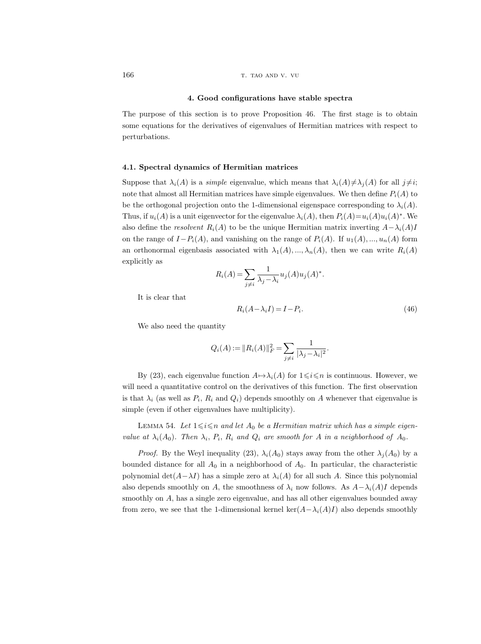#### 4. Good configurations have stable spectra

The purpose of this section is to prove Proposition 46. The first stage is to obtain some equations for the derivatives of eigenvalues of Hermitian matrices with respect to perturbations.

#### 4.1. Spectral dynamics of Hermitian matrices

Suppose that  $\lambda_i(A)$  is a *simple* eigenvalue, which means that  $\lambda_i(A)\neq \lambda_j(A)$  for all  $j\neq i$ ; note that almost all Hermitian matrices have simple eigenvalues. We then define  $P_i(A)$  to be the orthogonal projection onto the 1-dimensional eigenspace corresponding to  $\lambda_i(A)$ . Thus, if  $u_i(A)$  is a unit eigenvector for the eigenvalue  $\lambda_i(A)$ , then  $P_i(A)=u_i(A)u_i(A)^*$ . We also define the resolvent  $R_i(A)$  to be the unique Hermitian matrix inverting  $A-\lambda_i(A)I$ on the range of  $I-P_i(A)$ , and vanishing on the range of  $P_i(A)$ . If  $u_1(A),...,u_n(A)$  form an orthonormal eigenbasis associated with  $\lambda_1(A), ..., \lambda_n(A)$ , then we can write  $R_i(A)$ explicitly as

$$
R_i(A) = \sum_{j \neq i} \frac{1}{\lambda_j - \lambda_i} u_j(A) u_j(A)^*.
$$

It is clear that

$$
R_i(A - \lambda_i I) = I - P_i.
$$
\n<sup>(46)</sup>

.

We also need the quantity

$$
Q_i(A) := ||R_i(A)||_F^2 = \sum_{j \neq i} \frac{1}{|\lambda_j - \lambda_i|^2}
$$

By (23), each eigenvalue function  $A \mapsto \lambda_i(A)$  for  $1 \leq i \leq n$  is continuous. However, we will need a quantitative control on the derivatives of this function. The first observation is that  $\lambda_i$  (as well as  $P_i$ ,  $R_i$  and  $Q_i$ ) depends smoothly on A whenever that eigenvalue is simple (even if other eigenvalues have multiplicity).

LEMMA 54. Let  $1 \le i \le n$  and let  $A_0$  be a Hermitian matrix which has a simple eigenvalue at  $\lambda_i(A_0)$ . Then  $\lambda_i$ ,  $P_i$ ,  $R_i$  and  $Q_i$  are smooth for A in a neighborhood of  $A_0$ .

*Proof.* By the Weyl inequality (23),  $\lambda_i(A_0)$  stays away from the other  $\lambda_j(A_0)$  by a bounded distance for all  $A_0$  in a neighborhood of  $A_0$ . In particular, the characteristic polynomial det( $A-\lambda I$ ) has a simple zero at  $\lambda_i(A)$  for all such A. Since this polynomial also depends smoothly on A, the smoothness of  $\lambda_i$  now follows. As  $A-\lambda_i(A)I$  depends smoothly on A, has a single zero eigenvalue, and has all other eigenvalues bounded away from zero, we see that the 1-dimensional kernel ker $(A-\lambda_i(A)I)$  also depends smoothly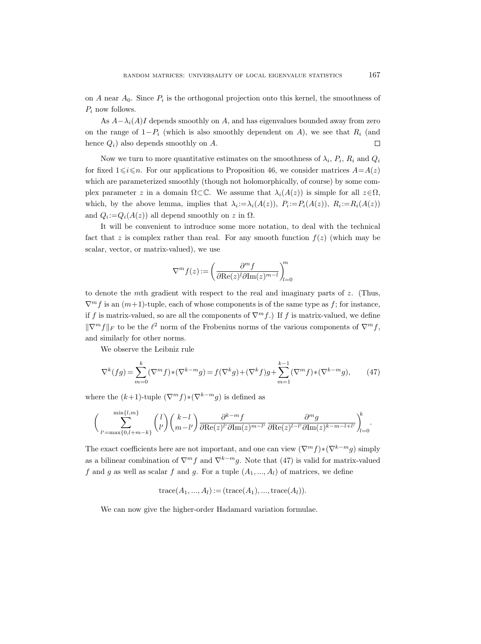on A near  $A_0$ . Since  $P_i$  is the orthogonal projection onto this kernel, the smoothness of  $P_i$  now follows.

As  $A - \lambda_i(A)I$  depends smoothly on A, and has eigenvalues bounded away from zero on the range of  $1-P_i$  (which is also smoothly dependent on A), we see that  $R_i$  (and hence  $Q_i$ ) also depends smoothly on A.  $\Box$ 

Now we turn to more quantitative estimates on the smoothness of  $\lambda_i$ ,  $P_i$ ,  $R_i$  and  $Q_i$ for fixed  $1\leq i\leq n$ . For our applications to Proposition 46, we consider matrices  $A=A(z)$ which are parameterized smoothly (though not holomorphically, of course) by some complex parameter z in a domain  $\Omega \subset \mathbb{C}$ . We assume that  $\lambda_i(A(z))$  is simple for all  $z \in \Omega$ , which, by the above lemma, implies that  $\lambda_i := \lambda_i(A(z))$ ,  $P_i := P_i(A(z))$ ,  $R_i := R_i(A(z))$ and  $Q_i = Q_i(A(z))$  all depend smoothly on z in  $\Omega$ .

It will be convenient to introduce some more notation, to deal with the technical fact that z is complex rather than real. For any smooth function  $f(z)$  (which may be scalar, vector, or matrix-valued), we use

$$
\nabla^m f(z) := \left(\frac{\partial^m f}{\partial \text{Re}(z)^l \partial \text{Im}(z)^{m-l}}\right)_{l=0}^m
$$

to denote the mth gradient with respect to the real and imaginary parts of z. (Thus,  $\nabla^m f$  is an  $(m+1)$ -tuple, each of whose components is of the same type as f; for instance, if f is matrix-valued, so are all the components of  $\nabla^m f$ .) If f is matrix-valued, we define  $\|\nabla^m f\|_F$  to be the  $\ell^2$  norm of the Frobenius norms of the various components of  $\nabla^m f$ , and similarly for other norms.

We observe the Leibniz rule

$$
\nabla^{k}(fg) = \sum_{m=0}^{k} (\nabla^{m} f) * (\nabla^{k-m} g) = f(\nabla^{k} g) + (\nabla^{k} f)g + \sum_{m=1}^{k-1} (\nabla^{m} f) * (\nabla^{k-m} g), \tag{47}
$$

where the  $(k+1)$ -tuple  $(\nabla^m f) * (\nabla^{k-m} g)$  is defined as

$$
\bigg(\sum_{l'=\max\{0,l+m-k\}}^{\min\{l,m\}} \binom{l}{l'} \binom{k-l}{m-l'} \frac{\partial^{k-m}f}{\partial \text{Re}(z)^{l'}\partial \text{Im}(z)^{m-l'}} \frac{\partial^m g}{\partial \text{Re}(z)^{l-l'}\partial \text{Im}(z)^{k-m-l+l'}}\bigg)_{l=0}^k.
$$

The exact coefficients here are not important, and one can view  $(\nabla^m f) * (\nabla^{k-m} g)$  simply as a bilinear combination of  $\nabla^m f$  and  $\nabla^{k-m} g$ . Note that (47) is valid for matrix-valued f and g as well as scalar f and g. For a tuple  $(A_1, ..., A_l)$  of matrices, we define

trace
$$
(A_1, ..., A_l)
$$
 := (trace $(A_1)$ , ..., trace $(A_l)$ ).

We can now give the higher-order Hadamard variation formulae.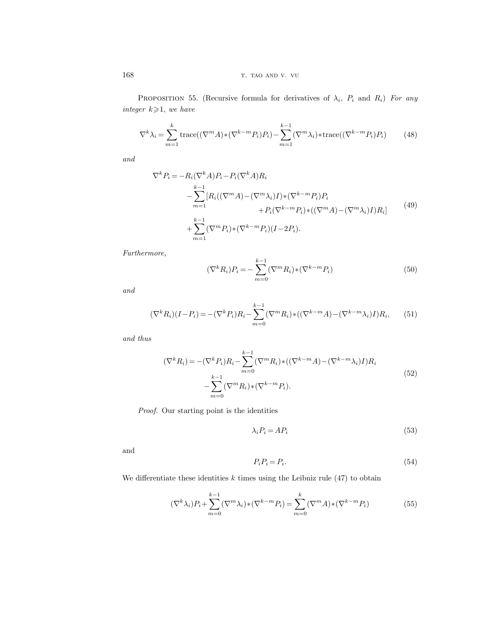168 **the contract of the contract of the contract of the contract of the contract of the contract of the contract of the contract of the contract of the contract of the contract of the contract of the contract of the contr** 

PROPOSITION 55. (Recursive formula for derivatives of  $\lambda_i$ ,  $P_i$  and  $R_i$ ) For any integer  $k \geqslant 1$ , we have

$$
\nabla^k \lambda_i = \sum_{m=1}^k \text{trace}((\nabla^m A) * (\nabla^{k-m} P_i) P_i) - \sum_{m=1}^{k-1} (\nabla^m \lambda_i) * \text{trace}((\nabla^{k-m} P_i) P_i)
$$
(48)

and

$$
\nabla^{k} P_{i} = -R_{i}(\nabla^{k} A) P_{i} - P_{i}(\nabla^{k} A) R_{i}
$$
  
\n
$$
- \sum_{m=1}^{k-1} [R_{i}((\nabla^{m} A) - (\nabla^{m} \lambda_{i}) I) * (\nabla^{k-m} P_{i}) P_{i}
$$
  
\n
$$
+ P_{i}(\nabla^{k-m} P_{i}) * ((\nabla^{m} A) - (\nabla^{m} \lambda_{i}) I) R_{i}]
$$
  
\n
$$
+ \sum_{m=1}^{k-1} (\nabla^{m} P_{i}) * (\nabla^{k-m} P_{i}) (I - 2P_{i}).
$$
\n(49)

Furthermore,

 $(\nabla^k R_i)P_i = \sum^{k-1}$  $m=0$  $(\nabla^m R_i) * (\nabla^{k-m} P_i)$  (50)

and

$$
(\nabla^k R_i)(I - P_i) = -(\nabla^k P_i)R_i - \sum_{m=0}^{k-1} (\nabla^m R_i) * ((\nabla^{k-m} A) - (\nabla^{k-m} \lambda_i)I)R_i, \qquad (51)
$$

and thus

$$
(\nabla^k R_i) = -(\nabla^k P_i) R_i - \sum_{m=0}^{k-1} (\nabla^m R_i) * ((\nabla^{k-m} A) - (\nabla^{k-m} \lambda_i) I) R_i
$$
  

$$
- \sum_{m=0}^{k-1} (\nabla^m R_i) * (\nabla^{k-m} P_i).
$$
 (52)

Proof. Our starting point is the identities

$$
\lambda_i P_i = A P_i \tag{53}
$$

and

$$
P_i P_i = P_i. \tag{54}
$$

We differentiate these identities  $k$  times using the Leibniz rule  $(47)$  to obtain

$$
(\nabla^k \lambda_i) P_i + \sum_{m=0}^{k-1} (\nabla^m \lambda_i) * (\nabla^{k-m} P_i) = \sum_{m=0}^k (\nabla^m A) * (\nabla^{k-m} P_i)
$$
(55)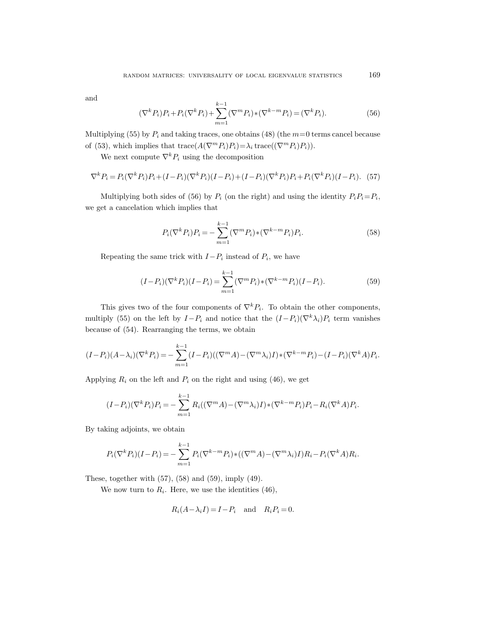and

$$
(\nabla^k P_i) P_i + P_i (\nabla^k P_i) + \sum_{m=1}^{k-1} (\nabla^m P_i) * (\nabla^{k-m} P_i) = (\nabla^k P_i). \tag{56}
$$

Multiplying (55) by  $P_i$  and taking traces, one obtains (48) (the  $m=0$  terms cancel because of (53), which implies that  $trace(A(\nabla^m P_i)P_i)=\lambda_i trace((\nabla^m P_i)P_i)).$ 

We next compute  $\nabla^k P_i$  using the decomposition

$$
\nabla^k P_i = P_i (\nabla^k P_i) P_i + (I - P_i) (\nabla^k P_i) (I - P_i) + (I - P_i) (\nabla^k P_i) P_i + P_i (\nabla^k P_i) (I - P_i). \tag{57}
$$

Multiplying both sides of (56) by  $P_i$  (on the right) and using the identity  $P_i P_i = P_i$ , we get a cancelation which implies that

$$
P_i(\nabla^k P_i)P_i = -\sum_{m=1}^{k-1} (\nabla^m P_i) \cdot (\nabla^{k-m} P_i) P_i.
$$
 (58)

Repeating the same trick with  $I-P_i$  instead of  $P_i$ , we have

$$
(I - P_i)(\nabla^k P_i)(I - P_i) = \sum_{m=1}^{k-1} (\nabla^m P_i) * (\nabla^{k-m} P_i)(I - P_i).
$$
 (59)

This gives two of the four components of  $\nabla^k P_i$ . To obtain the other components, multiply (55) on the left by  $I-P_i$  and notice that the  $(I-P_i)(\nabla^k \lambda_i)P_i$  term vanishes because of (54). Rearranging the terms, we obtain

$$
(I - P_i)(A - \lambda_i)(\nabla^k P_i) = -\sum_{m=1}^{k-1} (I - P_i)((\nabla^m A) - (\nabla^m \lambda_i)I) \cdot (\nabla^{k-m} P_i) - (I - P_i)(\nabla^k A)P_i.
$$

Applying  $R_i$  on the left and  $P_i$  on the right and using (46), we get

$$
(I - P_i)(\nabla^k P_i)P_i = -\sum_{m=1}^{k-1} R_i((\nabla^m A) - (\nabla^m \lambda_i)I) \cdot (\nabla^{k-m} P_i)P_i - R_i(\nabla^k A)P_i.
$$

By taking adjoints, we obtain

$$
P_i(\nabla^k P_i)(I - P_i) = -\sum_{m=1}^{k-1} P_i(\nabla^{k-m} P_i) * ((\nabla^m A) - (\nabla^m \lambda_i)I)R_i - P_i(\nabla^k A)R_i.
$$

These, together with (57), (58) and (59), imply (49).

We now turn to  $R_i$ . Here, we use the identities  $(46)$ ,

$$
R_i(A - \lambda_i I) = I - P_i \quad \text{and} \quad R_i P_i = 0.
$$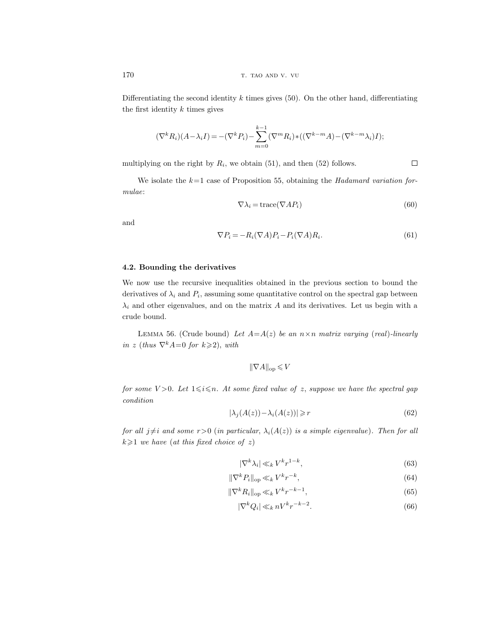Differentiating the second identity  $k$  times gives (50). On the other hand, differentiating the first identity  $k$  times gives

$$
(\nabla^k R_i)(A - \lambda_i I) = -(\nabla^k P_i) - \sum_{m=0}^{k-1} (\nabla^m R_i) * ((\nabla^{k-m} A) - (\nabla^{k-m} \lambda_i) I);
$$

 $\Box$ multiplying on the right by  $R_i$ , we obtain (51), and then (52) follows.

We isolate the  $k=1$  case of Proposition 55, obtaining the Hadamard variation formulae:

$$
\nabla \lambda_i = \text{trace}(\nabla A P_i) \tag{60}
$$

and

$$
\nabla P_i = -R_i(\nabla A)P_i - P_i(\nabla A)R_i.
$$
\n(61)

# 4.2. Bounding the derivatives

We now use the recursive inequalities obtained in the previous section to bound the derivatives of  $\lambda_i$  and  $P_i$ , assuming some quantitative control on the spectral gap between  $\lambda_i$  and other eigenvalues, and on the matrix A and its derivatives. Let us begin with a crude bound.

LEMMA 56. (Crude bound) Let  $A=A(z)$  be an  $n \times n$  matrix varying (real)-linearly in z (thus  $\nabla^k A=0$  for  $k\geq 2$ ), with

 $\|\nabla A\|_{\text{op}} \leqslant V$ 

for some  $V > 0$ . Let  $1 \leq i \leq n$ . At some fixed value of z, suppose we have the spectral gap condition

$$
|\lambda_j(A(z)) - \lambda_i(A(z))| \ge r \tag{62}
$$

for all  $j\neq i$  and some  $r>0$  (in particular,  $\lambda_i(A(z))$  is a simple eigenvalue). Then for all  $k \geq 1$  we have (at this fixed choice of z)

$$
|\nabla^k \lambda_i| \ll_k V^k r^{1-k},\tag{63}
$$

$$
\|\nabla^k P_i\|_{\text{op}} \ll_k V^k r^{-k},\tag{64}
$$

$$
\|\nabla^k R_i\|_{\text{op}} \ll_k V^k r^{-k-1},\tag{65}
$$

$$
|\nabla^k Q_i| \ll_k nV^k r^{-k-2}.\tag{66}
$$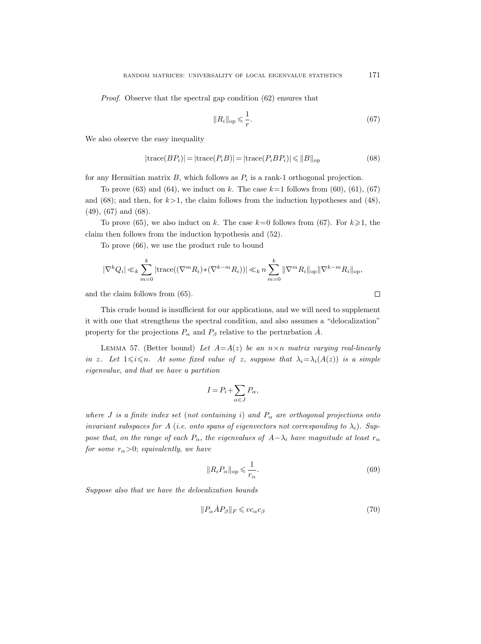Proof. Observe that the spectral gap condition (62) ensures that

$$
||R_i||_{\text{op}} \leqslant \frac{1}{r}.\tag{67}
$$

We also observe the easy inequality

$$
|\text{trace}(BP_i)| = |\text{trace}(P_iB)| = |\text{trace}(P_iBP_i)| \leq ||B||_{\text{op}} \tag{68}
$$

for any Hermitian matrix  $B$ , which follows as  $P_i$  is a rank-1 orthogonal projection.

To prove (63) and (64), we induct on k. The case  $k=1$  follows from (60), (61), (67) and (68); and then, for  $k>1$ , the claim follows from the induction hypotheses and (48), (49), (67) and (68).

To prove (65), we also induct on k. The case  $k=0$  follows from (67). For  $k\geqslant 1$ , the claim then follows from the induction hypothesis and (52).

To prove (66), we use the product rule to bound

$$
|\nabla^k Q_i| \ll_k \sum_{m=0}^k |\text{trace}((\nabla^m R_i) * (\nabla^{k-m} R_i))| \ll_k n \sum_{m=0}^k ||\nabla^m R_i||_{\text{op}} ||\nabla^{k-m} R_i||_{\text{op}},
$$

and the claim follows from (65).

This crude bound is insufficient for our applications, and we will need to supplement it with one that strengthens the spectral condition, and also assumes a "delocalization" property for the projections  $P_{\alpha}$  and  $P_{\beta}$  relative to the perturbation  $\dot{A}$ .

LEMMA 57. (Better bound) Let  $A=A(z)$  be an  $n \times n$  matrix varying real-linearly in z. Let  $1 \leq i \leq n$ . At some fixed value of z, suppose that  $\lambda_i = \lambda_i(A(z))$  is a simple eigenvalue, and that we have a partition

$$
I = P_i + \sum_{\alpha \in J} P_{\alpha},
$$

where J is a finite index set (not containing i) and  $P_{\alpha}$  are orthogonal projections onto invariant subspaces for A (i.e. onto spans of eigenvectors not corresponding to  $\lambda_i$ ). Suppose that, on the range of each  $P_{\alpha}$ , the eigenvalues of  $A-\lambda_i$  have magnitude at least  $r_{\alpha}$ for some  $r_{\alpha} > 0$ ; equivalently, we have

$$
||R_i P_\alpha||_{\text{op}} \leqslant \frac{1}{r_\alpha}.\tag{69}
$$

Suppose also that we have the delocalization bounds

$$
||P_{\alpha}\dot{A}P_{\beta}||_F \leqslant v c_{\alpha}c_{\beta} \tag{70}
$$

$$
\qquad \qquad \Box
$$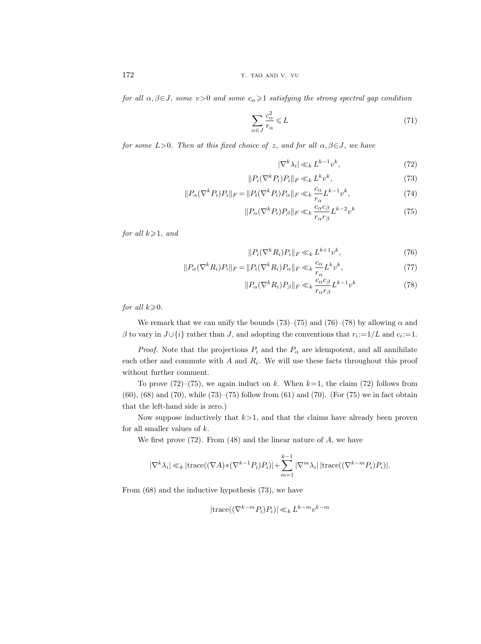172 T. TAO AND V. VU

for all  $\alpha, \beta \in J$ , some  $v>0$  and some  $c_{\alpha} \geq 1$  satisfying the strong spectral gap condition

$$
\sum_{\alpha \in J} \frac{c_{\alpha}^2}{r_{\alpha}} \leqslant L \tag{71}
$$

for some  $L>0$ . Then at this fixed choice of z, and for all  $\alpha, \beta \in J$ , we have

$$
|\nabla^k \lambda_i| \ll_k L^{k-1} v^k,\tag{72}
$$

$$
||P_i(\nabla^k P_i)P_i||_F \ll_k L^k v^k,
$$
\n(73)

$$
||P_{\alpha}(\nabla^k P_i)P_i||_F = ||P_i(\nabla^k P_i)P_{\alpha}||_F \ll_k \frac{c_{\alpha}}{r_{\alpha}} L^{k-1} v^k,
$$
\n(74)

$$
||P_{\alpha}(\nabla^k P_i)P_{\beta}||_F \ll_k \frac{c_{\alpha}c_{\beta}}{r_{\alpha}r_{\beta}} L^{k-2}v^k
$$
\n(75)

for all  $k\geqslant 1$ , and

$$
||P_i(\nabla^k R_i)P_i||_F \ll_k L^{k+1} v^k,
$$
\n(76)

$$
||P_{\alpha}(\nabla^k R_i)P_i||_F = ||P_i(\nabla^k R_i)P_{\alpha}||_F \ll_k \frac{c_{\alpha}}{r_{\alpha}} L^k v^k,
$$
\n(77)

$$
||P_{\alpha}(\nabla^k R_i)P_{\beta}||_F \ll_k \frac{c_{\alpha}c_{\beta}}{r_{\alpha}r_{\beta}} L^{k-1} v^k
$$
\n(78)

for all  $k\geqslant 0$ .

We remark that we can unify the bounds (73)–(75) and (76)–(78) by allowing  $\alpha$  and  $\beta$  to vary in  $J \cup \{i\}$  rather than  $J$ , and adopting the conventions that  $r_i := 1/L$  and  $c_i := 1$ .

*Proof.* Note that the projections  $P_i$  and the  $P_\alpha$  are idempotent, and all annihilate each other and commute with  $A$  and  $R_i$ . We will use these facts throughout this proof without further comment.

To prove  $(72)-(75)$ , we again induct on k. When  $k=1$ , the claim (72) follows from  $(60)$ ,  $(68)$  and  $(70)$ , while  $(73)$ – $(75)$  follow from  $(61)$  and  $(70)$ . (For  $(75)$  we in fact obtain that the left-hand side is zero.)

Now suppose inductively that  $k>1$ , and that the claims have already been proven for all smaller values of k.

We first prove  $(72)$ . From  $(48)$  and the linear nature of A, we have

$$
|\nabla^k \lambda_i| \ll_k |\mathrm{trace}((\nabla A) * (\nabla^{k-1} P_i) P_i)| + \sum_{m=1}^{k-1} |\nabla^m \lambda_i| \, |\mathrm{trace}((\nabla^{k-m} P_i) P_i)|.
$$

From (68) and the inductive hypothesis (73), we have

$$
|\text{trace}((\nabla^{k-m}P_i)P_i)| \ll_k L^{k-m} v^{k-m}
$$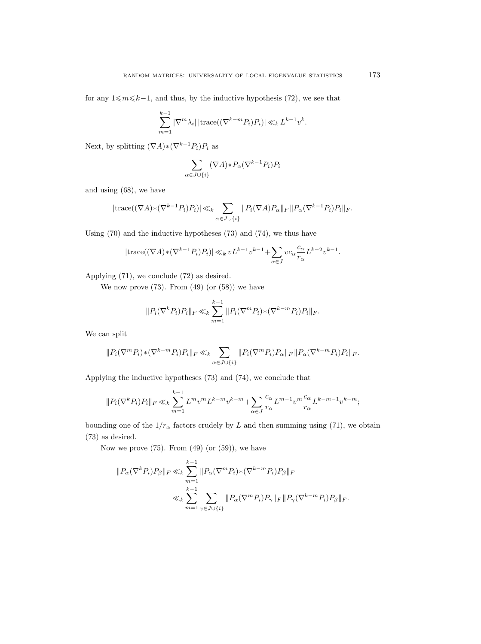for any  $1\leq m\leq k-1$ , and thus, by the inductive hypothesis (72), we see that

$$
\sum_{m=1}^{k-1} |\nabla^m \lambda_i| |\text{trace}((\nabla^{k-m} P_i) P_i)| \ll_k L^{k-1} v^k.
$$

Next, by splitting  $(\nabla A) * (\nabla^{k-1} P_i) P_i$  as

$$
\sum_{\alpha\in J\cup\{i\}}(\nabla A)*P_{\alpha}(\nabla^{k-1}P_i)P_i
$$

and using (68), we have

$$
|\mathrm{trace}((\nabla A)*(\nabla^{k-1}P_i)P_i)| \ll_k \sum_{\alpha \in J \cup \{i\}} ||P_i(\nabla A)P_\alpha||_F ||P_\alpha(\nabla^{k-1}P_i)P_i||_F.
$$

Using (70) and the inductive hypotheses (73) and (74), we thus have

$$
|\mathrm{trace}((\nabla A)*(\nabla^{k-1}P_i)P_i)| \ll_k vL^{k-1}v^{k-1} + \sum_{\alpha \in J} vc_{\alpha} \frac{c_{\alpha}}{r_{\alpha}} L^{k-2}v^{k-1}.
$$

Applying (71), we conclude (72) as desired.

We now prove  $(73)$ . From  $(49)$  (or  $(58)$ ) we have

$$
||P_i(\nabla^k P_i)P_i||_F \ll_k \sum_{m=1}^{k-1} ||P_i(\nabla^m P_i) * (\nabla^{k-m} P_i)P_i||_F.
$$

We can split

$$
||P_i(\nabla^m P_i) * (\nabla^{k-m} P_i) P_i||_F \ll_k \sum_{\alpha \in J \cup \{i\}} ||P_i(\nabla^m P_i) P_\alpha||_F ||P_\alpha(\nabla^{k-m} P_i) P_i||_F.
$$

Applying the inductive hypotheses (73) and (74), we conclude that

$$
||P_i(\nabla^k P_i)P_i||_F \ll_k \sum_{m=1}^{k-1} L^m v^m L^{k-m} v^{k-m} + \sum_{\alpha \in J} \frac{c_{\alpha}}{r_{\alpha}} L^{m-1} v^m \frac{c_{\alpha}}{r_{\alpha}} L^{k-m-1} v^{k-m};
$$

bounding one of the  $1/r_\alpha$  factors crudely by L and then summing using (71), we obtain (73) as desired.

Now we prove  $(75)$ . From  $(49)$  (or  $(59)$ ), we have

$$
||P_{\alpha}(\nabla^k P_i)P_{\beta}||_F \ll_k \sum_{m=1}^{k-1} ||P_{\alpha}(\nabla^m P_i) * (\nabla^{k-m} P_i)P_{\beta}||_F
$$
  

$$
\ll_k \sum_{m=1}^{k-1} \sum_{\gamma \in J \cup \{i\}} ||P_{\alpha}(\nabla^m P_i)P_{\gamma}||_F ||P_{\gamma}(\nabla^{k-m} P_i)P_{\beta}||_F.
$$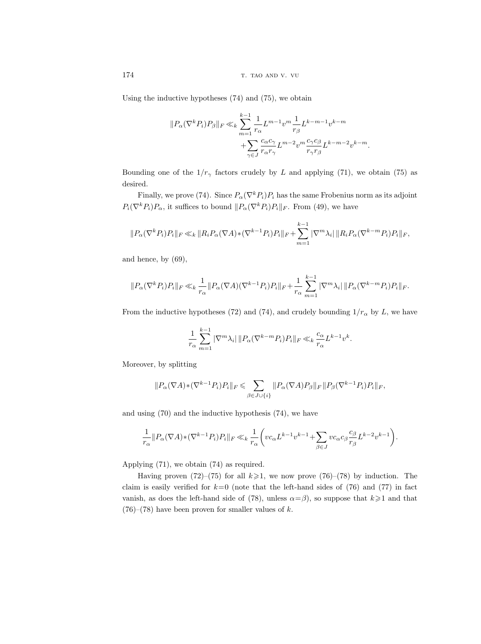Using the inductive hypotheses (74) and (75), we obtain

$$
\begin{aligned}\|P_\alpha (\nabla^k P_i)P_\beta\|_F\ll_k &\sum_{m=1}^{k-1}\frac{1}{r_\alpha}L^{m-1}v^m\frac{1}{r_\beta}L^{k-m-1}v^{k-m}\\ &+\sum_{\gamma\in J}\frac{c_\alpha c_\gamma}{r_\alpha r_\gamma}L^{m-2}v^m\frac{c_\gamma c_\beta}{r_\gamma r_\beta}L^{k-m-2}v^{k-m}.\end{aligned}
$$

Bounding one of the  $1/r_{\gamma}$  factors crudely by L and applying (71), we obtain (75) as desired.

Finally, we prove (74). Since  $P_{\alpha}(\nabla^k P_i)P_i$  has the same Frobenius norm as its adjoint  $P_i(\nabla^k P_i)P_\alpha$ , it suffices to bound  $||P_\alpha(\nabla^k P_i)P_i||_F$ . From (49), we have

$$
||P_{\alpha}(\nabla^k P_i)P_i||_F \ll_k ||R_i P_{\alpha}(\nabla A) * (\nabla^{k-1} P_i)P_i||_F + \sum_{m=1}^{k-1} |\nabla^m \lambda_i| ||R_i P_{\alpha}(\nabla^{k-m} P_i)P_i||_F,
$$

and hence, by (69),

$$
||P_{\alpha}(\nabla^k P_i)P_i||_F \ll_k \frac{1}{r_{\alpha}} ||P_{\alpha}(\nabla A)(\nabla^{k-1} P_i)P_i||_F + \frac{1}{r_{\alpha}} \sum_{m=1}^{k-1} |\nabla^m \lambda_i| ||P_{\alpha}(\nabla^{k-m} P_i)P_i||_F.
$$

From the inductive hypotheses (72) and (74), and crudely bounding  $1/r_\alpha$  by L, we have

$$
\frac{1}{r_{\alpha}}\sum_{m=1}^{k-1} |\nabla^m \lambda_i| \|P_{\alpha}(\nabla^{k-m} P_i)P_i\|_F \ll_k \frac{c_{\alpha}}{r_{\alpha}} L^{k-1} v^k.
$$

Moreover, by splitting

$$
||P_{\alpha}(\nabla A) * (\nabla^{k-1} P_i) P_i||_F \leq \sum_{\beta \in J \cup \{i\}} ||P_{\alpha}(\nabla A) P_{\beta}||_F ||P_{\beta}(\nabla^{k-1} P_i) P_i||_F,
$$

and using (70) and the inductive hypothesis (74), we have

$$
\frac{1}{r_\alpha}\|P_\alpha(\nabla A)\ast(\nabla^{k-1}P_i)P_i\|_F\ll_k \frac{1}{r_\alpha}\bigg(vc_\alpha L^{k-1}v^{k-1}+\sum_{\beta\in J}vc_\alpha c_\beta\frac{c_\beta}{r_\beta}L^{k-2}v^{k-1}\bigg).
$$

Applying (71), we obtain (74) as required.

Having proven (72)–(75) for all  $k \ge 1$ , we now prove (76)–(78) by induction. The claim is easily verified for  $k=0$  (note that the left-hand sides of (76) and (77) in fact vanish, as does the left-hand side of (78), unless  $\alpha = \beta$ ), so suppose that  $k \geq 1$  and that  $(76)$ – $(78)$  have been proven for smaller values of k.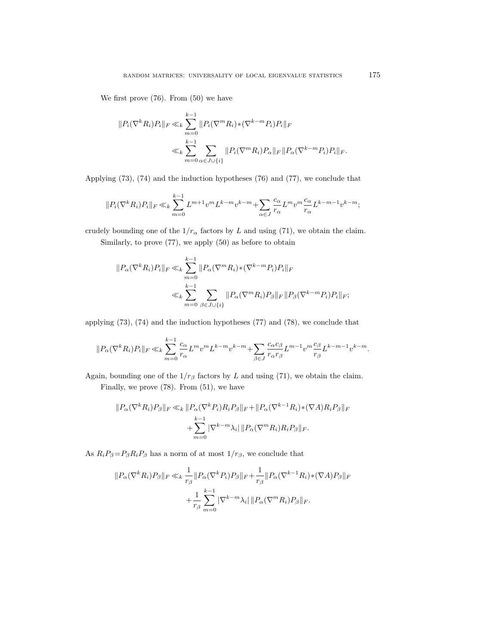We first prove (76). From (50) we have

$$
||P_i(\nabla^k R_i)P_i||_F \ll_k \sum_{m=0}^{k-1} ||P_i(\nabla^m R_i) * (\nabla^{k-m} P_i)P_i||_F
$$
  

$$
\ll_k \sum_{m=0}^{k-1} \sum_{\alpha \in J \cup \{i\}} ||P_i(\nabla^m R_i)P_\alpha||_F ||P_\alpha(\nabla^{k-m} P_i)P_i||_F.
$$

Applying (73), (74) and the induction hypotheses (76) and (77), we conclude that

$$
||P_i(\nabla^k R_i)P_i||_F \ll_k \sum_{m=0}^{k-1} L^{m+1} v^m L^{k-m} v^{k-m} + \sum_{\alpha \in J} \frac{c_{\alpha}}{r_{\alpha}} L^m v^m \frac{c_{\alpha}}{r_{\alpha}} L^{k-m-1} v^{k-m};
$$

crudely bounding one of the  $1/r_\alpha$  factors by L and using (71), we obtain the claim.

Similarly, to prove (77), we apply (50) as before to obtain

$$
||P_{\alpha}(\nabla^k R_i)P_i||_F \ll_k \sum_{m=0}^{k-1} ||P_{\alpha}(\nabla^m R_i) * (\nabla^{k-m} P_i)P_i||_F
$$
  

$$
\ll_k \sum_{m=0}^{k-1} \sum_{\beta \in J \cup \{i\}} ||P_{\alpha}(\nabla^m R_i)P_{\beta}||_F ||P_{\beta}(\nabla^{k-m} P_i)P_i||_F;
$$

applying (73), (74) and the induction hypotheses (77) and (78), we conclude that

$$
||P_{\alpha}(\nabla^k R_i)P_i||_F \ll_k \sum_{m=0}^{k-1} \frac{c_{\alpha}}{r_{\alpha}} L^m v^m L^{k-m} v^{k-m} + \sum_{\beta \in J} \frac{c_{\alpha} c_{\beta}}{r_{\alpha} r_{\beta}} L^{m-1} v^m \frac{c_{\beta}}{r_{\beta}} L^{k-m-1} v^{k-m}.
$$

Again, bounding one of the  $1/r_\beta$  factors by L and using (71), we obtain the claim.

Finally, we prove (78). From (51), we have

$$
||P_{\alpha}(\nabla^k R_i)P_{\beta}||_F \ll_k ||P_{\alpha}(\nabla^k P_i)R_i P_{\beta}||_F + ||P_{\alpha}(\nabla^{k-1} R_i) * (\nabla A)R_i P_{\beta}||_F
$$
  
+ 
$$
\sum_{m=0}^{k-1} |\nabla^{k-m} \lambda_i| ||P_{\alpha}(\nabla^m R_i)R_i P_{\beta}||_F.
$$

As  $R_i P_\beta = P_\beta R_i P_\beta$  has a norm of at most  $1/r_\beta$ , we conclude that

$$
||P_{\alpha}(\nabla^k R_i)P_{\beta}||_F \ll_k \frac{1}{r_{\beta}} ||P_{\alpha}(\nabla^k P_i)P_{\beta}||_F + \frac{1}{r_{\beta}} ||P_{\alpha}(\nabla^{k-1} R_i) * (\nabla A)P_{\beta}||_F
$$
  
+ 
$$
\frac{1}{r_{\beta}} \sum_{m=0}^{k-1} |\nabla^{k-m} \lambda_i| ||P_{\alpha}(\nabla^m R_i)P_{\beta}||_F.
$$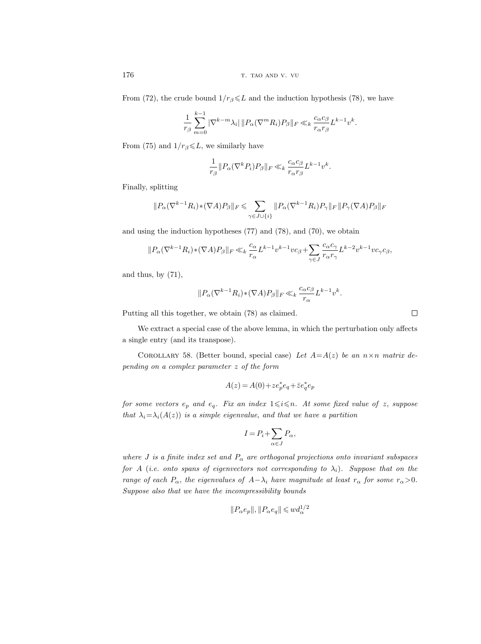176 the state of the state of the state of the state of the state of the state of the state of the state of the state of the state of the state of the state of the state of the state of the state of the state of the state

From (72), the crude bound  $1/r_\beta \leq L$  and the induction hypothesis (78), we have

$$
\frac{1}{r_{\beta}}\sum_{m=0}^{k-1}|\nabla^{k-m}\lambda_i|\,||P_{\alpha}(\nabla^mR_i)P_{\beta}||_F\ll_k \frac{c_{\alpha}c_{\beta}}{r_{\alpha}r_{\beta}}L^{k-1}v^k.
$$

From (75) and  $1/r_\beta \leq L$ , we similarly have

$$
\frac{1}{r_{\beta}} \| P_{\alpha} (\nabla^k P_i) P_{\beta} \|_F \ll_k \frac{c_{\alpha} c_{\beta}}{r_{\alpha} r_{\beta}} L^{k-1} v^k
$$

.

Finally, splitting

$$
\|P_\alpha (\nabla^{k-1} R_i) \ast (\nabla A) P_\beta \|_F \leqslant \sum_{\gamma \in J \cup \{i\}} \| P_\alpha (\nabla^{k-1} R_i) P_\gamma \|_F \, \| P_\gamma (\nabla A) P_\beta \|_F
$$

and using the induction hypotheses (77) and (78), and (70), we obtain

$$
\|P_\alpha (\nabla^{k-1} R_i) \ast (\nabla A) P_\beta \|_F \ll_k \frac{c_\alpha}{r_\alpha} L^{k-1} v^{k-1} v c_\beta + \sum_{\gamma \in J} \frac{c_\alpha c_\gamma}{r_\alpha r_\gamma} L^{k-2} v^{k-1} v c_\gamma c_\beta,
$$

and thus, by  $(71)$ ,

$$
||P_{\alpha}(\nabla^{k-1}R_i) * (\nabla A)P_{\beta}||_F \ll_k \frac{c_{\alpha}c_{\beta}}{r_{\alpha}}L^{k-1}v^k.
$$

Putting all this together, we obtain (78) as claimed.

We extract a special case of the above lemma, in which the perturbation only affects a single entry (and its transpose).

COROLLARY 58. (Better bound, special case) Let  $A=A(z)$  be an  $n \times n$  matrix depending on a complex parameter z of the form

$$
A(z) = A(0) + z e_p^* e_q + \bar{z} e_q^* e_p
$$

for some vectors  $e_p$  and  $e_q$ . Fix an index  $1 \leq i \leq n$ . At some fixed value of z, suppose that  $\lambda_i = \lambda_i(A(z))$  is a simple eigenvalue, and that we have a partition

$$
I = P_i + \sum_{\alpha \in J} P_{\alpha},
$$

where J is a finite index set and  $P_{\alpha}$  are orthogonal projections onto invariant subspaces for A (i.e. onto spans of eigenvectors not corresponding to  $\lambda_i$ ). Suppose that on the range of each  $P_{\alpha}$ , the eigenvalues of  $A-\lambda_i$  have magnitude at least  $r_{\alpha}$  for some  $r_{\alpha}>0$ . Suppose also that we have the incompressibility bounds

$$
||P_\alpha e_p||, ||P_\alpha e_q|| \leqslant w d_\alpha^{1/2}
$$

 $\Box$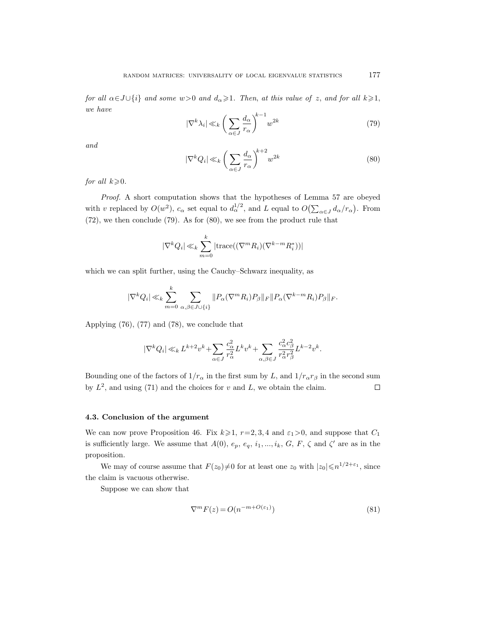for all  $\alpha \in J \cup \{i\}$  and some  $w > 0$  and  $d_{\alpha} \geq 1$ . Then, at this value of z, and for all  $k \geq 1$ , we have

$$
|\nabla^k \lambda_i| \ll_k \left(\sum_{\alpha \in J} \frac{d_{\alpha}}{r_{\alpha}}\right)^{k-1} w^{2k} \tag{79}
$$

and

$$
|\nabla^k Q_i| \ll_k \left(\sum_{\alpha \in J} \frac{d_{\alpha}}{r_{\alpha}}\right)^{k+2} w^{2k}
$$
\n(80)

for all  $k\geqslant 0$ .

Proof. A short computation shows that the hypotheses of Lemma 57 are obeyed with v replaced by  $O(w^2)$ ,  $c_\alpha$  set equal to  $d_\alpha^{1/2}$ , and L equal to  $O(\sum_{\alpha \in J} d_\alpha/r_\alpha)$ . From (72), we then conclude (79). As for (80), we see from the product rule that

$$
|\nabla^k Q_i| \ll_k \sum_{m=0}^k |\text{trace}((\nabla^m R_i)(\nabla^{k-m} R_i^*))|
$$

which we can split further, using the Cauchy–Schwarz inequality, as

$$
|\nabla^k Q_i| \ll_k \sum_{m=0}^k \sum_{\alpha,\beta \in J \cup \{i\}} ||P_\alpha(\nabla^m R_i) P_\beta||_F ||P_\alpha(\nabla^{k-m} R_i) P_\beta||_F.
$$

Applying (76), (77) and (78), we conclude that

$$
|\nabla^kQ_i|\ll_k L^{k+2}v^k+\sum_{\alpha\in J}\frac{c_\alpha^2}{r_\alpha^2}L^kv^k+\sum_{\alpha,\beta\in J}\frac{c_\alpha^2c_\beta^2}{r_\alpha^2r_\beta^2}L^{k-2}v^k.
$$

Bounding one of the factors of  $1/r_\alpha$  in the first sum by L, and  $1/r_\alpha r_\beta$  in the second sum by  $L^2$ , and using (71) and the choices for v and L, we obtain the claim.  $\Box$ 

# 4.3. Conclusion of the argument

We can now prove Proposition 46. Fix  $k\geq 1$ ,  $r=2, 3, 4$  and  $\varepsilon_1>0$ , and suppose that  $C_1$ is sufficiently large. We assume that  $A(0), e_p, e_q, i_1, ..., i_k, G, F, \zeta$  and  $\zeta'$  are as in the proposition.

We may of course assume that  $F(z_0)\neq 0$  for at least one  $z_0$  with  $|z_0|\leqslant n^{1/2+\epsilon_1}$ , since the claim is vacuous otherwise.

Suppose we can show that

$$
\nabla^m F(z) = O(n^{-m+O(\varepsilon_1)})\tag{81}
$$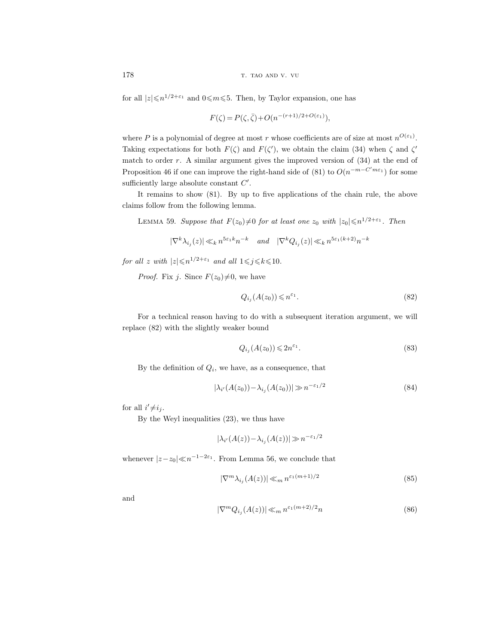178 the contract term in the contract of the contract of the contract of the contract of the contract of the contract of the contract of the contract of the contract of the contract of the contract of the contract of the c

for all  $|z| \le n^{1/2+\varepsilon_1}$  and  $0 \le m \le 5$ . Then, by Taylor expansion, one has

$$
F(\zeta) = P(\zeta, \overline{\zeta}) + O(n^{-(r+1)/2 + O(\varepsilon_1)}),
$$

where P is a polynomial of degree at most r whose coefficients are of size at most  $n^{O(\varepsilon_1)}$ . Taking expectations for both  $F(\zeta)$  and  $F(\zeta')$ , we obtain the claim (34) when  $\zeta$  and  $\zeta'$ match to order r. A similar argument gives the improved version of (34) at the end of Proposition 46 if one can improve the right-hand side of (81) to  $O(n^{-m-C'm\epsilon_1})$  for some sufficiently large absolute constant  $C'$ .

It remains to show (81). By up to five applications of the chain rule, the above claims follow from the following lemma.

LEMMA 59. Suppose that  $F(z_0) \neq 0$  for at least one  $z_0$  with  $|z_0| \leq n^{1/2+\varepsilon_1}$ . Then

$$
|\nabla^k \lambda_{i_j}(z)| \ll_k n^{5\varepsilon_1 k} n^{-k} \quad \text{and} \quad |\nabla^k Q_{i_j}(z)| \ll_k n^{5\varepsilon_1 (k+2)} n^{-k}
$$

for all z with  $|z| \leq n^{1/2+\varepsilon_1}$  and all  $1 \leq j \leq k \leq 10$ .

*Proof.* Fix j. Since  $F(z_0)\neq 0$ , we have

$$
Q_{i_j}(A(z_0)) \leqslant n^{\varepsilon_1}.\tag{82}
$$

For a technical reason having to do with a subsequent iteration argument, we will replace (82) with the slightly weaker bound

$$
Q_{i_j}(A(z_0)) \leq 2n^{\varepsilon_1}.\tag{83}
$$

By the definition of  $Q_i$ , we have, as a consequence, that

$$
|\lambda_{i'}(A(z_0)) - \lambda_{i_j}(A(z_0))| \gg n^{-\varepsilon_1/2}
$$
\n(84)

for all  $i' \neq i_j$ .

By the Weyl inequalities (23), we thus have

$$
|\lambda_{i'}(A(z)) - \lambda_{i_j}(A(z))| \gg n^{-\varepsilon_1/2}
$$

whenever  $|z-z_0| \ll n^{-1-2\varepsilon_1}$ . From Lemma 56, we conclude that

$$
|\nabla^m \lambda_{i_j}(A(z))| \ll_m n^{\varepsilon_1(m+1)/2} \tag{85}
$$

and

$$
|\nabla^m Q_{i_j}(A(z))| \ll_m n^{\varepsilon_1(m+2)/2}n \tag{86}
$$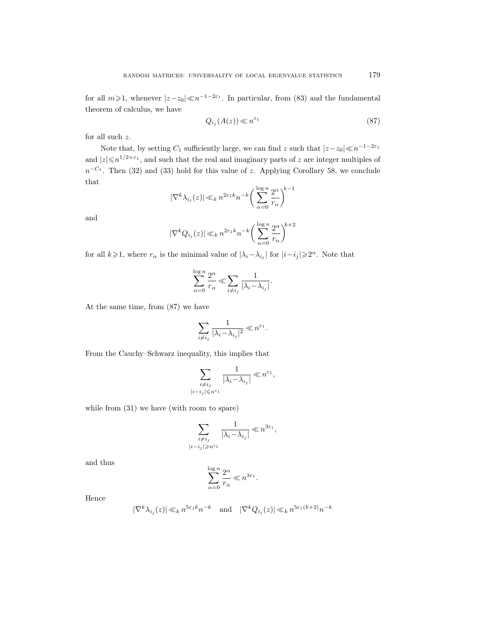for all  $m \ge 1$ , whenever  $|z-z_0| \ll n^{-1-2\varepsilon_1}$ . In particular, from (83) and the fundamental theorem of calculus, we have

$$
Q_{i_j}(A(z)) \ll n^{\varepsilon_1} \tag{87}
$$

for all such z.

Note that, by setting  $C_1$  sufficiently large, we can find z such that  $|z-z_0| \ll n^{-1-2\varepsilon_1}$ and  $|z| \leq n^{1/2+\epsilon_1}$ , and such that the real and imaginary parts of z are integer multiples of  $n^{-C_1}$ . Then (32) and (33) hold for this value of z. Applying Corollary 58, we conclude that

$$
|\nabla^k \lambda_{i_j}(z)| \ll_k n^{2\varepsilon_1 k} n^{-k} \bigg( \sum_{\alpha=0}^{\log n} \frac{2^{\alpha}}{r_{\alpha}} \bigg)^{k-1}
$$

and

$$
|\nabla^k Q_{i_j}(z)| \ll_k n^{2\varepsilon_1 k} n^{-k} \bigg(\sum_{\alpha=0}^{\log n} \frac{2^{\alpha}}{r_{\alpha}}\bigg)^{\!k+2}
$$

for all  $k \geq 1$ , where  $r_{\alpha}$  is the minimal value of  $|\lambda_i - \lambda_{i_j}|$  for  $|i - i_j| \geq 2^{\alpha}$ . Note that

$$
\sum_{\alpha=0}^{\log n} \frac{2^{\alpha}}{r_{\alpha}} \ll \sum_{i \neq i_j} \frac{1}{|\lambda_i - \lambda_{i_j}|}.
$$

At the same time, from (87) we have

$$
\sum_{i\neq i_j}\frac{1}{|\lambda_i-\lambda_{i_j}|^2}\ll n^{\varepsilon_1}.
$$

From the Cauchy–Schwarz inequality, this implies that

 $|i-$ 

$$
\sum_{\substack{i \neq i_j \\ |i - i_j| \leqslant n^{\varepsilon_1}}} \frac{1}{|\lambda_i - \lambda_{i_j}|} \ll n^{\varepsilon_1},
$$

while from (31) we have (with room to spare)

$$
\sum_{\substack{i \neq i_j \\ -i_j|\geqslant n^{\varepsilon_1}}} \frac{1}{|\lambda_i - \lambda_{i_j}|} \ll n^{3\varepsilon_1},
$$

and thus

$$
\sum_{\alpha=0}^{\log n} \frac{2^{\alpha}}{r_{\alpha}} \ll n^{3\varepsilon_1}.
$$

Hence

$$
|\nabla^k \lambda_{i_j}(z)| \ll_k n^{5\varepsilon_1 k} n^{-k} \quad \text{and} \quad |\nabla^k Q_{i_j}(z)| \ll_k n^{5\varepsilon_1 (k+2)} n^{-k}
$$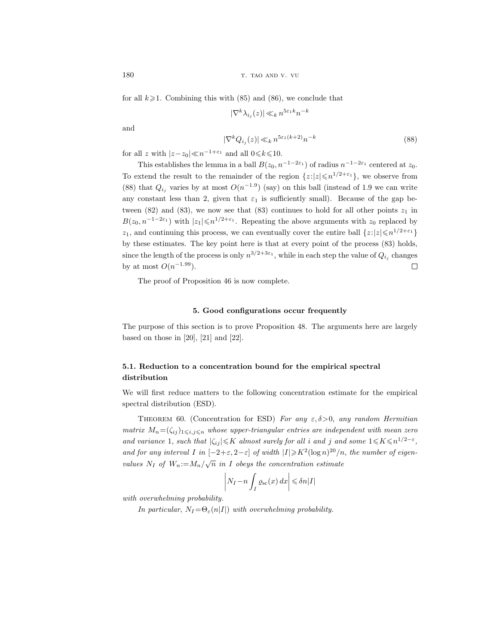180 the state of the state of the state of the state of the state of the state of the state of the state of the state of the state of the state of the state of the state of the state of the state of the state of the state

for all  $k\geqslant 1$ . Combining this with (85) and (86), we conclude that

 $|\nabla^k \lambda_{i_j}(z)| \ll_k n^{5\varepsilon_1 k} n^{-k}$ 

and

$$
|\nabla^k Q_{i_j}(z)| \ll_k n^{5\varepsilon_1(k+2)} n^{-k}
$$
\n(88)

for all z with  $|z-z_0| \ll n^{-1+\varepsilon_1}$  and all  $0 \le k \le 10$ .

This establishes the lemma in a ball  $B(z_0, n^{-1-2\varepsilon_1})$  of radius  $n^{-1-2\varepsilon_1}$  centered at  $z_0$ . To extend the result to the remainder of the region  $\{z:|z|\leqslant n^{1/2+\varepsilon_1}\}$ , we observe from (88) that  $Q_{i_j}$  varies by at most  $O(n^{-1.9})$  (say) on this ball (instead of 1.9 we can write any constant less than 2, given that  $\varepsilon_1$  is sufficiently small). Because of the gap between (82) and (83), we now see that (83) continues to hold for all other points  $z_1$  in  $B(z_0, n^{-1-2\varepsilon_1})$  with  $|z_1| \leq n^{1/2+\varepsilon_1}$ . Repeating the above arguments with  $z_0$  replaced by  $z_1$ , and continuing this process, we can eventually cover the entire ball  $\{z:|z|\leqslant n^{1/2+\varepsilon_1}\}$ by these estimates. The key point here is that at every point of the process (83) holds, since the length of the process is only  $n^{3/2+3\varepsilon_1}$ , while in each step the value of  $Q_{i_j}$  changes by at most  $O(n^{-1.99})$ .  $\Box$ 

The proof of Proposition 46 is now complete.

#### 5. Good configurations occur frequently

The purpose of this section is to prove Proposition 48. The arguments here are largely based on those in  $[20]$ ,  $[21]$  and  $[22]$ .

# 5.1. Reduction to a concentration bound for the empirical spectral distribution

We will first reduce matters to the following concentration estimate for the empirical spectral distribution (ESD).

THEOREM 60. (Concentration for ESD) For any  $\varepsilon, \delta > 0$ , any random Hermitian matrix  $M_n = (\zeta_{ij})_{1 \leq i,j \leq n}$  whose upper-triangular entries are independent with mean zero and variance 1, such that  $|\zeta_{ij}| \leqslant K$  almost surely for all i and j and some  $1 \leqslant K \leqslant n^{1/2-\varepsilon}$ , and for any interval I in  $[-2+\varepsilon, 2-\varepsilon]$  of width  $|I| \geq K^2(\log n)^{20}/n$ , the number of eigenvalues  $N_I$  of  $W_n := M_n / \sqrt{n}$  in I obeys the concentration estimate

$$
\left| N_I - n \int_I \varrho_{\rm sc}(x) \, dx \right| \leq \delta n |I|
$$

with overwhelming probability.

In particular,  $N_I = \Theta_{\varepsilon}(n|I|)$  with overwhelming probability.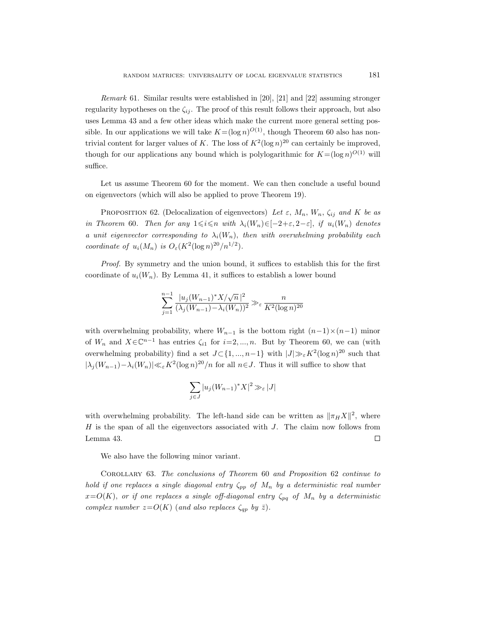Remark 61. Similar results were established in [20], [21] and [22] assuming stronger regularity hypotheses on the  $\zeta_{ij}$ . The proof of this result follows their approach, but also uses Lemma 43 and a few other ideas which make the current more general setting possible. In our applications we will take  $K = (\log n)^{O(1)}$ , though Theorem 60 also has nontrivial content for larger values of K. The loss of  $K^2(\log n)^{20}$  can certainly be improved, though for our applications any bound which is polylogarithmic for  $K = (\log n)^{O(1)}$  will suffice.

Let us assume Theorem 60 for the moment. We can then conclude a useful bound on eigenvectors (which will also be applied to prove Theorem 19).

PROPOSITION 62. (Delocalization of eigenvectors) Let  $\varepsilon$ ,  $M_n$ ,  $W_n$ ,  $\zeta_{ij}$  and  $K$  be as in Theorem 60. Then for any  $1 \leq i \leq n$  with  $\lambda_i(W_n) \in [-2+\varepsilon, 2-\varepsilon]$ , if  $u_i(W_n)$  denotes a unit eigenvector corresponding to  $\lambda_i(W_n)$ , then with overwhelming probability each coordinate of  $u_i(M_n)$  is  $O_{\varepsilon}(K^2(\log n)^{20}/n^{1/2})$ .

Proof. By symmetry and the union bound, it suffices to establish this for the first coordinate of  $u_i(W_n)$ . By Lemma 41, it suffices to establish a lower bound

$$
\sum_{j=1}^{n-1} \frac{|u_j(W_{n-1})^* X/\sqrt{n}|^2}{(\lambda_j(W_{n-1}) - \lambda_i(W_n))^2} \gg_{\varepsilon} \frac{n}{K^2 (\log n)^{20}}
$$

with overwhelming probability, where  $W_{n-1}$  is the bottom right  $(n-1)\times(n-1)$  minor of  $W_n$  and  $X \in \mathbb{C}^{n-1}$  has entries  $\zeta_{i1}$  for  $i=2,\ldots,n$ . But by Theorem 60, we can (with overwhelming probability) find a set  $J \subset \{1, ..., n-1\}$  with  $|J| \gg_{\varepsilon} K^2(\log n)^{20}$  such that  $|\lambda_j(W_{n-1}) - \lambda_i(W_n)| \ll_{\varepsilon} K^2 (\log n)^{20} / n$  for all  $n \in J$ . Thus it will suffice to show that

$$
\sum_{j\in J}|u_j(W_{n-1})^*X|^2\gg_{\varepsilon}|J|
$$

with overwhelming probability. The left-hand side can be written as  $\|\pi_H X\|^2$ , where  $H$  is the span of all the eigenvectors associated with  $J$ . The claim now follows from Lemma 43.  $\Box$ 

We also have the following minor variant.

Corollary 63. The conclusions of Theorem 60 and Proposition 62 continue to hold if one replaces a single diagonal entry  $\zeta_{pp}$  of  $M_n$  by a deterministic real number  $x=O(K)$ , or if one replaces a single off-diagonal entry  $\zeta_{pq}$  of  $M_n$  by a deterministic complex number  $z=O(K)$  (and also replaces  $\zeta_{qp}$  by  $\bar{z}$ ).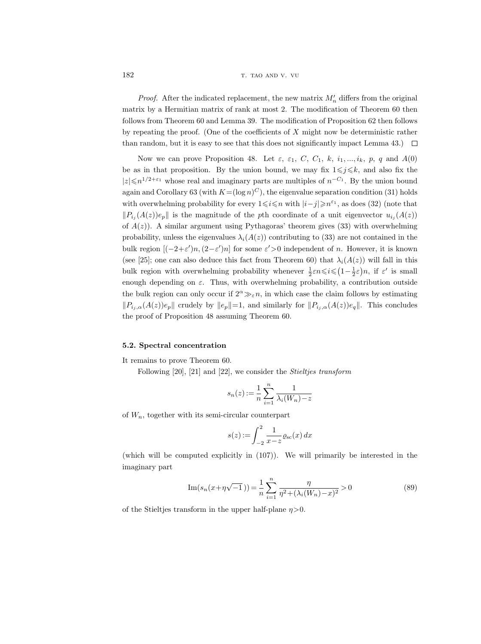182 t. tao and v. vu

*Proof.* After the indicated replacement, the new matrix  $M'_n$  differs from the original matrix by a Hermitian matrix of rank at most 2. The modification of Theorem 60 then follows from Theorem 60 and Lemma 39. The modification of Proposition 62 then follows by repeating the proof. (One of the coefficients of  $X$  might now be deterministic rather than random, but it is easy to see that this does not significantly impact Lemma 43.)  $\Box$ 

Now we can prove Proposition 48. Let  $\varepsilon$ ,  $\varepsilon$ <sub>1</sub>,  $C$ ,  $C$ <sub>1</sub>,  $k$ ,  $i_1, ..., i_k$ ,  $p$ ,  $q$  and  $A(0)$ be as in that proposition. By the union bound, we may fix  $1 \leq j \leq k$ , and also fix the  $|z|$  ≤n<sup>1/2+ $\varepsilon$ <sub>1</sub> whose real and imaginary parts are multiples of  $n^{-C_1}$ . By the union bound</sup> again and Corollary 63 (with  $K = (\log n)^C$ ), the eigenvalue separation condition (31) holds with overwhelming probability for every  $1 \leq i \leq n$  with  $|i-j| \geq n^{\epsilon_1}$ , as does (32) (note that  $||P_{i_j}(A(z))e_p||$  is the magnitude of the pth coordinate of a unit eigenvector  $u_{i_j}(A(z))$ of  $A(z)$ ). A similar argument using Pythagoras' theorem gives (33) with overwhelming probability, unless the eigenvalues  $\lambda_i(A(z))$  contributing to (33) are not contained in the bulk region  $[(-2+\varepsilon')n, (2-\varepsilon')n]$  for some  $\varepsilon' > 0$  independent of n. However, it is known (see [25]; one can also deduce this fact from Theorem 60) that  $\lambda_i(A(z))$  will fall in this bulk region with overwhelming probability whenever  $\frac{1}{2}\varepsilon n \leqslant i \leqslant (1-\frac{1}{2}\varepsilon)n$ , if  $\varepsilon'$  is small enough depending on  $\varepsilon$ . Thus, with overwhelming probability, a contribution outside the bulk region can only occur if  $2^{\alpha} \gg_{\varepsilon} n$ , in which case the claim follows by estimating  $||P_{i_j,\alpha}(A(z))e_p||$  crudely by  $||e_p||=1$ , and similarly for  $||P_{i_j,\alpha}(A(z))e_q||$ . This concludes the proof of Proposition 48 assuming Theorem 60.

### 5.2. Spectral concentration

It remains to prove Theorem 60.

Following [20], [21] and [22], we consider the Stieltjes transform

$$
s_n(z) := \frac{1}{n} \sum_{i=1}^n \frac{1}{\lambda_i(W_n) - z}
$$

of  $W_n$ , together with its semi-circular counterpart

$$
s(z) := \int_{-2}^{2} \frac{1}{x - z} \varrho_{\rm sc}(x) \, dx
$$

(which will be computed explicitly in (107)). We will primarily be interested in the imaginary part

$$
\operatorname{Im}(s_n(x+\eta\sqrt{-1}\,)) = \frac{1}{n} \sum_{i=1}^n \frac{\eta}{\eta^2 + (\lambda_i(W_n) - x)^2} > 0 \tag{89}
$$

of the Stieltjes transform in the upper half-plane  $\eta > 0$ .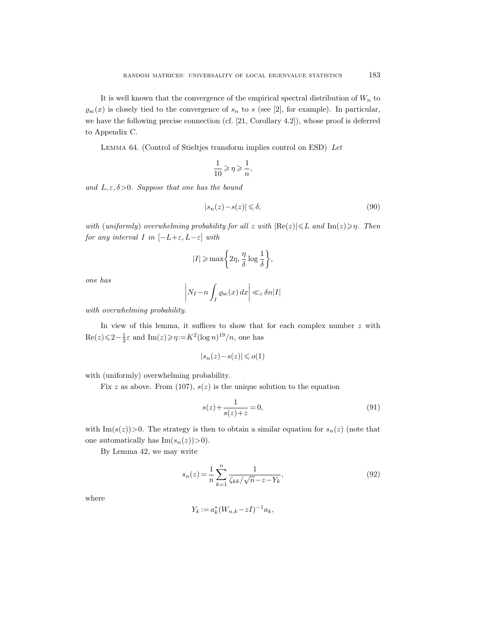It is well known that the convergence of the empirical spectral distribution of  $W_n$  to  $\varrho_{\rm sc}(x)$  is closely tied to the convergence of  $s_n$  to s (see [2], for example). In particular, we have the following precise connection (cf. [21, Corollary 4.2]), whose proof is deferred to Appendix C.

Lemma 64. (Control of Stieltjes transform implies control on ESD) Let

$$
\frac{1}{10}\geqslant \eta \geqslant \frac{1}{n},
$$

and  $L, \varepsilon, \delta > 0$ . Suppose that one has the bound

$$
|s_n(z) - s(z)| \leq \delta,\tag{90}
$$

with (uniformly) overwhelming probability for all z with  $|\text{Re}(z)| \leq L$  and  $\text{Im}(z) \geq \eta$ . Then for any interval I in  $[-L+\varepsilon, L-\varepsilon]$  with

$$
|I| \ge \max\left\{2\eta, \frac{\eta}{\delta} \log \frac{1}{\delta}\right\},\
$$

one has

$$
\left| N_I - n \int_I \varrho_{\rm sc}(x) \, dx \right| \ll_{\varepsilon} \delta n |I|
$$

with overwhelming probability.

In view of this lemma, it suffices to show that for each complex number  $z$  with  $\text{Re}(z) \leq 2 - \frac{1}{2}\varepsilon$  and  $\text{Im}(z) \geq \eta := K^2(\log n)^{19}/n$ , one has

$$
|s_n(z)\!-\!s(z)|\leqslant o(1)
$$

with (uniformly) overwhelming probability.

Fix z as above. From (107),  $s(z)$  is the unique solution to the equation

$$
s(z) + \frac{1}{s(z) + z} = 0,\t\t(91)
$$

with Im( $s(z)$ )>0. The strategy is then to obtain a similar equation for  $s_n(z)$  (note that one automatically has  $\text{Im}(s_n(z))>0$ .

By Lemma 42, we may write

$$
s_n(z) = \frac{1}{n} \sum_{k=1}^n \frac{1}{\zeta_{kk}/\sqrt{n} - z - Y_k},\tag{92}
$$

where

$$
Y_k := a_k^* (W_{n,k} - zI)^{-1} a_k,
$$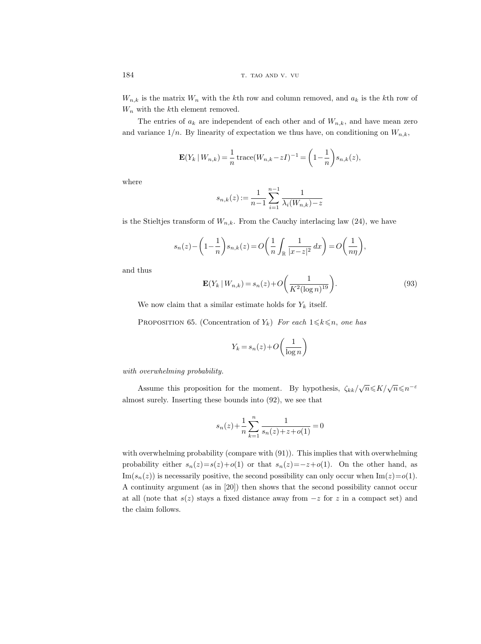$W_{n,k}$  is the matrix  $W_n$  with the kth row and column removed, and  $a_k$  is the kth row of  $W_n$  with the kth element removed.

The entries of  $a_k$  are independent of each other and of  $W_{n,k}$ , and have mean zero and variance  $1/n$ . By linearity of expectation we thus have, on conditioning on  $W_{n,k}$ ,

$$
\mathbf{E}(Y_k \mid W_{n,k}) = \frac{1}{n} \operatorname{trace}(W_{n,k} - zI)^{-1} = \left(1 - \frac{1}{n}\right) s_{n,k}(z),
$$

where

$$
s_{n,k}(z) := \frac{1}{n-1} \sum_{i=1}^{n-1} \frac{1}{\lambda_i(W_{n,k}) - z}
$$

is the Stieltjes transform of  $W_{n,k}$ . From the Cauchy interlacing law (24), we have

$$
s_n(z) - \left(1 - \frac{1}{n}\right)s_{n,k}(z) = O\left(\frac{1}{n}\int_{\mathbb{R}}\frac{1}{|x-z|^2}dx\right) = O\left(\frac{1}{n\eta}\right),\,
$$

and thus

$$
\mathbf{E}(Y_k \mid W_{n,k}) = s_n(z) + O\left(\frac{1}{K^2 (\log n)^{19}}\right).
$$
\n(93)

We now claim that a similar estimate holds for  $Y_k$  itself.

PROPOSITION 65. (Concentration of  $Y_k$ ) For each  $1 \leq k \leq n$ , one has

$$
Y_k = s_n(z) + O\left(\frac{1}{\log n}\right)
$$

with overwhelming probability.

Assume this proposition for the moment. By hypothesis,  $\zeta_{kk}/\sqrt{n} \leq K/\sqrt{n} \leq n^{-\varepsilon}$ almost surely. Inserting these bounds into (92), we see that

$$
s_n(z) + \frac{1}{n} \sum_{k=1}^n \frac{1}{s_n(z) + z + o(1)} = 0
$$

with overwhelming probability (compare with (91)). This implies that with overwhelming probability either  $s_n(z)=s(z)+o(1)$  or that  $s_n(z)=-z+o(1)$ . On the other hand, as  $\text{Im}(s_n(z))$  is necessarily positive, the second possibility can only occur when  $\text{Im}(z)=o(1)$ . A continuity argument (as in [20]) then shows that the second possibility cannot occur at all (note that  $s(z)$  stays a fixed distance away from  $-z$  for z in a compact set) and the claim follows.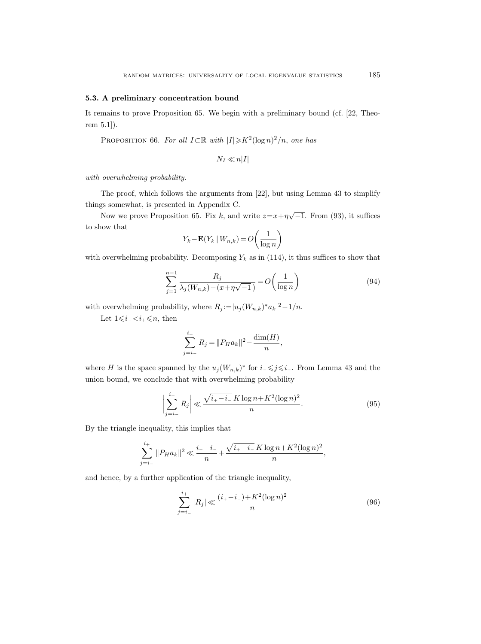#### 5.3. A preliminary concentration bound

It remains to prove Proposition 65. We begin with a preliminary bound (cf. [22, Theorem 5.1]).

PROPOSITION 66. For all  $I \subset \mathbb{R}$  with  $|I| \geq k^2 (\log n)^2/n$ , one has

$$
N_I \ll n|I|
$$

with overwhelming probability.

The proof, which follows the arguments from [22], but using Lemma 43 to simplify things somewhat, is presented in Appendix C.

Now we prove Proposition 65. Fix k, and write  $z=x+\eta\sqrt{-1}$ . From (93), it suffices to show that

$$
Y_k - \mathbf{E}(Y_k \mid W_{n,k}) = O\left(\frac{1}{\log n}\right)
$$

with overwhelming probability. Decomposing  $Y_k$  as in (114), it thus suffices to show that

$$
\sum_{j=1}^{n-1} \frac{R_j}{\lambda_j(W_{n,k}) - (x + \eta \sqrt{-1})} = O\left(\frac{1}{\log n}\right)
$$
\n(94)

with overwhelming probability, where  $R_j := |u_j(W_{n,k})^* a_k|^2 - 1/n$ .

Let  $1 \leq i_{-} < i_{+} \leq n$ , then

$$
\sum_{j=i-1}^{i_+} R_j = ||P_H a_k||^2 - \frac{\dim(H)}{n},
$$

where H is the space spanned by the  $u_j(W_{n,k})^*$  for  $i \leq j \leq i_+$ . From Lemma 43 and the union bound, we conclude that with overwhelming probability

$$
\left| \sum_{j=i-}^{i+} R_j \right| \ll \frac{\sqrt{i + i - K \log n + K^2 (\log n)^2}}{n}.
$$
 (95)

By the triangle inequality, this implies that

$$
\sum_{j=i-}^{i_{+}} \|P_{H}a_{k}\|^{2} \ll \frac{i_{+}-i_{-}}{n} + \frac{\sqrt{i_{+}-i_{-}} K \log n + K^{2} (\log n)^{2}}{n},
$$

and hence, by a further application of the triangle inequality,

$$
\sum_{j=i_{-}}^{i_{+}} |R_{j}| \ll \frac{(i_{+}-i_{-}) + K^{2} (\log n)^{2}}{n}
$$
\n(96)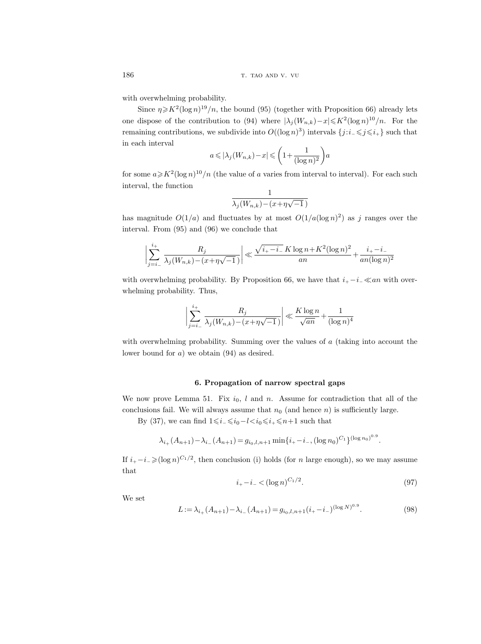with overwhelming probability.

Since  $\eta \ge K^2 (\log n)^{19}/n$ , the bound (95) (together with Proposition 66) already lets one dispose of the contribution to (94) where  $\left|\lambda_j(W_{n,k})-x\right|\leqslant K^2(\log n)^{10}/n$ . For the remaining contributions, we subdivide into  $O((\log n)^3)$  intervals  $\{j : i \leq j \leq i_+\}$  such that in each interval

$$
a \leqslant |\lambda_j(W_{n,k})-x| \leqslant \bigg(1+\frac{1}{(\log n)^2}\bigg)a
$$

for some  $a \ge K^2(\log n)^{10}/n$  (the value of a varies from interval to interval). For each such interval, the function

$$
\frac{1}{\lambda_j(W_{n,k}) - (x + \eta\sqrt{-1})}
$$

has magnitude  $O(1/a)$  and fluctuates by at most  $O(1/a(\log n)^2)$  as j ranges over the interval. From (95) and (96) we conclude that

$$
\left| \sum_{j=i_-}^{i_+} \frac{R_j}{\lambda_j(W_{n,k}) - (x + \eta \sqrt{-1})} \right| \ll \frac{\sqrt{i_+ - i_-} K \log n + K^2 (\log n)^2}{an} + \frac{i_+ - i_-}{an(\log n)^2}
$$

with overwhelming probability. By Proposition 66, we have that  $i_{+} - i_{-} \ll an$  with overwhelming probability. Thus,

$$
\bigg|\sum_{j=i_-}^{i_+} \frac{R_j}{\lambda_j(W_{n,k}) - (x + \eta\sqrt{-1})}\bigg| \ll \frac{K\log n}{\sqrt{an}} + \frac{1}{(\log n)^4}
$$

with overwhelming probability. Summing over the values of a (taking into account the lower bound for a) we obtain (94) as desired.

# 6. Propagation of narrow spectral gaps

We now prove Lemma 51. Fix  $i_0$ , l and n. Assume for contradiction that all of the conclusions fail. We will always assume that  $n_0$  (and hence n) is sufficiently large.

By (37), we can find  $1 \le i_-\le i_0-l such that$ 

$$
\lambda_{i+}(A_{n+1}) - \lambda_{i-}(A_{n+1}) = g_{i_0, l, n+1} \min\{i_+ - i_-, (\log n_0)^{C_1}\}^{(\log n_0)^{0.9}}.
$$

If  $i_{+} - i_{-} \geq (\log n)^{C_1/2}$ , then conclusion (i) holds (for n large enough), so we may assume that

$$
i_{+} - i_{-} < (\log n)^{C_1/2}.\tag{97}
$$

We set

$$
L := \lambda_{i+}(A_{n+1}) - \lambda_{i-}(A_{n+1}) = g_{i_0, l, n+1}(i_+ - i_-)^{(\log N)^{0.9}}.
$$
\n(98)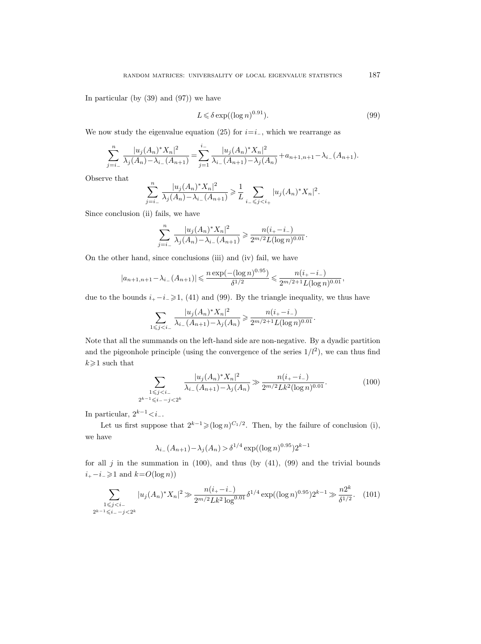In particular (by  $(39)$  and  $(97)$ ) we have

$$
L \leq \delta \exp((\log n)^{0.91}).\tag{99}
$$

We now study the eigenvalue equation (25) for  $i=i_-,$  which we rearrange as

$$
\sum_{j=i_{-}}^{n} \frac{|u_j(A_n)^* X_n|^2}{\lambda_j(A_n) - \lambda_{i_{-}}(A_{n+1})} = \sum_{j=1}^{i_{-}} \frac{|u_j(A_n)^* X_n|^2}{\lambda_{i_{-}}(A_{n+1}) - \lambda_j(A_n)} + a_{n+1,n+1} - \lambda_{i_{-}}(A_{n+1}).
$$

Observe that

$$
\sum_{j=i_{-}}^{n} \frac{|u_j(A_n)^* X_n|^2}{\lambda_j(A_n) - \lambda_{i_{-}}(A_{n+1})} \geq \frac{1}{L} \sum_{i_{-} \leq j < i_{+}} |u_j(A_n)^* X_n|^2.
$$

Since conclusion (ii) fails, we have

$$
\sum_{j=i_-}^n \frac{|u_j(A_n)^* X_n|^2}{\lambda_j(A_n) - \lambda_{i_-}(A_{n+1})} \geq \frac{n(i_+ - i_-)}{2^{m/2} L(\log n)^{0.01}}.
$$

On the other hand, since conclusions (iii) and (iv) fail, we have

$$
|a_{n+1,n+1} - \lambda_{i-}(A_{n+1})| \leq \frac{n \exp(-(\log n)^{0.95})}{\delta^{1/2}} \leq \frac{n(i_{+} - i_{-})}{2^{m/2 + 1} L(\log n)^{0.01}},
$$

due to the bounds  $i_+ - i_- \geq 1$ , (41) and (99). By the triangle inequality, we thus have

$$
\sum_{1 \leq j < i_-} \frac{|u_j(A_n)^* X_n|^2}{\lambda_{i_-}(A_{n+1}) - \lambda_j(A_n)} \geq \frac{n(i_+ - i_-)}{2^{m/2 + 1} L(\log n)^{0.01}}.
$$

Note that all the summands on the left-hand side are non-negative. By a dyadic partition and the pigeonhole principle (using the convergence of the series  $1/l<sup>2</sup>$ ), we can thus find  $k\geqslant 1$  such that

$$
\sum_{\substack{1 \le j < i \le n \\ 2^{k-1} \le i, \, -j < 2^k}} \frac{|u_j(A_n)^* X_n|^2}{\lambda_{i-}(A_{n+1}) - \lambda_j(A_n)} \gg \frac{n(i, -i)}{2^{m/2} L k^2 (\log n)^{0.01}}.\tag{100}
$$

In particular,  $2^{k-1} < i_-\,$ .

Let us first suppose that  $2^{k-1} \geq (\log n)^{C_1/2}$ . Then, by the failure of conclusion (i), we have

$$
\lambda_{i_{-}}(A_{n+1}) - \lambda_{j}(A_n) > \delta^{1/4} \exp((\log n)^{0.95}) 2^{k-1}
$$

for all  $j$  in the summation in (100), and thus (by (41), (99) and the trivial bounds  $i_+ - i_- \geq 1$  and  $k = O(\log n)$ )

$$
\sum_{\substack{1 \le j < i-1 \\ 2^{k-1} \le i, -j < 2^k}} |u_j(A_n)^* X_n|^2 \gg \frac{n(i_+ - i_-)}{2^{m/2} L k^2 \log^{0.01}} \delta^{1/4} \exp((\log n)^{0.95}) 2^{k-1} \gg \frac{n 2^k}{\delta^{1/2}}. \tag{101}
$$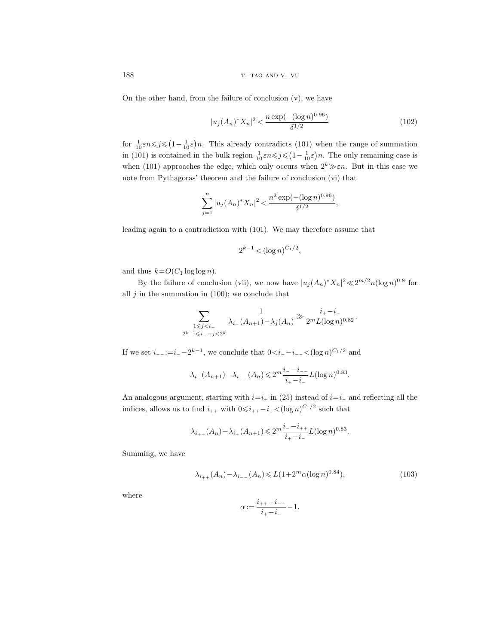188 the state of the state of the state of the state of the state of the state of the state of the state of the state of the state of the state of the state of the state of the state of the state of the state of the state

On the other hand, from the failure of conclusion  $(v)$ , we have

$$
|u_j(A_n)^* X_n|^2 < \frac{n \exp(-(\log n)^{0.96})}{\delta^{1/2}} \tag{102}
$$

for  $\frac{1}{10}\varepsilon n \leq j \leq (1 - \frac{1}{10}\varepsilon)n$ . This already contradicts (101) when the range of summation in (101) is contained in the bulk region  $\frac{1}{10} \varepsilon n \leq j \leq (1 - \frac{1}{10} \varepsilon) n$ . The only remaining case is when (101) approaches the edge, which only occurs when  $2^k \gg \varepsilon n$ . But in this case we note from Pythagoras' theorem and the failure of conclusion (vi) that

$$
\sum_{j=1}^n |u_j(A_n)^* X_n|^2 < \frac{n^2 \exp(-(\log n)^{0.96})}{\delta^{1/2}},
$$

leading again to a contradiction with (101). We may therefore assume that

$$
2^{k-1} < (\log n)^{C_1/2},
$$

and thus  $k=O(C_1 \log \log n)$ .

By the failure of conclusion (vii), we now have  $|u_j(A_n)^* X_n|^2 \ll 2^{m/2} n (\log n)^{0.8}$  for all  $j$  in the summation in (100); we conclude that

$$
\sum_{\substack{1 \leq j < i_{-} \\ 2^{k-1} \leq i_{-} - j < 2^{k}}} \frac{1}{\lambda_{i_{-}}(A_{n+1}) - \lambda_{j}(A_{n})} \gg \frac{i_{+} - i_{-}}{2^{m}L(\log n)^{0.82}}.
$$

If we set  $i_{-}:=i_{-}-2^{k-1}$ , we conclude that  $0 (log  $n$ <sup>C<sub>1</sub>/2</sup> and$ 

$$
\lambda_{i-}(A_{n+1}) - \lambda_{i-}(A_n) \leq 2^m \frac{i_{-} - i_{-}}{i_{+} - i_{-}} L(\log n)^{0.83}
$$

An analogous argument, starting with  $i=i_+$  in (25) instead of  $i=i_+$  and reflecting all the indices, allows us to find  $i_{++}$  with  $0 \leq i_{++} - i_{+} < (\log n)^{C_1/2}$  such that

$$
\lambda_{i_{++}}(A_n) - \lambda_{i_{+}}(A_{n+1}) \leq 2^m \frac{i_{-} - i_{++}}{i_{+} - i_{-}} L(\log n)^{0.83}.
$$

Summing, we have

$$
\lambda_{i_{++}}(A_n) - \lambda_{i_{--}}(A_n) \leqslant L(1 + 2^m \alpha (\log n)^{0.84}),\tag{103}
$$

.

where

$$
\alpha:=\frac{i_{++}-i_{--}}{i_+-i_-}-1.
$$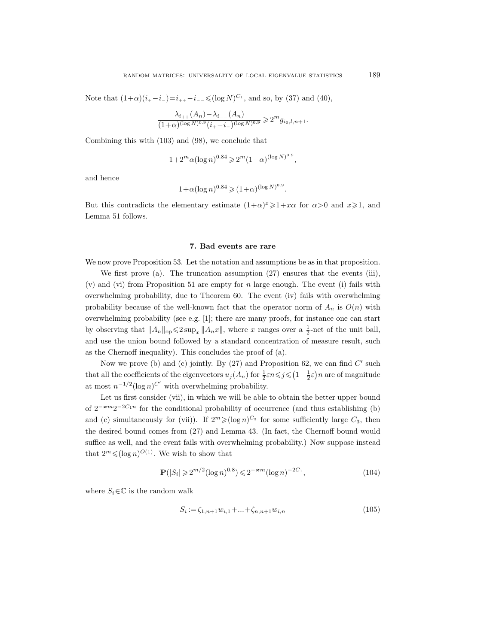Note that  $(1+\alpha)(i_{+}-i_{-})=i_{++}-i_{--}\leq (\log N)^{C_1}$ , and so, by (37) and (40),

$$
\frac{\lambda_{i_{++}}(A_n) - \lambda_{i_{--}}(A_n)}{(1+\alpha)^{(\log N)^{0.9}}(i_{+}-i_{-})^{(\log N)^{0.9}}} \geq 2^m g_{i_0,l,n+1}.
$$

Combining this with (103) and (98), we conclude that

$$
1 + 2^m \alpha (\log n)^{0.84} \geq 2^m (1 + \alpha)^{(\log N)^{0.9}},
$$

and hence

$$
1 + \alpha (\log n)^{0.84} \ge (1 + \alpha)^{(\log N)^{0.9}}.
$$

But this contradicts the elementary estimate  $(1+\alpha)^x \geq 1+x\alpha$  for  $\alpha > 0$  and  $x \geq 1$ , and Lemma 51 follows.

#### 7. Bad events are rare

We now prove Proposition 53. Let the notation and assumptions be as in that proposition.

We first prove (a). The truncation assumption (27) ensures that the events (iii),  $(v)$  and  $(vi)$  from Proposition 51 are empty for n large enough. The event  $(i)$  fails with overwhelming probability, due to Theorem 60. The event (iv) fails with overwhelming probability because of the well-known fact that the operator norm of  $A_n$  is  $O(n)$  with overwhelming probability (see e.g. [1]; there are many proofs, for instance one can start by observing that  $||A_n||_{op} \leq 2 \sup_x ||A_n x||$ , where x ranges over a  $\frac{1}{2}$ -net of the unit ball, and use the union bound followed by a standard concentration of measure result, such as the Chernoff inequality). This concludes the proof of (a).

Now we prove (b) and (c) jointly. By  $(27)$  and Proposition 62, we can find  $C'$  such that all the coefficients of the eigenvectors  $u_j(A_n)$  for  $\frac{1}{2}\varepsilon n \leqslant j \leqslant (1-\frac{1}{2}\varepsilon)n$  are of magnitude at most  $n^{-1/2}(\log n)^{C'}$  with overwhelming probability.

Let us first consider (vii), in which we will be able to obtain the better upper bound of  $2^{-\varkappa m}2^{-2C_1n}$  for the conditional probability of occurrence (and thus establishing (b) and (c) simultaneously for (vii)). If  $2^m \geq (\log n)^{C_3}$  for some sufficiently large  $C_3$ , then the desired bound comes from (27) and Lemma 43. (In fact, the Chernoff bound would suffice as well, and the event fails with overwhelming probability.) Now suppose instead that  $2^m \leqslant (\log n)^{O(1)}$ . We wish to show that

$$
\mathbf{P}(|S_i| \geq 2^{m/2} (\log n)^{0.8}) \leq 2^{-\varkappa m} (\log n)^{-2C_1},\tag{104}
$$

where  $S_i \in \mathbb{C}$  is the random walk

$$
S_i := \zeta_{1,n+1} w_{i,1} + \ldots + \zeta_{n,n+1} w_{i,n}
$$
\n<sup>(105)</sup>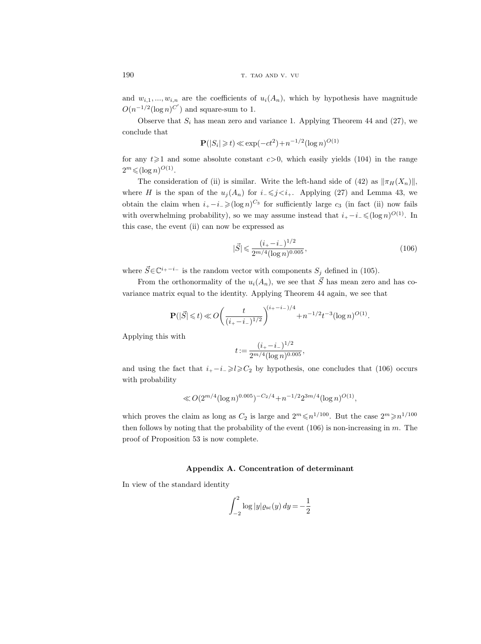and  $w_{i,1},...,w_{i,n}$  are the coefficients of  $u_i(A_n)$ , which by hypothesis have magnitude  $O(n^{-1/2}(\log n)^{C'})$  and square-sum to 1.

Observe that  $S_i$  has mean zero and variance 1. Applying Theorem 44 and (27), we conclude that

$$
\mathbf{P}(|S_i| \ge t) \ll \exp(-ct^2) + n^{-1/2} (\log n)^{O(1)}
$$

for any  $t \geq 1$  and some absolute constant  $c > 0$ , which easily yields (104) in the range  $2^m \leqslant (\log n)^{O(1)}$ .

The consideration of (ii) is similar. Write the left-hand side of (42) as  $\|\pi_H(X_n)\|$ , where H is the span of the  $u_j(A_n)$  for  $i_-\leq j. Applying (27) and Lemma 43, we$ obtain the claim when  $i_+ - i_- \geqslant (\log n)^{C_3}$  for sufficiently large  $c_3$  (in fact (ii) now fails with overwhelming probability), so we may assume instead that  $i_{+} - i_{-} \leq (\log n)^{O(1)}$ . In this case, the event (ii) can now be expressed as

$$
|\vec{S}| \leqslant \frac{(i_+ - i_-)^{1/2}}{2^{m/4} (\log n)^{0.005}},\tag{106}
$$

where  $\vec{S} \in \mathbb{C}^{i_+ - i_-}$  is the random vector with components  $S_j$  defined in (105).

From the orthonormality of the  $u_i(A_n)$ , we see that  $\vec{S}$  has mean zero and has covariance matrix equal to the identity. Applying Theorem 44 again, we see that

$$
\mathbf{P}(|\vec{S}| \leq t) \ll O\bigg(\frac{t}{(i_{+}-i_{-})^{1/2}}\bigg)^{(i_{+}-i_{-})/4} + n^{-1/2}t^{-3}(\log n)^{O(1)}.
$$

Applying this with

$$
t := \frac{(i_+ - i_-)^{1/2}}{2^{m/4} (\log n)^{0.005}},
$$

and using the fact that  $i_+ - i_- \ge l \ge C_2$  by hypothesis, one concludes that (106) occurs with probability

$$
\ll O(2^{m/4} (\log n)^{0.005})^{-C_2/4} + n^{-1/2} 2^{3m/4} (\log n)^{O(1)},
$$

which proves the claim as long as  $C_2$  is large and  $2^m \leq n^{1/100}$ . But the case  $2^m \geq n^{1/100}$ then follows by noting that the probability of the event  $(106)$  is non-increasing in m. The proof of Proposition 53 is now complete.

# Appendix A. Concentration of determinant

In view of the standard identity

$$
\int_{-2}^{2} \log |y| \varrho_{\rm sc}(y) \, dy = -\frac{1}{2}
$$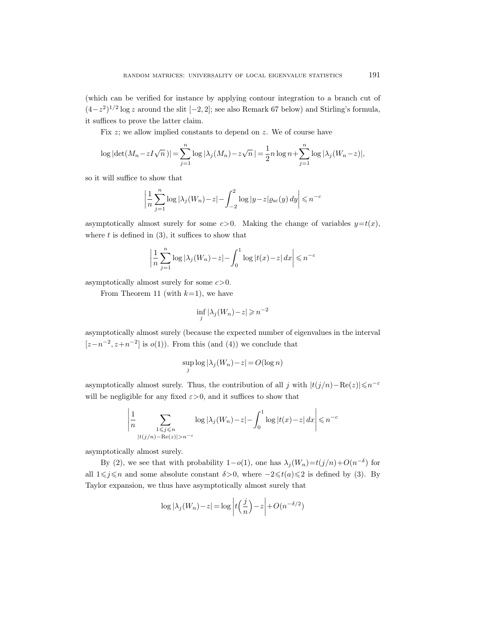(which can be verified for instance by applying contour integration to a branch cut of  $(4-z^2)^{1/2}$  log z around the slit  $[-2, 2]$ ; see also Remark 67 below) and Stirling's formula, it suffices to prove the latter claim.

Fix z; we allow implied constants to depend on z. We of course have

$$
\log |\det(M_n - zI\sqrt{n})| = \sum_{j=1}^n \log |\lambda_j(M_n) - z\sqrt{n}| = \frac{1}{2}n \log n + \sum_{j=1}^n \log |\lambda_j(W_n - z)|,
$$

so it will suffice to show that

$$
\left|\frac{1}{n}\sum_{j=1}^{n}\log|\lambda_j(W_n)-z| - \int_{-2}^{2}\log|y-z|\varrho_{\rm sc}(y)\,dy\right| \leqslant n^{-c}
$$

asymptotically almost surely for some  $c > 0$ . Making the change of variables  $y=t(x)$ , where  $t$  is defined in  $(3)$ , it suffices to show that

$$
\left|\frac{1}{n}\sum_{j=1}^{n}\log|\lambda_j(W_n)-z| - \int_0^1\log|t(x)-z|\,dx\right| \leq n^{-c}
$$

asymptotically almost surely for some  $c > 0$ .

From Theorem 11 (with  $k=1$ ), we have

$$
\inf_j |\lambda_j(W_n) - z| \geqslant n^{-2}
$$

asymptotically almost surely (because the expected number of eigenvalues in the interval  $[z-n^{-2}, z+n^{-2}]$  is  $o(1)$ ). From this (and (4)) we conclude that

$$
\sup_j \log |\lambda_j(W_n) - z| = O(\log n)
$$

asymptotically almost surely. Thus, the contribution of all j with  $|t(j/n) - \text{Re}(z)| \le n^{-\varepsilon}$ will be negligible for any fixed  $\varepsilon > 0$ , and it suffices to show that

$$
\left|\frac{1}{n}\sum_{\substack{1 \leqslant j \leqslant n \\ |t(j/n)-\text{Re}(z)|>n^{-\varepsilon}}}\log|\lambda_j(W_n)-z| - \int_0^1 \log|t(x)-z| \, dx \right| \leqslant n^{-c}
$$

asymptotically almost surely.

By (2), we see that with probability  $1-o(1)$ , one has  $\lambda_j(W_n)=t(j/n)+O(n^{-\delta})$  for all  $1\leq j\leq n$  and some absolute constant  $\delta>0$ , where  $-2\leq t(a)\leq 2$  is defined by (3). By Taylor expansion, we thus have asymptotically almost surely that

$$
\log |\lambda_j(W_n) - z| = \log \left| t \left( \frac{j}{n} \right) - z \right| + O(n^{-\delta/2})
$$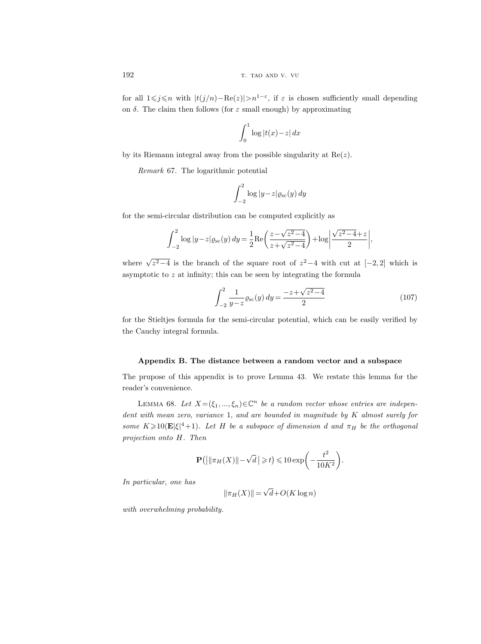for all  $1 \leq j \leq n$  with  $|t(j/n) - \text{Re}(z)| > n^{1-\epsilon}$ , if  $\varepsilon$  is chosen sufficiently small depending on  $\delta$ . The claim then follows (for  $\varepsilon$  small enough) by approximating

$$
\int_0^1 \log|t(x)-z| \, dx
$$

by its Riemann integral away from the possible singularity at  $Re(z)$ .

Remark 67. The logarithmic potential

$$
\int_{-2}^{2} \log |y - z| \varrho_{\rm sc}(y) \, dy
$$

for the semi-circular distribution can be computed explicitly as

$$
\int_{-2}^{2} \log |y - z| \varrho_{\rm sc}(y) \, dy = \frac{1}{2} \text{Re} \left( \frac{z - \sqrt{z^2 - 4}}{z + \sqrt{z^2 - 4}} \right) + \log \left| \frac{\sqrt{z^2 - 4} + z}{2} \right|,
$$

where  $\sqrt{z^2-4}$  is the branch of the square root of  $z^2-4$  with cut at  $[-2,2]$  which is asymptotic to  $z$  at infinity; this can be seen by integrating the formula

$$
\int_{-2}^{2} \frac{1}{y - z} \varrho_{\rm sc}(y) \, dy = \frac{-z + \sqrt{z^2 - 4}}{2} \tag{107}
$$

for the Stieltjes formula for the semi-circular potential, which can be easily verified by the Cauchy integral formula.

# Appendix B. The distance between a random vector and a subspace

The prupose of this appendix is to prove Lemma 43. We restate this lemma for the reader's convenience.

LEMMA 68. Let  $X = (\xi_1, ..., \xi_n) \in \mathbb{C}^n$  be a random vector whose entries are independent with mean zero, variance 1, and are bounded in magnitude by K almost surely for some  $K \geq 10(E|\xi|^4 + 1)$ . Let H be a subspace of dimension d and  $\pi_H$  be the orthogonal projection onto H. Then

$$
\mathbf{P}\left(\left|\left\|\pi_H(X)\right\|-\sqrt{d}\right|\geqslant t\right)\leqslant 10\exp\left(-\frac{t^2}{10K^2}\right).
$$

In particular, one has

$$
\|\pi_H(X)\| = \sqrt{d} + O(K \log n)
$$

with overwhelming probability.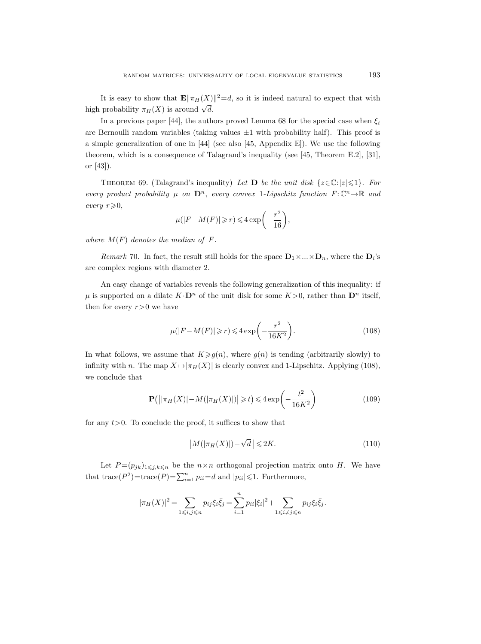It is easy to show that  $\mathbf{E} \|\pi_H(X)\|^2 = d$ , so it is indeed natural to expect that with high probability  $\pi_H(X)$  is around  $\sqrt{d}$ .

In a previous paper [44], the authors proved Lemma 68 for the special case when  $\xi_i$ are Bernoulli random variables (taking values  $\pm 1$  with probability half). This proof is a simple generalization of one in [44] (see also [45, Appendix E]). We use the following theorem, which is a consequence of Talagrand's inequality (see [45, Theorem E.2], [31], or [43]).

THEOREM 69. (Talagrand's inequality) Let **D** be the unit disk  $\{z \in \mathbb{C} : |z| \leq 1\}$ . For every product probability  $\mu$  on  $\mathbf{D}^n$ , every convex 1-Lipschitz function  $F: \mathbb{C}^n \to \mathbb{R}$  and every  $r\geqslant 0$ ,

$$
\mu(|F - M(F)| \ge r) \le 4\exp\biggl(-\frac{r^2}{16}\biggr),\,
$$

where  $M(F)$  denotes the median of F.

*Remark* 70. In fact, the result still holds for the space  $D_1 \times ... \times D_n$ , where the  $D_i$ 's are complex regions with diameter 2.

An easy change of variables reveals the following generalization of this inequality: if  $\mu$  is supported on a dilate  $K \cdot \mathbf{D}^n$  of the unit disk for some  $K > 0$ , rather than  $\mathbf{D}^n$  itself, then for every  $r>0$  we have

$$
\mu(|F - M(F)| \ge r) \le 4\exp\left(-\frac{r^2}{16K^2}\right). \tag{108}
$$

In what follows, we assume that  $K \geq g(n)$ , where  $g(n)$  is tending (arbitrarily slowly) to infinity with n. The map  $X \mapsto |\pi_H(X)|$  is clearly convex and 1-Lipschitz. Applying (108), we conclude that

$$
\mathbf{P}\left(\left|\left|\pi_H(X)\right| - M(|\pi_H(X)|)\right| \geq t\right) \leq 4\exp\left(-\frac{t^2}{16K^2}\right) \tag{109}
$$

for any  $t > 0$ . To conclude the proof, it suffices to show that

$$
\left|M(|\pi_H(X)|)-\sqrt{d}\right| \leqslant 2K.\tag{110}
$$

Let  $P = (p_{jk})_{1 \leq j,k \leq n}$  be the  $n \times n$  orthogonal projection matrix onto H. We have that trace( $P^2$ )=trace( $P$ )= $\sum_{i=1}^{n} p_{ii}$ =d and  $|p_{ii}| \leq 1$ . Furthermore,

$$
|\pi_H(X)|^2 = \sum_{1 \le i,j \le n} p_{ij} \xi_i \bar{\xi}_j = \sum_{i=1}^n p_{ii} |\xi_i|^2 + \sum_{1 \le i \ne j \le n} p_{ij} \xi_i \bar{\xi}_j.
$$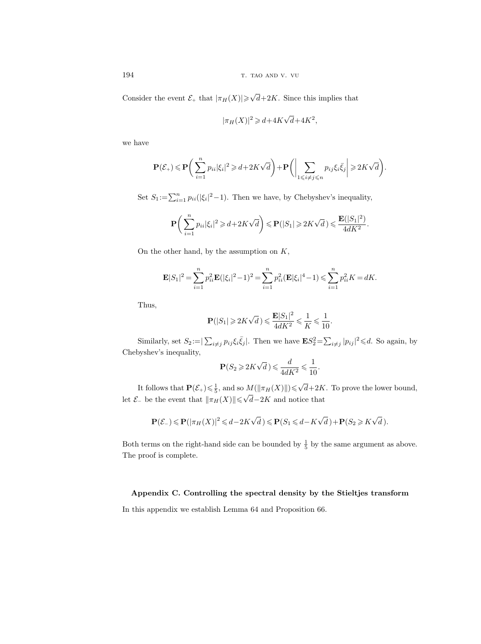194 the state of the state of the state of the state of the state of the state of the state of the state of the state of the state of the state of the state of the state of the state of the state of the state of the state

Consider the event  $\mathcal{E}_+$  that  $|\pi_H(X)| \geqslant \sqrt{2}$  $d+2K$ . Since this implies that

$$
|\pi_H(X)|^2 \geq d + 4K\sqrt{d} + 4K^2,
$$

we have

$$
\mathbf{P}(\mathcal{E}_+) \leqslant \mathbf{P} \bigg( \sum_{i=1}^n p_{ii} |\xi_i|^2 \geqslant d + 2K\sqrt{d} \bigg) + \mathbf{P} \bigg( \bigg| \sum_{1 \leqslant i \neq j \leqslant n} p_{ij} \xi_i \bar{\xi}_j \bigg| \geqslant 2K\sqrt{d} \bigg).
$$

Set  $S_1 := \sum_{i=1}^n p_{ii}(|\xi_i|^2 - 1)$ . Then we have, by Chebyshev's inequality,

$$
\mathbf{P}\bigg(\sum_{i=1}^n p_{ii}|\xi_i|^2 \geq d + 2K\sqrt{d}\bigg) \leqslant \mathbf{P}\big(|S_1|\geqslant 2K\sqrt{d}\big) \leqslant \frac{\mathbf{E}\big(|S_1|^2\big)}{4dK^2}.
$$

On the other hand, by the assumption on  $K$ ,

$$
\mathbf{E}|S_1|^2 = \sum_{i=1}^n p_{ii}^2 \mathbf{E}(|\xi_i|^2 - 1)^2 = \sum_{i=1}^n p_{ii}^2 (\mathbf{E}|\xi_i|^4 - 1) \leqslant \sum_{i=1}^n p_{ii}^2 K = dK.
$$

Thus,

$$
\mathbf{P}(|S_1| \!\geqslant\! 2K\sqrt{d}\,)\!\leqslant\!\frac{\mathbf{E}|S_1|^2}{4dK^2}\!\leqslant\!\frac{1}{K}\!\leqslant\!\frac{1}{10}.
$$

Similarly, set  $S_2 = \sum_{i \neq j} p_{ij} \xi_i \bar{\xi}_j$ . Then we have  $\mathbf{E} S_2^2 = \sum_{i \neq j} |p_{ij}|^2 \leq d$ . So again, by Chebyshev's inequality,

$$
\mathbf{P}(S_2 \geqslant 2K\sqrt{d}) \leqslant \frac{d}{4dK^2} \leqslant \frac{1}{10}.
$$

It follows that  $\mathbf{P}(\mathcal{E}_+) \leq \frac{1}{5}$ , and so  $M(\|\pi_H(X)\|) \leq \sqrt{\frac{1}{2}}$  $d+2K$ . To prove the lower bound, Let  $\mathcal{E}_-$  be the event that  $\|\pi_H(X)\| \leq \sqrt{\frac{2}{\pi}}$  $d-2K$  and notice that

$$
\mathbf{P}(\mathcal{E}_-) \leqslant \mathbf{P}(|\pi_H(X)|^2 \leqslant d - 2K\sqrt{d}) \leqslant \mathbf{P}(S_1 \leqslant d - K\sqrt{d}) + \mathbf{P}(S_2 \geqslant K\sqrt{d}).
$$

Both terms on the right-hand side can be bounded by  $\frac{1}{5}$  by the same argument as above. The proof is complete.

# Appendix C. Controlling the spectral density by the Stieltjes transform

In this appendix we establish Lemma 64 and Proposition 66.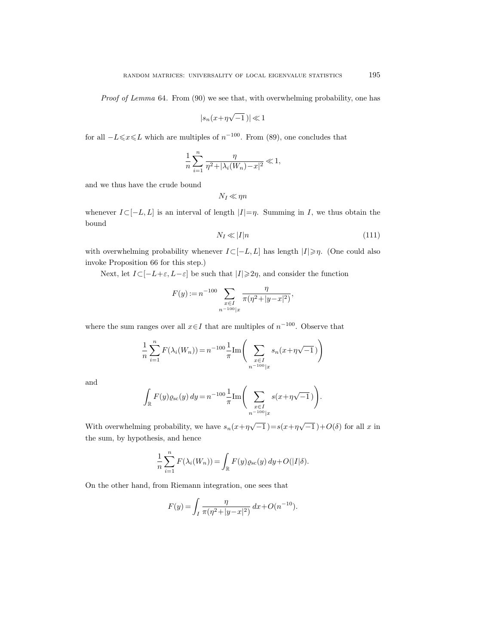Proof of Lemma 64. From (90) we see that, with overwhelming probability, one has

$$
|s_n(x+\eta\sqrt{-1}\,)|\ll 1
$$

for all  $-L \le x \le L$  which are multiples of  $n^{-100}$ . From (89), one concludes that

$$
\frac{1}{n} \sum_{i=1}^{n} \frac{\eta}{\eta^2 + |\lambda_i(W_n) - x|^2} \ll 1,
$$

and we thus have the crude bound

$$
N_I \ll \eta n
$$

whenever  $I\subset [-L, L]$  is an interval of length  $|I|=\eta$ . Summing in I, we thus obtain the bound

$$
N_I \ll |I|n \tag{111}
$$

with overwhelming probability whenever  $I\subset [-L, L]$  has length  $|I|\geqslant \eta$ . (One could also invoke Proposition 66 for this step.)

Next, let  $I\subset [-L+\varepsilon, L-\varepsilon]$  be such that  $|I|\geq 2\eta$ , and consider the function

$$
F(y) := n^{-100} \sum_{\substack{x \in I \\ n^{-100} | x}} \frac{\eta}{\pi(\eta^2 + |y - x|^2)},
$$

where the sum ranges over all  $x \in I$  that are multiples of  $n^{-100}$ . Observe that

$$
\frac{1}{n} \sum_{i=1}^{n} F(\lambda_i(W_n)) = n^{-100} \frac{1}{\pi} \text{Im} \left( \sum_{\substack{x \in I \\ n^{-100}|x}} s_n(x + \eta \sqrt{-1}) \right)
$$

and

$$
\int_{\mathbb{R}} F(y) \varrho_{\rm sc}(y) \, dy = n^{-100} \frac{1}{\pi} \text{Im} \Bigg( \sum_{\substack{x \in I \\ n^{-100} | x}} s(x + \eta \sqrt{-1}) \Bigg).
$$

With overwhelming probability, we have  $s_n(x+\eta\sqrt{-1})=s(x+\eta\sqrt{-1})+O(\delta)$  for all x in the sum, by hypothesis, and hence

$$
\frac{1}{n}\sum_{i=1}^n F(\lambda_i(W_n)) = \int_{\mathbb{R}} F(y)\varrho_{\rm sc}(y) \, dy + O(|I|\delta).
$$

On the other hand, from Riemann integration, one sees that

$$
F(y) = \int_I \frac{\eta}{\pi(\eta^2 + |y - x|^2)} dx + O(n^{-10}).
$$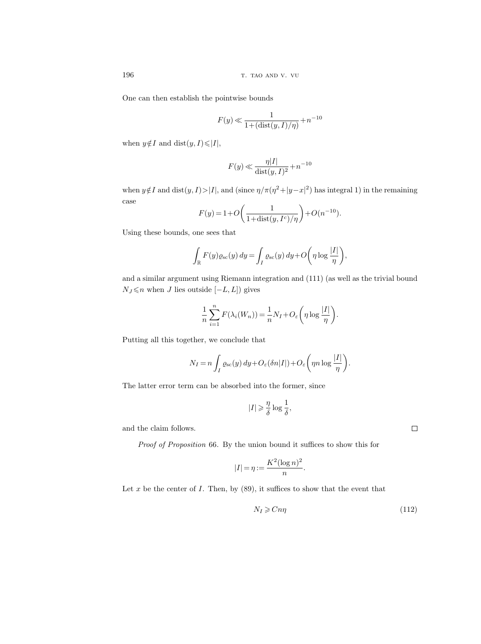One can then establish the pointwise bounds

$$
F(y) \ll \frac{1}{1+(\operatorname{dist}(y,I)/\eta)} + n^{-10}
$$

when  $y \notin I$  and dist $(y, I) \leq |I|$ ,

$$
F(y) \ll \frac{\eta |I|}{\text{dist}(y, I)^2} + n^{-10}
$$

when  $y \notin I$  and  $dist(y, I) > |I|$ , and  $(since \eta/\pi(\eta^2 + |y - x|^2)$  has integral 1) in the remaining case

$$
F(y) = 1 + O\left(\frac{1}{1 + \text{dist}(y, I^c)/\eta}\right) + O(n^{-10}).
$$

Using these bounds, one sees that

$$
\int_{\mathbb{R}} F(y) \varrho_{\rm sc}(y) \, dy = \int_{I} \varrho_{\rm sc}(y) \, dy + O\bigg(\eta \log \frac{|I|}{\eta}\bigg),\,
$$

and a similar argument using Riemann integration and (111) (as well as the trivial bound  $N_J$  ≤n when J lies outside [-L, L]) gives

$$
\frac{1}{n}\sum_{i=1}^{n} F(\lambda_i(W_n)) = \frac{1}{n}N_I + O_{\varepsilon}\left(\eta \log \frac{|I|}{\eta}\right).
$$

Putting all this together, we conclude that

$$
N_I = n \int_I \varrho_{\rm sc}(y) \, dy + O_{\varepsilon}(\delta n|I|) + O_{\varepsilon} \left( \eta n \log \frac{|I|}{\eta} \right).
$$

The latter error term can be absorbed into the former, since

$$
|I| \geqslant \frac{\eta}{\delta} \log \frac{1}{\delta},
$$

and the claim follows.

Proof of Proposition 66. By the union bound it suffices to show this for

$$
|I| = \eta := \frac{K^2 (\log n)^2}{n}.
$$

Let  $x$  be the center of  $I$ . Then, by  $(89)$ , it suffices to show that the event that

$$
N_I \geqslant Cn\eta\tag{112}
$$

 $\Box$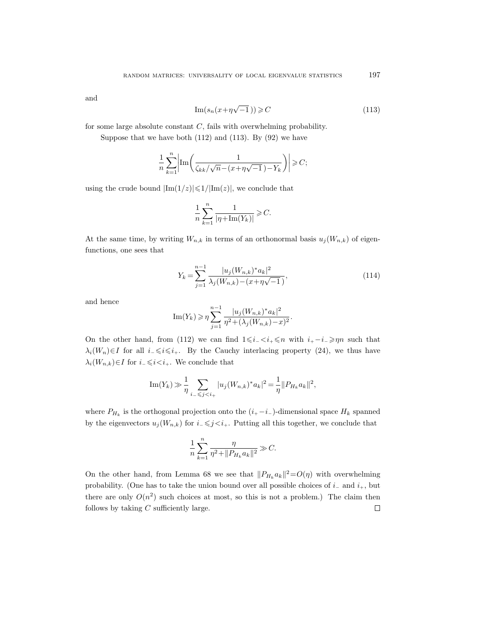and

$$
\operatorname{Im}(s_n(x+\eta\sqrt{-1}\,)) \geqslant C\tag{113}
$$

for some large absolute constant  $C$ , fails with overwhelming probability.

Suppose that we have both  $(112)$  and  $(113)$ . By  $(92)$  we have

$$
\frac{1}{n} \sum_{k=1}^{n} \left| \text{Im} \left( \frac{1}{\zeta_{kk}/\sqrt{n} - (x + \eta\sqrt{-1}) - Y_k} \right) \right| \geqslant C;
$$

using the crude bound  $|\text{Im}(1/z)| \leq 1/|\text{Im}(z)|$ , we conclude that

$$
\frac{1}{n}\sum_{k=1}^n \frac{1}{|\eta\!+\!\operatorname{Im}(Y_k)|} \geqslant C.
$$

At the same time, by writing  $W_{n,k}$  in terms of an orthonormal basis  $u_j(W_{n,k})$  of eigenfunctions, one sees that

$$
Y_k = \sum_{j=1}^{n-1} \frac{|u_j(W_{n,k})^* a_k|^2}{\lambda_j(W_{n,k}) - (x + \eta \sqrt{-1})},
$$
\n(114)

and hence

Im
$$
(Y_k)
$$
  $\ge \eta \sum_{j=1}^{n-1} \frac{|u_j(W_{n,k})^* a_k|^2}{\eta^2 + (\lambda_j(W_{n,k}) - x)^2}.$ 

On the other hand, from (112) we can find  $1\leq i_1 < i_+ \leq n$  with  $i_+ - i_- \geq n$  such that  $\lambda_i(W_n) \in I$  for all  $i_-\leq i \leq i_+$ . By the Cauchy interlacing property (24), we thus have  $\lambda_i(W_{n,k})\in I$  for  $i_-\leqslant i. We conclude that$ 

Im
$$
(Y_k)
$$
  $\gg \frac{1}{\eta} \sum_{i_- \leq j \leq i_+} |u_j(W_{n,k})^* a_k|^2 = \frac{1}{\eta} ||P_{H_k} a_k||^2$ ,

where  $P_{H_k}$  is the orthogonal projection onto the  $(i_+ - i_-)$ -dimensional space  $H_k$  spanned by the eigenvectors  $u_j(W_{n,k})$  for  $i_-\leq j. Putting all this together, we conclude that$ 

$$
\frac{1}{n}\sum_{k=1}^n \frac{\eta}{\eta^2 + ||P_{H_k} a_k||^2} \gg C.
$$

On the other hand, from Lemma 68 we see that  $||P_{H_k} a_k||^2 = O(\eta)$  with overwhelming probability. (One has to take the union bound over all possible choices of  $i_$  and  $i_+$ , but there are only  $O(n^2)$  such choices at most, so this is not a problem.) The claim then follows by taking  $C$  sufficiently large.  $\Box$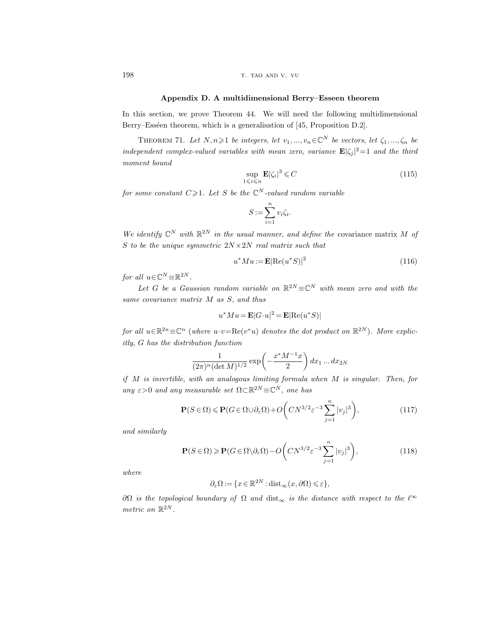198 the transfer of the transfer of the transfer of the transfer of the transfer of the transfer of the transfer of the transfer of the transfer of the transfer of the transfer of the transfer of the transfer of the transf

#### Appendix D. A multidimensional Berry–Esseen theorem

In this section, we prove Theorem 44. We will need the following multidimensional Berry–Esséen theorem, which is a generalisation of [45, Proposition D.2].

THEOREM 71. Let  $N, n \geq 1$  be integers, let  $v_1, ..., v_n \in \mathbb{C}^N$  be vectors, let  $\zeta_1, ..., \zeta_n$  be independent complex-valued variables with mean zero, variance  $\mathbf{E} |\zeta_j|^2 = 1$  and the third moment bound

$$
\sup_{1 \le i \le n} \mathbf{E} |\zeta_i|^3 \le C \tag{115}
$$

for some constant  $C \geq 1$ . Let S be the  $\mathbb{C}^N$ -valued random variable

$$
S := \sum_{i=1}^{n} v_i \zeta_i.
$$

We identify  $\mathbb{C}^N$  with  $\mathbb{R}^{2N}$  in the usual manner, and define the covariance matrix M of S to be the unique symmetric  $2N \times 2N$  real matrix such that

$$
u^*Mu := \mathbf{E}|\text{Re}(u^*S)|^2\tag{116}
$$

for all  $u \in \mathbb{C}^N \equiv \mathbb{R}^{2N}$ .

Let G be a Gaussian random variable on  $\mathbb{R}^{2N} \equiv \mathbb{C}^{N}$  with mean zero and with the same covariance matrix M as S, and thus

$$
u^*Mu = \mathbf{E}|G \cdot u|^2 = \mathbf{E}|\text{Re}(u^*S)|
$$

for all  $u \in \mathbb{R}^{2n} \equiv \mathbb{C}^n$  (where  $u \cdot v = \text{Re}(v^*u)$  denotes the dot product on  $\mathbb{R}^{2N}$ ). More explicitly, G has the distribution function

$$
\frac{1}{(2\pi)^n(\det M)^{1/2}} \exp\left(-\frac{x^*M^{-1}x}{2}\right) dx_1 \dots dx_{2N}
$$

if M is invertible, with an analogous limiting formula when M is singular. Then, for any  $\varepsilon > 0$  and any measurable set  $\Omega \subset \mathbb{R}^{2N} \equiv \mathbb{C}^N$ , one has

$$
\mathbf{P}(S \in \Omega) \le \mathbf{P}(G \in \Omega \cup \partial_{\varepsilon} \Omega) + O\left(CN^{3/2} \varepsilon^{-3} \sum_{j=1}^{n} |v_j|^3\right),\tag{117}
$$

and similarly

$$
\mathbf{P}(S \in \Omega) \ge \mathbf{P}(G \in \Omega \setminus \partial_{\varepsilon} \Omega) - O\left(CN^{3/2} \varepsilon^{-3} \sum_{j=1}^{n} |v_j|^3\right),\tag{118}
$$

where

$$
\partial_{\varepsilon}\Omega := \{x \in \mathbb{R}^{2N} : \text{dist}_{\infty}(x, \partial \Omega) \leqslant \varepsilon\},\
$$

 $∂Ω$  is the topological boundary of  $Ω$  and dist<sub>∞</sub> is the distance with respect to the  $ℓ^∞$ metric on  $\mathbb{R}^{2N}$ .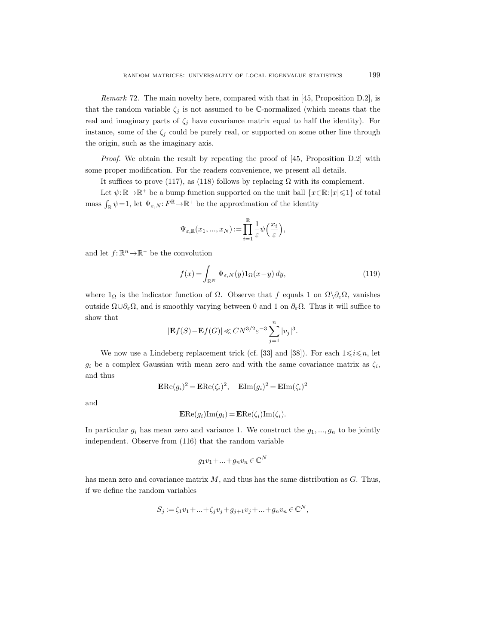Remark 72. The main novelty here, compared with that in [45, Proposition D.2], is that the random variable  $\zeta_i$  is not assumed to be C-normalized (which means that the real and imaginary parts of  $\zeta_j$  have covariance matrix equal to half the identity). For instance, some of the  $\zeta_j$  could be purely real, or supported on some other line through the origin, such as the imaginary axis.

*Proof.* We obtain the result by repeating the proof of  $[45,$  Proposition D.2 with some proper modification. For the readers convenience, we present all details.

It suffices to prove (117), as (118) follows by replacing  $\Omega$  with its complement.

Let  $\psi: \mathbb{R} \to \mathbb{R}^+$  be a bump function supported on the unit ball  $\{x \in \mathbb{R}: |x| \leq 1\}$  of total mass  $\int_{\mathbb{R}} \psi = 1$ , let  $\Psi_{\varepsilon,N} : F^{\mathbb{R}} \to \mathbb{R}^+$  be the approximation of the identity

$$
\Psi_{\varepsilon,\mathbb{R}}(x_1,...,x_N) := \prod_{i=1}^{\mathbb{R}} \frac{1}{\varepsilon} \psi\left(\frac{x_i}{\varepsilon}\right),
$$

and let  $f: \mathbb{R}^n \to \mathbb{R}^+$  be the convolution

$$
f(x) = \int_{\mathbb{R}^N} \Psi_{\varepsilon, N}(y) 1_{\Omega}(x - y) dy,
$$
 (119)

where  $1_{\Omega}$  is the indicator function of  $\Omega$ . Observe that f equals 1 on  $\Omega \setminus \partial_{\varepsilon}\Omega$ , vanishes outside  $Ω∪∂<sub>ε</sub>Ω$ , and is smoothly varying between 0 and 1 on  $∂<sub>ε</sub>Ω$ . Thus it will suffice to show that

$$
|\mathbf{E}f(S)-\mathbf{E}f(G)|\ll CN^{3/2}\varepsilon^{-3}\sum_{j=1}^n|v_j|^3.
$$

We now use a Lindeberg replacement trick (cf. [33] and [38]). For each  $1 \leq i \leq n$ , let  $g_i$  be a complex Gaussian with mean zero and with the same covariance matrix as  $\zeta_i$ , and thus

$$
\mathbf{ERe}(g_i)^2 = \mathbf{ERe}(\zeta_i)^2, \quad \mathbf{E} \text{Im}(g_i)^2 = \mathbf{E} \text{Im}(\zeta_i)^2
$$

and

$$
\mathbf{ERe}(g_i)\mathrm{Im}(g_i) = \mathbf{ERe}(\zeta_i)\mathrm{Im}(\zeta_i).
$$

In particular  $g_i$  has mean zero and variance 1. We construct the  $g_1, ..., g_n$  to be jointly independent. Observe from (116) that the random variable

$$
g_1v_1 + \ldots + g_nv_n \in \mathbb{C}^N
$$

has mean zero and covariance matrix  $M$ , and thus has the same distribution as  $G$ . Thus, if we define the random variables

$$
S_j := \zeta_1 v_1 + \ldots + \zeta_j v_j + g_{j+1} v_j + \ldots + g_n v_n \in \mathbb{C}^N,
$$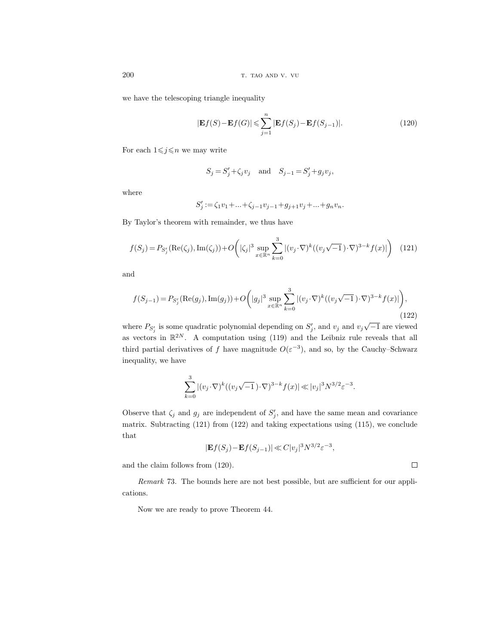we have the telescoping triangle inequality

$$
|\mathbf{E}f(S) - \mathbf{E}f(G)| \leqslant \sum_{j=1}^{n} |\mathbf{E}f(S_j) - \mathbf{E}f(S_{j-1})|.
$$
\n(120)

For each  $1 \leq j \leq n$  we may write

$$
S_j = S'_j + \zeta_j v_j
$$
 and  $S_{j-1} = S'_j + g_j v_j$ ,

where

$$
S'_j := \zeta_1 v_1 + \ldots + \zeta_{j-1} v_{j-1} + g_{j+1} v_j + \ldots + g_n v_n.
$$

By Taylor's theorem with remainder, we thus have

$$
f(S_j) = P_{S'_j}(\text{Re}(\zeta_j), \text{Im}(\zeta_j)) + O\left(|\zeta_j|^3 \sup_{x \in \mathbb{R}^n} \sum_{k=0}^3 |(v_j \cdot \nabla)^k ((v_j \sqrt{-1}) \cdot \nabla)^{3-k} f(x)|\right) \tag{121}
$$

and

$$
f(S_{j-1}) = P_{S'_j}(\text{Re}(g_j), \text{Im}(g_j)) + O\left(|g_j|^3 \sup_{x \in \mathbb{R}^n} \sum_{k=0}^3 |(v_j \cdot \nabla)^k ((v_j \sqrt{-1}) \cdot \nabla)^{3-k} f(x)|\right),\tag{122}
$$

where  $P_{S'_j}$  is some quadratic polynomial depending on  $S'_j$ , and  $v_j$  and  $v_j\sqrt{-1}$  are viewed as vectors in  $\mathbb{R}^{2N}$ . A computation using (119) and the Leibniz rule reveals that all third partial derivatives of f have magnitude  $O(\varepsilon^{-3})$ , and so, by the Cauchy–Schwarz inequality, we have

$$
\sum_{k=0}^{3} |(v_j \cdot \nabla)^k ((v_j \sqrt{-1}) \cdot \nabla)^{3-k} f(x)| \ll |v_j|^3 N^{3/2} \varepsilon^{-3}.
$$

Observe that  $\zeta_j$  and  $g_j$  are independent of  $S'_j$ , and have the same mean and covariance matrix. Subtracting  $(121)$  from  $(122)$  and taking expectations using  $(115)$ , we conclude that

$$
|\mathbf{E}f(S_j) - \mathbf{E}f(S_{j-1})| \ll C|v_j|^3 N^{3/2} \varepsilon^{-3},
$$

and the claim follows from (120).

Remark 73. The bounds here are not best possible, but are sufficient for our applications.

Now we are ready to prove Theorem 44.

 $\Box$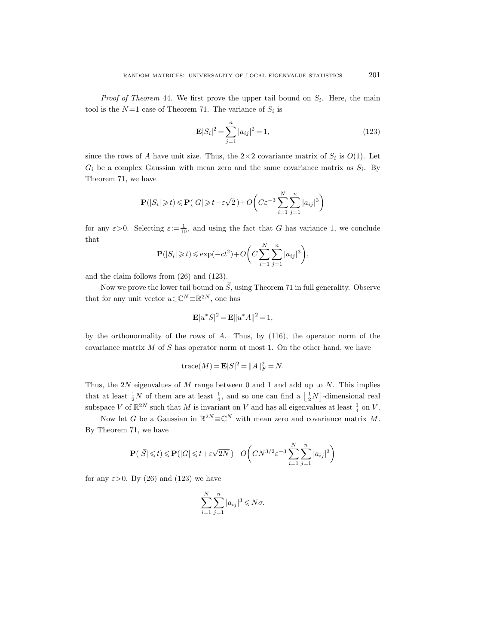*Proof of Theorem 44.* We first prove the upper tail bound on  $S_i$ . Here, the main tool is the  $N=1$  case of Theorem 71. The variance of  $S_i$  is

$$
\mathbf{E}|S_i|^2 = \sum_{j=1}^n |a_{ij}|^2 = 1,
$$
\n(123)

since the rows of A have unit size. Thus, the  $2 \times 2$  covariance matrix of  $S_i$  is  $O(1)$ . Let  $G_i$  be a complex Gaussian with mean zero and the same covariance matrix as  $S_i$ . By Theorem 71, we have

$$
\mathbf{P}(|S_i| \geq t) \leq \mathbf{P}(|G| \geq t - \varepsilon\sqrt{2}) + O\left(C\varepsilon^{-3}\sum_{i=1}^N \sum_{j=1}^n |a_{ij}|^3\right)
$$

for any  $\varepsilon > 0$ . Selecting  $\varepsilon := \frac{1}{10}$ , and using the fact that G has variance 1, we conclude that

$$
\mathbf{P}(|S_i| \geq t) \leq \exp(-ct^2) + O\bigg(C\sum_{i=1}^N \sum_{j=1}^n |a_{ij}|^3\bigg),\,
$$

and the claim follows from (26) and (123).

Now we prove the lower tail bound on  $\vec{S}$ , using Theorem 71 in full generality. Observe that for any unit vector  $u \in \mathbb{C}^N \equiv \mathbb{R}^{2N}$ , one has

$$
\mathbf{E}|u^*S|^2 = \mathbf{E}\|u^*A\|^2 = 1,
$$

by the orthonormality of the rows of A. Thus, by (116), the operator norm of the covariance matrix  $M$  of  $S$  has operator norm at most 1. On the other hand, we have

trace
$$
(M)
$$
 =  $\mathbf{E}|S|^2 = ||A||_F^2 = N$ .

Thus, the 2N eigenvalues of  $M$  range between 0 and 1 and add up to  $N$ . This implies that at least  $\frac{1}{2}N$  of them are at least  $\frac{1}{4}$ , and so one can find a  $\left\lfloor \frac{1}{2}N \right\rfloor$ -dimensional real subspace V of  $\mathbb{R}^{2N}$  such that M is invariant on V and has all eigenvalues at least  $\frac{1}{4}$  on V.

Now let G be a Gaussian in  $\mathbb{R}^{2N} \equiv \mathbb{C}^{N}$  with mean zero and covariance matrix M. By Theorem 71, we have

$$
\mathbf{P}(|\vec{S}| \le t) \le \mathbf{P}(|G| \le t + \varepsilon \sqrt{2N}) + O\left(CN^{3/2}\varepsilon^{-3} \sum_{i=1}^{N} \sum_{j=1}^{n} |a_{ij}|^3\right)
$$

for any  $\varepsilon > 0$ . By (26) and (123) we have

$$
\sum_{i=1}^{N} \sum_{j=1}^{n} |a_{ij}|^3 \le N\sigma.
$$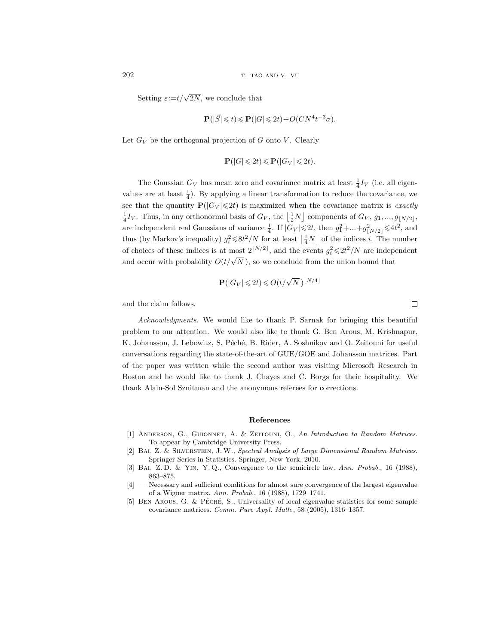Setting  $\varepsilon:=t/\sqrt{2N}$ , we conclude that

$$
\mathbf{P}(|\vec{S}| \leq t) \leq \mathbf{P}(|G| \leq 2t) + O(CN^4t^{-3}\sigma).
$$

Let  $G_V$  be the orthogonal projection of G onto V. Clearly

$$
\mathbf{P}(|G| \leq 2t) \leq \mathbf{P}(|G_V| \leq 2t).
$$

The Gaussian  $G_V$  has mean zero and covariance matrix at least  $\frac{1}{4}I_V$  (i.e. all eigenvalues are at least  $\frac{1}{4}$ ). By applying a linear transformation to reduce the covariance, we see that the quantity  $P(|G_V| \le 2t)$  is maximized when the covariance matrix is exactly  $\frac{1}{4}I_V$ . Thus, in any orthonormal basis of  $G_V$ , the  $\left\lfloor \frac{1}{2}N \right\rfloor$  components of  $G_V$ ,  $g_1$ , ...,  $g_{\lfloor N/2 \rfloor}$ , are independent real Gaussians of variance  $\frac{1}{4}$ . If  $|G_V| \leq 2t$ , then  $g_1^2 + ... + g_{\lfloor N/2 \rfloor}^2 \leq 4t^2$ , and thus (by Markov's inequality)  $g_i^2 \le 8t^2/N$  for at least  $\left(\frac{1}{4}N\right)$  of the indices *i*. The number of choices of these indices is at most  $2^{\lfloor N/2 \rfloor}$ , and the events  $g_i^2 \le 2t^2/N$  are independent and occur with probability  $O(t/\sqrt{N})$ , so we conclude from the union bound that

$$
\mathbf{P}(|G_V| \leq 2t) \leq O(t/\sqrt{N})^{\lfloor N/4 \rfloor}
$$

and the claim follows.

Acknowledgments. We would like to thank P. Sarnak for bringing this beautiful problem to our attention. We would also like to thank G. Ben Arous, M. Krishnapur, K. Johansson, J. Lebowitz, S. Péché, B. Rider, A. Soshnikov and O. Zeitouni for useful conversations regarding the state-of-the-art of GUE/GOE and Johansson matrices. Part of the paper was written while the second author was visiting Microsoft Research in Boston and he would like to thank J. Chayes and C. Borgs for their hospitality. We thank Alain-Sol Sznitman and the anonymous referees for corrections.

## References

- [1] Anderson, G., Guionnet, A. & Zeitouni, O., An Introduction to Random Matrices. To appear by Cambridge University Press.
- [2] Bai, Z. & Silverstein, J. W., Spectral Analysis of Large Dimensional Random Matrices. Springer Series in Statistics. Springer, New York, 2010.
- [3] BAI, Z.D. & YIN, Y.Q., Convergence to the semicircle law. Ann. Probab., 16 (1988), 863–875.
- [4] Necessary and sufficient conditions for almost sure convergence of the largest eigenvalue of a Wigner matrix. Ann. Probab., 16 (1988), 1729–1741.
- [5] BEN AROUS, G. & PÉCHÉ, S., Universality of local eigenvalue statistics for some sample covariance matrices. Comm. Pure Appl. Math., 58 (2005), 1316–1357.

 $\Box$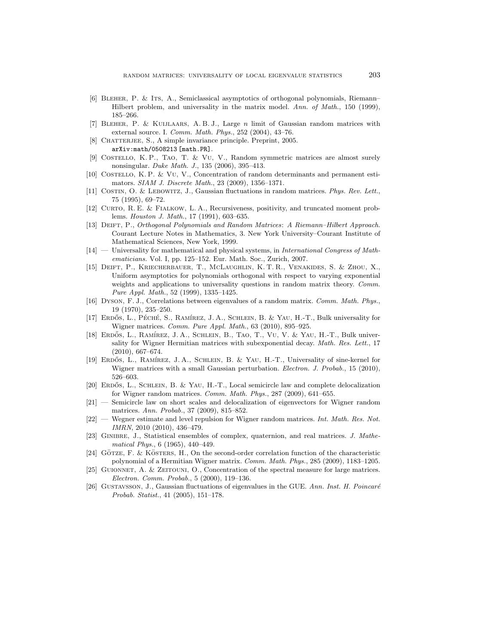- [6] BLEHER, P. & ITS, A., Semiclassical asymptotics of orthogonal polynomials, Riemann– Hilbert problem, and universality in the matrix model. Ann. of Math., 150 (1999), 185–266.
- [7] Bleher, P. & Kuijlaars, A. B. J., Large n limit of Gaussian random matrices with external source. I. Comm. Math. Phys., 252 (2004), 43–76.
- [8] CHATTERJEE, S., A simple invariance principle. Preprint, 2005. arXiv:math/0508213 [math.PR].
- [9] COSTELLO, K. P., TAO, T. & VU, V., Random symmetric matrices are almost surely nonsingular. Duke Math. J., 135 (2006), 395–413.
- [10] Costello, K. P. & Vu, V., Concentration of random determinants and permanent estimators. SIAM J. Discrete Math., 23 (2009), 1356–1371.
- [11] COSTIN, O. & LEBOWITZ, J., Gaussian fluctuations in random matrices. Phys. Rev. Lett., 75 (1995), 69–72.
- [12] Curto, R. E. & Fialkow, L. A., Recursiveness, positivity, and truncated moment problems. Houston J. Math., 17 (1991), 603–635.
- [13] Deift, P., Orthogonal Polynomials and Random Matrices: A Riemann–Hilbert Approach. Courant Lecture Notes in Mathematics, 3. New York University–Courant Institute of Mathematical Sciences, New York, 1999.
- [14] Universality for mathematical and physical systems, in *International Congress of Math*ematicians. Vol. I, pp. 125–152. Eur. Math. Soc., Zurich, 2007.
- [15] Deift, P., Kriecherbauer, T., McLaughlin, K. T. R., Venakides, S. & Zhou, X., Uniform asymptotics for polynomials orthogonal with respect to varying exponential weights and applications to universality questions in random matrix theory. Comm. Pure Appl. Math., 52 (1999), 1335–1425.
- [16] Dyson, F. J., Correlations between eigenvalues of a random matrix. Comm. Math. Phys., 19 (1970), 235–250.
- [17] ERDŐS, L., PÉCHÉ, S., RAMÍREZ, J. A., SCHLEIN, B. & YAU, H.-T., Bulk universality for Wigner matrices. Comm. Pure Appl. Math., 63 (2010), 895–925.
- [18] ERDŐS, L., RAMÍREZ, J. A., SCHLEIN, B., TAO, T., VU, V. & YAU, H.-T., Bulk universality for Wigner Hermitian matrices with subexponential decay. Math. Res. Lett., 17 (2010), 667–674.
- [19] ERDŐS, L., RAMÍREZ, J. A., SCHLEIN, B. & YAU, H.-T., Universality of sine-kernel for Wigner matrices with a small Gaussian perturbation. *Electron. J. Probab.*, 15 (2010), 526–603.
- [20] ERDŐS, L., SCHLEIN, B. & YAU, H.-T., Local semicircle law and complete delocalization for Wigner random matrices. Comm. Math. Phys., 287 (2009), 641–655.
- [21] Semicircle law on short scales and delocalization of eigenvectors for Wigner random matrices. Ann. Probab., 37 (2009), 815–852.
- [22] Wegner estimate and level repulsion for Wigner random matrices. Int. Math. Res. Not. IMRN, 2010 (2010), 436–479.
- [23] GINIBRE, J., Statistical ensembles of complex, quaternion, and real matrices. J. Mathematical Phys., 6 (1965), 440–449.
- [24] GÖTZE, F. & KÖSTERS, H., On the second-order correlation function of the characteristic polynomial of a Hermitian Wigner matrix. Comm. Math. Phys., 285 (2009), 1183–1205.
- [25] Guionnet, A. & Zeitouni, O., Concentration of the spectral measure for large matrices. Electron. Comm. Probab., 5 (2000), 119–136.
- [26] GUSTAVSSON, J., Gaussian fluctuations of eigenvalues in the GUE. Ann. Inst. H. Poincaré Probab. Statist., 41 (2005), 151–178.